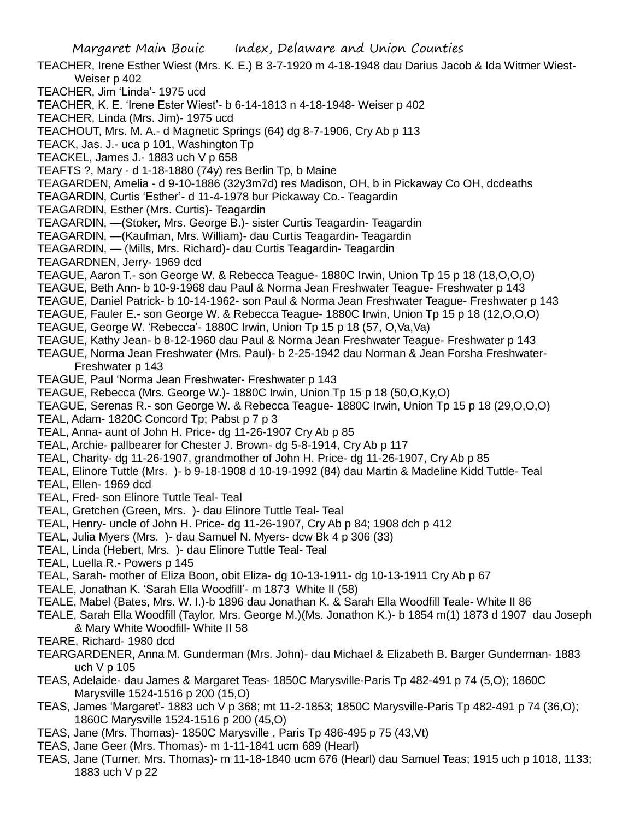Margaret Main Bouic Index, Delaware and Union Counties TEACHER, Irene Esther Wiest (Mrs. K. E.) B 3-7-1920 m 4-18-1948 dau Darius Jacob & Ida Witmer Wiest-Weiser p 402 TEACHER, Jim 'Linda'- 1975 ucd TEACHER, K. E. 'Irene Ester Wiest'- b 6-14-1813 n 4-18-1948- Weiser p 402 TEACHER, Linda (Mrs. Jim)- 1975 ucd TEACHOUT, Mrs. M. A.- d Magnetic Springs (64) dg 8-7-1906, Cry Ab p 113 TEACK, Jas. J.- uca p 101, Washington Tp TEACKEL, James J.- 1883 uch V p 658 TEAFTS ?, Mary - d 1-18-1880 (74y) res Berlin Tp, b Maine TEAGARDEN, Amelia - d 9-10-1886 (32y3m7d) res Madison, OH, b in Pickaway Co OH, dcdeaths TEAGARDIN, Curtis 'Esther'- d 11-4-1978 bur Pickaway Co.- Teagardin TEAGARDIN, Esther (Mrs. Curtis)- Teagardin TEAGARDIN, —(Stoker, Mrs. George B.)- sister Curtis Teagardin- Teagardin TEAGARDIN, —(Kaufman, Mrs. William)- dau Curtis Teagardin- Teagardin TEAGARDIN, — (Mills, Mrs. Richard)- dau Curtis Teagardin- Teagardin TEAGARDNEN, Jerry- 1969 dcd TEAGUE, Aaron T.- son George W. & Rebecca Teague- 1880C Irwin, Union Tp 15 p 18 (18,O,O,O) TEAGUE, Beth Ann- b 10-9-1968 dau Paul & Norma Jean Freshwater Teague- Freshwater p 143 TEAGUE, Daniel Patrick- b 10-14-1962- son Paul & Norma Jean Freshwater Teague- Freshwater p 143 TEAGUE, Fauler E.- son George W. & Rebecca Teague- 1880C Irwin, Union Tp 15 p 18 (12,O,O,O) TEAGUE, George W. 'Rebecca'- 1880C Irwin, Union Tp 15 p 18 (57, O,Va,Va) TEAGUE, Kathy Jean- b 8-12-1960 dau Paul & Norma Jean Freshwater Teague- Freshwater p 143 TEAGUE, Norma Jean Freshwater (Mrs. Paul)- b 2-25-1942 dau Norman & Jean Forsha Freshwater-Freshwater p 143 TEAGUE, Paul 'Norma Jean Freshwater- Freshwater p 143 TEAGUE, Rebecca (Mrs. George W.)- 1880C Irwin, Union Tp 15 p 18 (50,O,Ky,O) TEAGUE, Serenas R.- son George W. & Rebecca Teague- 1880C Irwin, Union Tp 15 p 18 (29,O,O,O) TEAL, Adam- 1820C Concord Tp; Pabst p 7 p 3 TEAL, Anna- aunt of John H. Price- dg 11-26-1907 Cry Ab p 85 TEAL, Archie- pallbearer for Chester J. Brown- dg 5-8-1914, Cry Ab p 117 TEAL, Charity- dg 11-26-1907, grandmother of John H. Price- dg 11-26-1907, Cry Ab p 85 TEAL, Elinore Tuttle (Mrs. )- b 9-18-1908 d 10-19-1992 (84) dau Martin & Madeline Kidd Tuttle- Teal TEAL, Ellen- 1969 dcd TEAL, Fred- son Elinore Tuttle Teal- Teal TEAL, Gretchen (Green, Mrs. )- dau Elinore Tuttle Teal- Teal TEAL, Henry- uncle of John H. Price- dg 11-26-1907, Cry Ab p 84; 1908 dch p 412 TEAL, Julia Myers (Mrs. )- dau Samuel N. Myers- dcw Bk 4 p 306 (33) TEAL, Linda (Hebert, Mrs. )- dau Elinore Tuttle Teal- Teal TEAL, Luella R.- Powers p 145 TEAL, Sarah- mother of Eliza Boon, obit Eliza- dg 10-13-1911- dg 10-13-1911 Cry Ab p 67 TEALE, Jonathan K. 'Sarah Ella Woodfill'- m 1873 White II (58) TEALE, Mabel (Bates, Mrs. W. I.)-b 1896 dau Jonathan K. & Sarah Ella Woodfill Teale- White II 86 TEALE, Sarah Ella Woodfill (Taylor, Mrs. George M.)(Ms. Jonathon K.)- b 1854 m(1) 1873 d 1907 dau Joseph & Mary White Woodfill- White II 58 TEARE, Richard- 1980 dcd TEARGARDENER, Anna M. Gunderman (Mrs. John)- dau Michael & Elizabeth B. Barger Gunderman- 1883 uch V p 105 TEAS, Adelaide- dau James & Margaret Teas- 1850C Marysville-Paris Tp 482-491 p 74 (5,O); 1860C Marysville 1524-1516 p 200 (15,O) TEAS, James 'Margaret'- 1883 uch V p 368; mt 11-2-1853; 1850C Marysville-Paris Tp 482-491 p 74 (36,O);

- 1860C Marysville 1524-1516 p 200 (45,O)
- TEAS, Jane (Mrs. Thomas)- 1850C Marysville , Paris Tp 486-495 p 75 (43,Vt)
- TEAS, Jane Geer (Mrs. Thomas)- m 1-11-1841 ucm 689 (Hearl)
- TEAS, Jane (Turner, Mrs. Thomas)- m 11-18-1840 ucm 676 (Hearl) dau Samuel Teas; 1915 uch p 1018, 1133; 1883 uch V p 22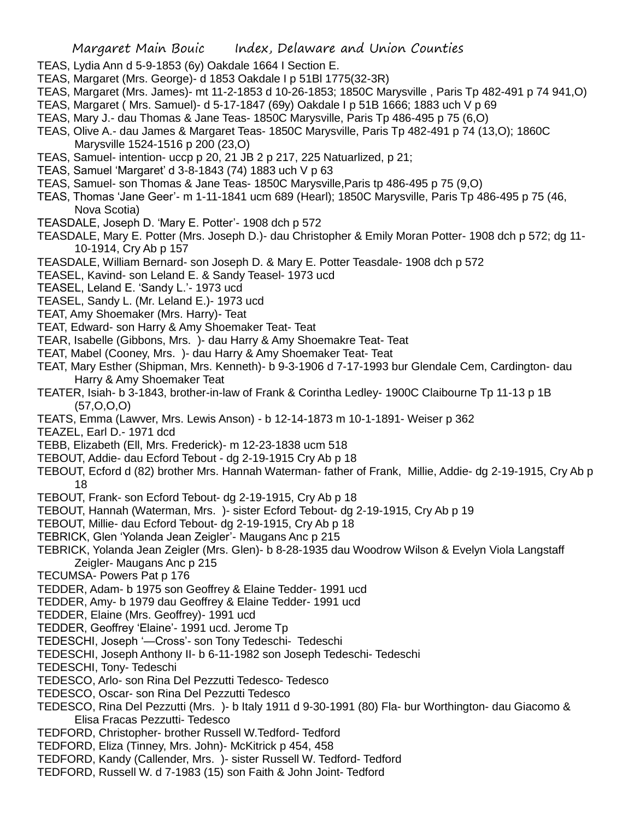- TEAS, Lydia Ann d 5-9-1853 (6y) Oakdale 1664 I Section E.
- TEAS, Margaret (Mrs. George)- d 1853 Oakdale I p 51Bl 1775(32-3R)
- TEAS, Margaret (Mrs. James)- mt 11-2-1853 d 10-26-1853; 1850C Marysville , Paris Tp 482-491 p 74 941,O)
- TEAS, Margaret ( Mrs. Samuel)- d 5-17-1847 (69y) Oakdale I p 51B 1666; 1883 uch V p 69
- TEAS, Mary J.- dau Thomas & Jane Teas- 1850C Marysville, Paris Tp 486-495 p 75 (6,O)
- TEAS, Olive A.- dau James & Margaret Teas- 1850C Marysville, Paris Tp 482-491 p 74 (13,O); 1860C Marysville 1524-1516 p 200 (23,O)
- TEAS, Samuel- intention- uccp p 20, 21 JB 2 p 217, 225 Natuarlized, p 21;
- TEAS, Samuel 'Margaret' d 3-8-1843 (74) 1883 uch V p 63
- TEAS, Samuel- son Thomas & Jane Teas- 1850C Marysville,Paris tp 486-495 p 75 (9,O)
- TEAS, Thomas 'Jane Geer'- m 1-11-1841 ucm 689 (Hearl); 1850C Marysville, Paris Tp 486-495 p 75 (46, Nova Scotia)
- TEASDALE, Joseph D. 'Mary E. Potter'- 1908 dch p 572
- TEASDALE, Mary E. Potter (Mrs. Joseph D.)- dau Christopher & Emily Moran Potter- 1908 dch p 572; dg 11- 10-1914, Cry Ab p 157
- TEASDALE, William Bernard- son Joseph D. & Mary E. Potter Teasdale- 1908 dch p 572
- TEASEL, Kavind- son Leland E. & Sandy Teasel- 1973 ucd
- TEASEL, Leland E. 'Sandy L.'- 1973 ucd
- TEASEL, Sandy L. (Mr. Leland E.)- 1973 ucd
- TEAT, Amy Shoemaker (Mrs. Harry)- Teat
- TEAT, Edward- son Harry & Amy Shoemaker Teat- Teat
- TEAR, Isabelle (Gibbons, Mrs. )- dau Harry & Amy Shoemakre Teat- Teat
- TEAT, Mabel (Cooney, Mrs. )- dau Harry & Amy Shoemaker Teat- Teat
- TEAT, Mary Esther (Shipman, Mrs. Kenneth)- b 9-3-1906 d 7-17-1993 bur Glendale Cem, Cardington- dau Harry & Amy Shoemaker Teat
- TEATER, Isiah- b 3-1843, brother-in-law of Frank & Corintha Ledley- 1900C Claibourne Tp 11-13 p 1B (57,O,O,O)
- TEATS, Emma (Lawver, Mrs. Lewis Anson) b 12-14-1873 m 10-1-1891- Weiser p 362
- TEAZEL, Earl D.- 1971 dcd
- TEBB, Elizabeth (Ell, Mrs. Frederick)- m 12-23-1838 ucm 518
- TEBOUT, Addie- dau Ecford Tebout dg 2-19-1915 Cry Ab p 18
- TEBOUT, Ecford d (82) brother Mrs. Hannah Waterman- father of Frank, Millie, Addie- dg 2-19-1915, Cry Ab p 18
- TEBOUT, Frank- son Ecford Tebout- dg 2-19-1915, Cry Ab p 18
- TEBOUT, Hannah (Waterman, Mrs. )- sister Ecford Tebout- dg 2-19-1915, Cry Ab p 19
- TEBOUT, Millie- dau Ecford Tebout- dg 2-19-1915, Cry Ab p 18
- TEBRICK, Glen 'Yolanda Jean Zeigler'- Maugans Anc p 215
- TEBRICK, Yolanda Jean Zeigler (Mrs. Glen)- b 8-28-1935 dau Woodrow Wilson & Evelyn Viola Langstaff Zeigler- Maugans Anc p 215
- TECUMSA- Powers Pat p 176
- TEDDER, Adam- b 1975 son Geoffrey & Elaine Tedder- 1991 ucd
- TEDDER, Amy- b 1979 dau Geoffrey & Elaine Tedder- 1991 ucd
- TEDDER, Elaine (Mrs. Geoffrey)- 1991 ucd
- TEDDER, Geoffrey 'Elaine'- 1991 ucd. Jerome Tp
- TEDESCHI, Joseph '—Cross'- son Tony Tedeschi- Tedeschi
- TEDESCHI, Joseph Anthony II- b 6-11-1982 son Joseph Tedeschi- Tedeschi
- TEDESCHI, Tony- Tedeschi
- TEDESCO, Arlo- son Rina Del Pezzutti Tedesco- Tedesco
- TEDESCO, Oscar- son Rina Del Pezzutti Tedesco
- TEDESCO, Rina Del Pezzutti (Mrs. )- b Italy 1911 d 9-30-1991 (80) Fla- bur Worthington- dau Giacomo & Elisa Fracas Pezzutti- Tedesco
- TEDFORD, Christopher- brother Russell W.Tedford- Tedford
- TEDFORD, Eliza (Tinney, Mrs. John)- McKitrick p 454, 458
- TEDFORD, Kandy (Callender, Mrs. )- sister Russell W. Tedford- Tedford
- TEDFORD, Russell W. d 7-1983 (15) son Faith & John Joint- Tedford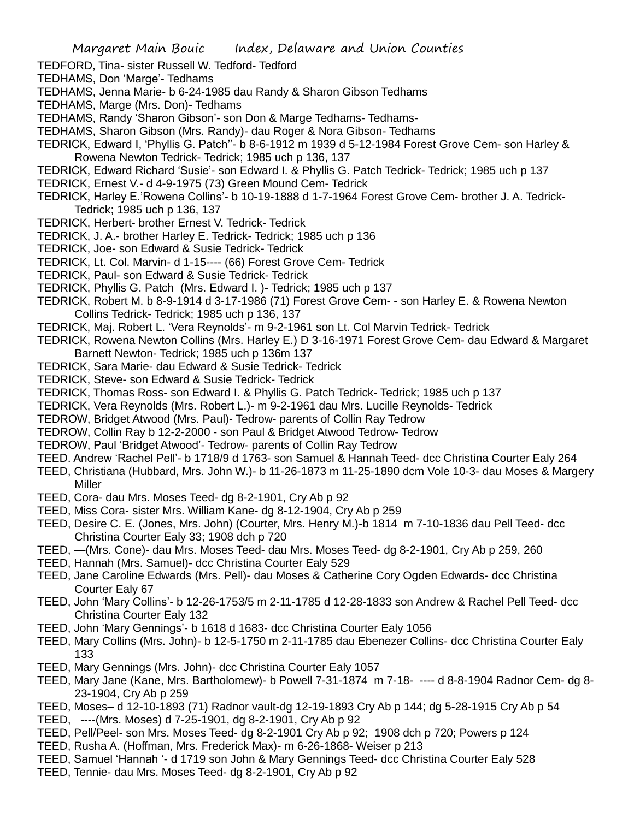- TEDFORD, Tina- sister Russell W. Tedford- Tedford
- TEDHAMS, Don 'Marge'- Tedhams
- TEDHAMS, Jenna Marie- b 6-24-1985 dau Randy & Sharon Gibson Tedhams
- TEDHAMS, Marge (Mrs. Don)- Tedhams
- TEDHAMS, Randy 'Sharon Gibson'- son Don & Marge Tedhams- Tedhams-
- TEDHAMS, Sharon Gibson (Mrs. Randy)- dau Roger & Nora Gibson- Tedhams
- TEDRICK, Edward I, 'Phyllis G. Patch''- b 8-6-1912 m 1939 d 5-12-1984 Forest Grove Cem- son Harley & Rowena Newton Tedrick- Tedrick; 1985 uch p 136, 137
- TEDRICK, Edward Richard 'Susie'- son Edward I. & Phyllis G. Patch Tedrick- Tedrick; 1985 uch p 137
- TEDRICK, Ernest V.- d 4-9-1975 (73) Green Mound Cem- Tedrick
- TEDRICK, Harley E.'Rowena Collins'- b 10-19-1888 d 1-7-1964 Forest Grove Cem- brother J. A. Tedrick-Tedrick; 1985 uch p 136, 137
- TEDRICK, Herbert- brother Ernest V. Tedrick- Tedrick
- TEDRICK, J. A.- brother Harley E. Tedrick- Tedrick; 1985 uch p 136
- TEDRICK, Joe- son Edward & Susie Tedrick- Tedrick
- TEDRICK, Lt. Col. Marvin- d 1-15---- (66) Forest Grove Cem- Tedrick
- TEDRICK, Paul- son Edward & Susie Tedrick- Tedrick
- TEDRICK, Phyllis G. Patch (Mrs. Edward I. )- Tedrick; 1985 uch p 137
- TEDRICK, Robert M. b 8-9-1914 d 3-17-1986 (71) Forest Grove Cem- son Harley E. & Rowena Newton Collins Tedrick- Tedrick; 1985 uch p 136, 137
- TEDRICK, Maj. Robert L. 'Vera Reynolds'- m 9-2-1961 son Lt. Col Marvin Tedrick- Tedrick
- TEDRICK, Rowena Newton Collins (Mrs. Harley E.) D 3-16-1971 Forest Grove Cem- dau Edward & Margaret Barnett Newton- Tedrick; 1985 uch p 136m 137
- TEDRICK, Sara Marie- dau Edward & Susie Tedrick- Tedrick
- TEDRICK, Steve- son Edward & Susie Tedrick- Tedrick
- TEDRICK, Thomas Ross- son Edward I. & Phyllis G. Patch Tedrick- Tedrick; 1985 uch p 137
- TEDRICK, Vera Reynolds (Mrs. Robert L.)- m 9-2-1961 dau Mrs. Lucille Reynolds- Tedrick
- TEDROW, Bridget Atwood (Mrs. Paul)- Tedrow- parents of Collin Ray Tedrow
- TEDROW, Collin Ray b 12-2-2000 son Paul & Bridget Atwood Tedrow- Tedrow
- TEDROW, Paul 'Bridget Atwood'- Tedrow- parents of Collin Ray Tedrow
- TEED. Andrew 'Rachel Pell'- b 1718/9 d 1763- son Samuel & Hannah Teed- dcc Christina Courter Ealy 264
- TEED, Christiana (Hubbard, Mrs. John W.)- b 11-26-1873 m 11-25-1890 dcm Vole 10-3- dau Moses & Margery **Miller**
- TEED, Cora- dau Mrs. Moses Teed- dg 8-2-1901, Cry Ab p 92
- TEED, Miss Cora- sister Mrs. William Kane- dg 8-12-1904, Cry Ab p 259
- TEED, Desire C. E. (Jones, Mrs. John) (Courter, Mrs. Henry M.)-b 1814 m 7-10-1836 dau Pell Teed- dcc Christina Courter Ealy 33; 1908 dch p 720
- TEED, —(Mrs. Cone)- dau Mrs. Moses Teed- dau Mrs. Moses Teed- dg 8-2-1901, Cry Ab p 259, 260
- TEED, Hannah (Mrs. Samuel)- dcc Christina Courter Ealy 529
- TEED, Jane Caroline Edwards (Mrs. Pell)- dau Moses & Catherine Cory Ogden Edwards- dcc Christina Courter Ealy 67
- TEED, John 'Mary Collins'- b 12-26-1753/5 m 2-11-1785 d 12-28-1833 son Andrew & Rachel Pell Teed- dcc Christina Courter Ealy 132
- TEED, John 'Mary Gennings'- b 1618 d 1683- dcc Christina Courter Ealy 1056
- TEED, Mary Collins (Mrs. John)- b 12-5-1750 m 2-11-1785 dau Ebenezer Collins- dcc Christina Courter Ealy 133
- TEED, Mary Gennings (Mrs. John)- dcc Christina Courter Ealy 1057
- TEED, Mary Jane (Kane, Mrs. Bartholomew)- b Powell 7-31-1874 m 7-18- ---- d 8-8-1904 Radnor Cem- dg 8- 23-1904, Cry Ab p 259
- TEED, Moses– d 12-10-1893 (71) Radnor vault-dg 12-19-1893 Cry Ab p 144; dg 5-28-1915 Cry Ab p 54
- TEED, ----(Mrs. Moses) d 7-25-1901, dg 8-2-1901, Cry Ab p 92
- TEED, Pell/Peel- son Mrs. Moses Teed- dg 8-2-1901 Cry Ab p 92; 1908 dch p 720; Powers p 124
- TEED, Rusha A. (Hoffman, Mrs. Frederick Max)- m 6-26-1868- Weiser p 213
- TEED, Samuel 'Hannah '- d 1719 son John & Mary Gennings Teed- dcc Christina Courter Ealy 528
- TEED, Tennie- dau Mrs. Moses Teed- dg 8-2-1901, Cry Ab p 92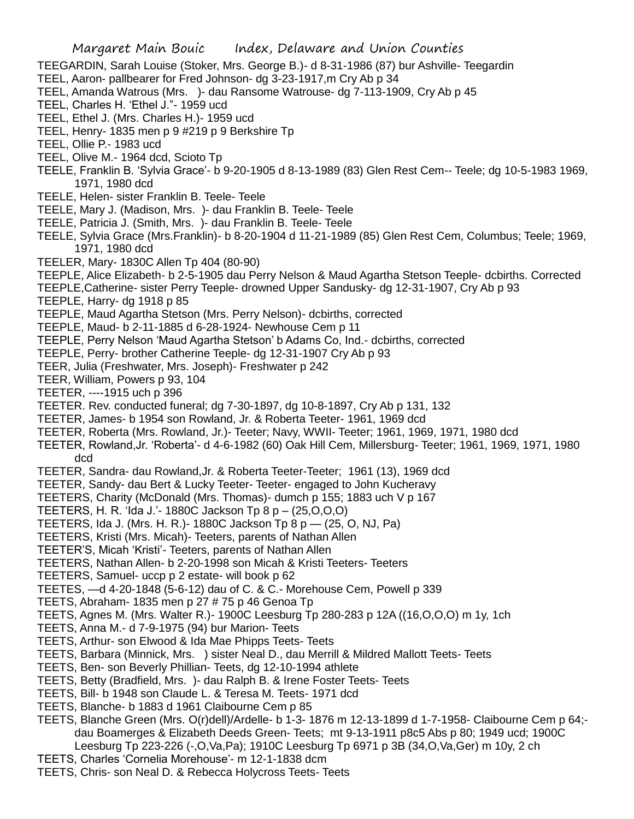TEEGARDIN, Sarah Louise (Stoker, Mrs. George B.)- d 8-31-1986 (87) bur Ashville- Teegardin

- TEEL, Aaron- pallbearer for Fred Johnson- dg 3-23-1917,m Cry Ab p 34
- TEEL, Amanda Watrous (Mrs. )- dau Ransome Watrouse- dg 7-113-1909, Cry Ab p 45
- TEEL, Charles H. 'Ethel J."- 1959 ucd
- TEEL, Ethel J. (Mrs. Charles H.)- 1959 ucd
- TEEL, Henry- 1835 men p 9 #219 p 9 Berkshire Tp
- TEEL, Ollie P.- 1983 ucd
- TEEL, Olive M.- 1964 dcd, Scioto Tp
- TEELE, Franklin B. 'Sylvia Grace'- b 9-20-1905 d 8-13-1989 (83) Glen Rest Cem-- Teele; dg 10-5-1983 1969, 1971, 1980 dcd
- TEELE, Helen- sister Franklin B. Teele- Teele
- TEELE, Mary J. (Madison, Mrs. )- dau Franklin B. Teele- Teele
- TEELE, Patricia J. (Smith, Mrs. )- dau Franklin B. Teele- Teele
- TEELE, Sylvia Grace (Mrs.Franklin)- b 8-20-1904 d 11-21-1989 (85) Glen Rest Cem, Columbus; Teele; 1969, 1971, 1980 dcd
- TEELER, Mary- 1830C Allen Tp 404 (80-90)
- TEEPLE, Alice Elizabeth- b 2-5-1905 dau Perry Nelson & Maud Agartha Stetson Teeple- dcbirths. Corrected
- TEEPLE,Catherine- sister Perry Teeple- drowned Upper Sandusky- dg 12-31-1907, Cry Ab p 93
- TEEPLE, Harry- dg 1918 p 85
- TEEPLE, Maud Agartha Stetson (Mrs. Perry Nelson)- dcbirths, corrected
- TEEPLE, Maud- b 2-11-1885 d 6-28-1924- Newhouse Cem p 11
- TEEPLE, Perry Nelson 'Maud Agartha Stetson' b Adams Co, Ind.- dcbirths, corrected
- TEEPLE, Perry- brother Catherine Teeple- dg 12-31-1907 Cry Ab p 93
- TEER, Julia (Freshwater, Mrs. Joseph)- Freshwater p 242
- TEER, William, Powers p 93, 104
- TEETER, ----1915 uch p 396
- TEETER. Rev. conducted funeral; dg 7-30-1897, dg 10-8-1897, Cry Ab p 131, 132
- TEETER, James- b 1954 son Rowland, Jr. & Roberta Teeter- 1961, 1969 dcd
- TEETER, Roberta (Mrs. Rowland, Jr.)- Teeter; Navy, WWII- Teeter; 1961, 1969, 1971, 1980 dcd
- TEETER, Rowland,Jr. 'Roberta'- d 4-6-1982 (60) Oak Hill Cem, Millersburg- Teeter; 1961, 1969, 1971, 1980 dcd
- TEETER, Sandra- dau Rowland,Jr. & Roberta Teeter-Teeter; 1961 (13), 1969 dcd
- TEETER, Sandy- dau Bert & Lucky Teeter- Teeter- engaged to John Kucheravy
- TEETERS, Charity (McDonald (Mrs. Thomas)- dumch p 155; 1883 uch V p 167
- TEETERS, H. R. 'Ida J.'- 1880C Jackson Tp 8 p (25,O,O,O)
- TEETERS, Ida J. (Mrs. H. R.)- 1880C Jackson Tp 8 p (25, O, NJ, Pa)
- TEETERS, Kristi (Mrs. Micah)- Teeters, parents of Nathan Allen
- TEETER'S, Micah 'Kristi'- Teeters, parents of Nathan Allen
- TEETERS, Nathan Allen- b 2-20-1998 son Micah & Kristi Teeters- Teeters
- TEETERS, Samuel- uccp p 2 estate- will book p 62
- TEETES, —d 4-20-1848 (5-6-12) dau of C. & C.- Morehouse Cem, Powell p 339
- TEETS, Abraham- 1835 men p 27 # 75 p 46 Genoa Tp
- TEETS, Agnes M. (Mrs. Walter R.)- 1900C Leesburg Tp 280-283 p 12A ((16,O,O,O) m 1y, 1ch
- TEETS, Anna M.- d 7-9-1975 (94) bur Marion- Teets
- TEETS, Arthur- son Elwood & Ida Mae Phipps Teets- Teets
- TEETS, Barbara (Minnick, Mrs. ) sister Neal D., dau Merrill & Mildred Mallott Teets- Teets
- TEETS, Ben- son Beverly Phillian- Teets, dg 12-10-1994 athlete
- TEETS, Betty (Bradfield, Mrs. )- dau Ralph B. & Irene Foster Teets- Teets
- TEETS, Bill- b 1948 son Claude L. & Teresa M. Teets- 1971 dcd
- TEETS, Blanche- b 1883 d 1961 Claibourne Cem p 85
- TEETS, Blanche Green (Mrs. O(r)dell)/Ardelle- b 1-3- 1876 m 12-13-1899 d 1-7-1958- Claibourne Cem p 64; dau Boamerges & Elizabeth Deeds Green- Teets; mt 9-13-1911 p8c5 Abs p 80; 1949 ucd; 1900C Leesburg Tp 223-226 (-,O,Va,Pa); 1910C Leesburg Tp 6971 p 3B (34,O,Va,Ger) m 10y, 2 ch
- TEETS, Charles 'Cornelia Morehouse'- m 12-1-1838 dcm
- TEETS, Chris- son Neal D. & Rebecca Holycross Teets- Teets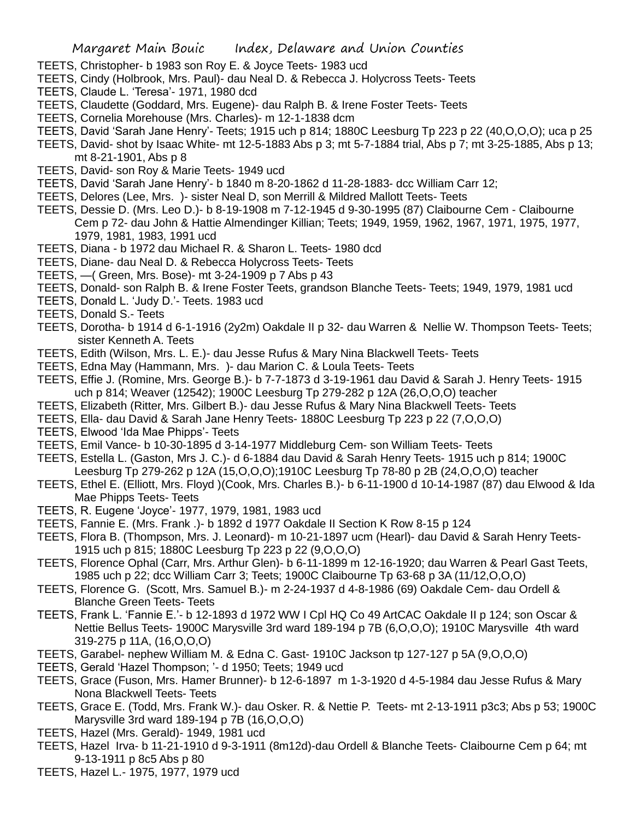- TEETS, Christopher- b 1983 son Roy E. & Joyce Teets- 1983 ucd
- TEETS, Cindy (Holbrook, Mrs. Paul)- dau Neal D. & Rebecca J. Holycross Teets- Teets
- TEETS, Claude L. 'Teresa'- 1971, 1980 dcd
- TEETS, Claudette (Goddard, Mrs. Eugene)- dau Ralph B. & Irene Foster Teets- Teets
- TEETS, Cornelia Morehouse (Mrs. Charles)- m 12-1-1838 dcm
- TEETS, David 'Sarah Jane Henry'- Teets; 1915 uch p 814; 1880C Leesburg Tp 223 p 22 (40,O,O,O); uca p 25
- TEETS, David- shot by Isaac White- mt 12-5-1883 Abs p 3; mt 5-7-1884 trial, Abs p 7; mt 3-25-1885, Abs p 13; mt 8-21-1901, Abs p 8
- TEETS, David- son Roy & Marie Teets- 1949 ucd
- TEETS, David 'Sarah Jane Henry'- b 1840 m 8-20-1862 d 11-28-1883- dcc William Carr 12;
- TEETS, Delores (Lee, Mrs. )- sister Neal D, son Merrill & Mildred Mallott Teets- Teets
- TEETS, Dessie D. (Mrs. Leo D.)- b 8-19-1908 m 7-12-1945 d 9-30-1995 (87) Claibourne Cem Claibourne Cem p 72- dau John & Hattie Almendinger Killian; Teets; 1949, 1959, 1962, 1967, 1971, 1975, 1977, 1979, 1981, 1983, 1991 ucd
- TEETS, Diana b 1972 dau Michael R. & Sharon L. Teets- 1980 dcd
- TEETS, Diane- dau Neal D. & Rebecca Holycross Teets- Teets
- TEETS, —( Green, Mrs. Bose)- mt 3-24-1909 p 7 Abs p 43
- TEETS, Donald- son Ralph B. & Irene Foster Teets, grandson Blanche Teets- Teets; 1949, 1979, 1981 ucd
- TEETS, Donald L. 'Judy D.'- Teets. 1983 ucd
- TEETS, Donald S.- Teets
- TEETS, Dorotha- b 1914 d 6-1-1916 (2y2m) Oakdale II p 32- dau Warren & Nellie W. Thompson Teets- Teets; sister Kenneth A. Teets
- TEETS, Edith (Wilson, Mrs. L. E.)- dau Jesse Rufus & Mary Nina Blackwell Teets- Teets
- TEETS, Edna May (Hammann, Mrs. )- dau Marion C. & Loula Teets- Teets
- TEETS, Effie J. (Romine, Mrs. George B.)- b 7-7-1873 d 3-19-1961 dau David & Sarah J. Henry Teets- 1915 uch p 814; Weaver (12542); 1900C Leesburg Tp 279-282 p 12A (26,O,O,O) teacher
- TEETS, Elizabeth (Ritter, Mrs. Gilbert B.)- dau Jesse Rufus & Mary Nina Blackwell Teets- Teets
- TEETS, Ella- dau David & Sarah Jane Henry Teets- 1880C Leesburg Tp 223 p 22 (7,O,O,O)
- TEETS, Elwood 'Ida Mae Phipps'- Teets
- TEETS, Emil Vance- b 10-30-1895 d 3-14-1977 Middleburg Cem- son William Teets- Teets
- TEETS, Estella L. (Gaston, Mrs J. C.)- d 6-1884 dau David & Sarah Henry Teets- 1915 uch p 814; 1900C Leesburg Tp 279-262 p 12A (15,O,O,O);1910C Leesburg Tp 78-80 p 2B (24,O,O,O) teacher
- TEETS, Ethel E. (Elliott, Mrs. Floyd )(Cook, Mrs. Charles B.)- b 6-11-1900 d 10-14-1987 (87) dau Elwood & Ida Mae Phipps Teets- Teets
- TEETS, R. Eugene 'Joyce'- 1977, 1979, 1981, 1983 ucd
- TEETS, Fannie E. (Mrs. Frank .)- b 1892 d 1977 Oakdale II Section K Row 8-15 p 124
- TEETS, Flora B. (Thompson, Mrs. J. Leonard)- m 10-21-1897 ucm (Hearl)- dau David & Sarah Henry Teets-1915 uch p 815; 1880C Leesburg Tp 223 p 22 (9,O,O,O)
- TEETS, Florence Ophal (Carr, Mrs. Arthur Glen)- b 6-11-1899 m 12-16-1920; dau Warren & Pearl Gast Teets, 1985 uch p 22; dcc William Carr 3; Teets; 1900C Claibourne Tp 63-68 p 3A (11/12,O,O,O)
- TEETS, Florence G. (Scott, Mrs. Samuel B.)- m 2-24-1937 d 4-8-1986 (69) Oakdale Cem- dau Ordell & Blanche Green Teets- Teets
- TEETS, Frank L. 'Fannie E.'- b 12-1893 d 1972 WW I Cpl HQ Co 49 ArtCAC Oakdale II p 124; son Oscar & Nettie Bellus Teets- 1900C Marysville 3rd ward 189-194 p 7B (6,O,O,O); 1910C Marysville 4th ward 319-275 p 11A, (16,O,O,O)
- TEETS, Garabel- nephew William M. & Edna C. Gast- 1910C Jackson tp 127-127 p 5A (9,O,O,O)
- TEETS, Gerald 'Hazel Thompson; '- d 1950; Teets; 1949 ucd
- TEETS, Grace (Fuson, Mrs. Hamer Brunner)- b 12-6-1897 m 1-3-1920 d 4-5-1984 dau Jesse Rufus & Mary Nona Blackwell Teets- Teets
- TEETS, Grace E. (Todd, Mrs. Frank W.)- dau Osker. R. & Nettie P. Teets- mt 2-13-1911 p3c3; Abs p 53; 1900C Marysville 3rd ward 189-194 p 7B (16,O,O,O)
- TEETS, Hazel (Mrs. Gerald)- 1949, 1981 ucd
- TEETS, Hazel Irva- b 11-21-1910 d 9-3-1911 (8m12d)-dau Ordell & Blanche Teets- Claibourne Cem p 64; mt 9-13-1911 p 8c5 Abs p 80
- TEETS, Hazel L.- 1975, 1977, 1979 ucd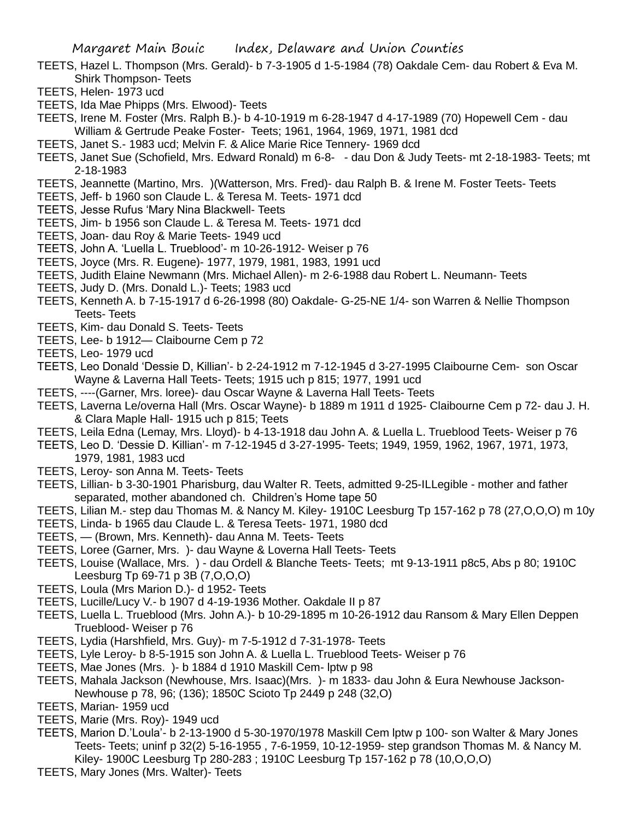- TEETS, Hazel L. Thompson (Mrs. Gerald)- b 7-3-1905 d 1-5-1984 (78) Oakdale Cem- dau Robert & Eva M. Shirk Thompson- Teets
- TEETS, Helen- 1973 ucd
- TEETS, Ida Mae Phipps (Mrs. Elwood)- Teets
- TEETS, Irene M. Foster (Mrs. Ralph B.)- b 4-10-1919 m 6-28-1947 d 4-17-1989 (70) Hopewell Cem dau William & Gertrude Peake Foster- Teets; 1961, 1964, 1969, 1971, 1981 dcd
- TEETS, Janet S.- 1983 ucd; Melvin F. & Alice Marie Rice Tennery- 1969 dcd
- TEETS, Janet Sue (Schofield, Mrs. Edward Ronald) m 6-8- dau Don & Judy Teets- mt 2-18-1983- Teets; mt 2-18-1983
- TEETS, Jeannette (Martino, Mrs. )(Watterson, Mrs. Fred)- dau Ralph B. & Irene M. Foster Teets- Teets
- TEETS, Jeff- b 1960 son Claude L. & Teresa M. Teets- 1971 dcd
- TEETS, Jesse Rufus 'Mary Nina Blackwell- Teets
- TEETS, Jim- b 1956 son Claude L. & Teresa M. Teets- 1971 dcd
- TEETS, Joan- dau Roy & Marie Teets- 1949 ucd
- TEETS, John A. 'Luella L. Trueblood'- m 10-26-1912- Weiser p 76
- TEETS, Joyce (Mrs. R. Eugene)- 1977, 1979, 1981, 1983, 1991 ucd
- TEETS, Judith Elaine Newmann (Mrs. Michael Allen)- m 2-6-1988 dau Robert L. Neumann- Teets
- TEETS, Judy D. (Mrs. Donald L.)- Teets; 1983 ucd
- TEETS, Kenneth A. b 7-15-1917 d 6-26-1998 (80) Oakdale- G-25-NE 1/4- son Warren & Nellie Thompson Teets- Teets
- TEETS, Kim- dau Donald S. Teets- Teets
- TEETS, Lee- b 1912— Claibourne Cem p 72
- TEETS, Leo- 1979 ucd
- TEETS, Leo Donald 'Dessie D, Killian'- b 2-24-1912 m 7-12-1945 d 3-27-1995 Claibourne Cem- son Oscar Wayne & Laverna Hall Teets- Teets; 1915 uch p 815; 1977, 1991 ucd
- TEETS, ----(Garner, Mrs. loree)- dau Oscar Wayne & Laverna Hall Teets- Teets
- TEETS, Laverna Le/overna Hall (Mrs. Oscar Wayne)- b 1889 m 1911 d 1925- Claibourne Cem p 72- dau J. H. & Clara Maple Hall- 1915 uch p 815; Teets
- TEETS, Leila Edna (Lemay, Mrs. Lloyd)- b 4-13-1918 dau John A. & Luella L. Trueblood Teets- Weiser p 76
- TEETS, Leo D. 'Dessie D. Killian'- m 7-12-1945 d 3-27-1995- Teets; 1949, 1959, 1962, 1967, 1971, 1973, 1979, 1981, 1983 ucd
- TEETS, Leroy- son Anna M. Teets- Teets
- TEETS, Lillian- b 3-30-1901 Pharisburg, dau Walter R. Teets, admitted 9-25-ILLegible mother and father separated, mother abandoned ch. Children's Home tape 50
- TEETS, Lilian M.- step dau Thomas M. & Nancy M. Kiley- 1910C Leesburg Tp 157-162 p 78 (27,O,O,O) m 10y
- TEETS, Linda- b 1965 dau Claude L. & Teresa Teets- 1971, 1980 dcd
- TEETS, (Brown, Mrs. Kenneth)- dau Anna M. Teets- Teets
- TEETS, Loree (Garner, Mrs. )- dau Wayne & Loverna Hall Teets- Teets
- TEETS, Louise (Wallace, Mrs. ) dau Ordell & Blanche Teets- Teets; mt 9-13-1911 p8c5, Abs p 80; 1910C Leesburg Tp 69-71 p 3B (7,O,O,O)
- TEETS, Loula (Mrs Marion D.)- d 1952- Teets
- TEETS, Lucille/Lucy V.- b 1907 d 4-19-1936 Mother. Oakdale II p 87
- TEETS, Luella L. Trueblood (Mrs. John A.)- b 10-29-1895 m 10-26-1912 dau Ransom & Mary Ellen Deppen Trueblood- Weiser p 76
- TEETS, Lydia (Harshfield, Mrs. Guy)- m 7-5-1912 d 7-31-1978- Teets
- TEETS, Lyle Leroy- b 8-5-1915 son John A. & Luella L. Trueblood Teets- Weiser p 76
- TEETS, Mae Jones (Mrs. )- b 1884 d 1910 Maskill Cem- lptw p 98
- TEETS, Mahala Jackson (Newhouse, Mrs. Isaac)(Mrs. )- m 1833- dau John & Eura Newhouse Jackson-Newhouse p 78, 96; (136); 1850C Scioto Tp 2449 p 248 (32,O)
- TEETS, Marian- 1959 ucd
- TEETS, Marie (Mrs. Roy)- 1949 ucd
- TEETS, Marion D.'Loula'- b 2-13-1900 d 5-30-1970/1978 Maskill Cem lptw p 100- son Walter & Mary Jones Teets- Teets; uninf p 32(2) 5-16-1955 , 7-6-1959, 10-12-1959- step grandson Thomas M. & Nancy M. Kiley- 1900C Leesburg Tp 280-283 ; 1910C Leesburg Tp 157-162 p 78 (10,O,O,O)
- TEETS, Mary Jones (Mrs. Walter)- Teets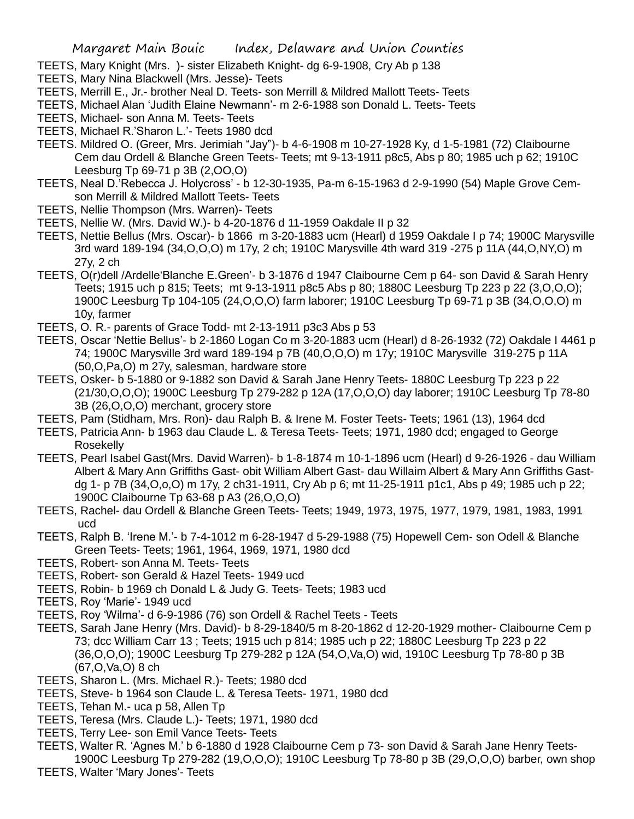- TEETS, Mary Knight (Mrs. )- sister Elizabeth Knight- dg 6-9-1908, Cry Ab p 138
- TEETS, Mary Nina Blackwell (Mrs. Jesse)- Teets
- TEETS, Merrill E., Jr.- brother Neal D. Teets- son Merrill & Mildred Mallott Teets- Teets
- TEETS, Michael Alan 'Judith Elaine Newmann'- m 2-6-1988 son Donald L. Teets- Teets
- TEETS, Michael- son Anna M. Teets- Teets
- TEETS, Michael R.'Sharon L.'- Teets 1980 dcd
- TEETS. Mildred O. (Greer, Mrs. Jerimiah "Jay")- b 4-6-1908 m 10-27-1928 Ky, d 1-5-1981 (72) Claibourne Cem dau Ordell & Blanche Green Teets- Teets; mt 9-13-1911 p8c5, Abs p 80; 1985 uch p 62; 1910C Leesburg Tp 69-71 p 3B (2,OO,O)
- TEETS, Neal D.'Rebecca J. Holycross' b 12-30-1935, Pa-m 6-15-1963 d 2-9-1990 (54) Maple Grove Cemson Merrill & Mildred Mallott Teets- Teets
- TEETS, Nellie Thompson (Mrs. Warren)- Teets
- TEETS, Nellie W. (Mrs. David W.)- b 4-20-1876 d 11-1959 Oakdale II p 32
- TEETS, Nettie Bellus (Mrs. Oscar)- b 1866 m 3-20-1883 ucm (Hearl) d 1959 Oakdale I p 74; 1900C Marysville 3rd ward 189-194 (34,O,O,O) m 17y, 2 ch; 1910C Marysville 4th ward 319 -275 p 11A (44,O,NY,O) m 27y, 2 ch
- TEETS, O(r)dell /Ardelle'Blanche E.Green'- b 3-1876 d 1947 Claibourne Cem p 64- son David & Sarah Henry Teets; 1915 uch p 815; Teets; mt 9-13-1911 p8c5 Abs p 80; 1880C Leesburg Tp 223 p 22 (3,O,O,O); 1900C Leesburg Tp 104-105 (24,O,O,O) farm laborer; 1910C Leesburg Tp 69-71 p 3B (34,O,O,O) m 10y, farmer
- TEETS, O. R.- parents of Grace Todd- mt 2-13-1911 p3c3 Abs p 53
- TEETS, Oscar 'Nettie Bellus'- b 2-1860 Logan Co m 3-20-1883 ucm (Hearl) d 8-26-1932 (72) Oakdale I 4461 p 74; 1900C Marysville 3rd ward 189-194 p 7B (40,O,O,O) m 17y; 1910C Marysville 319-275 p 11A (50,O,Pa,O) m 27y, salesman, hardware store
- TEETS, Osker- b 5-1880 or 9-1882 son David & Sarah Jane Henry Teets- 1880C Leesburg Tp 223 p 22 (21/30,O,O,O); 1900C Leesburg Tp 279-282 p 12A (17,O,O,O) day laborer; 1910C Leesburg Tp 78-80 3B (26,O,O,O) merchant, grocery store
- TEETS, Pam (Stidham, Mrs. Ron)- dau Ralph B. & Irene M. Foster Teets- Teets; 1961 (13), 1964 dcd
- TEETS, Patricia Ann- b 1963 dau Claude L. & Teresa Teets- Teets; 1971, 1980 dcd; engaged to George Rosekelly
- TEETS, Pearl Isabel Gast(Mrs. David Warren)- b 1-8-1874 m 10-1-1896 ucm (Hearl) d 9-26-1926 dau William Albert & Mary Ann Griffiths Gast- obit William Albert Gast- dau Willaim Albert & Mary Ann Griffiths Gastdg 1- p 7B (34,O,o,O) m 17y, 2 ch31-1911, Cry Ab p 6; mt 11-25-1911 p1c1, Abs p 49; 1985 uch p 22; 1900C Claibourne Tp 63-68 p A3 (26,O,O,O)
- TEETS, Rachel- dau Ordell & Blanche Green Teets- Teets; 1949, 1973, 1975, 1977, 1979, 1981, 1983, 1991 ucd
- TEETS, Ralph B. 'Irene M.'- b 7-4-1012 m 6-28-1947 d 5-29-1988 (75) Hopewell Cem- son Odell & Blanche Green Teets- Teets; 1961, 1964, 1969, 1971, 1980 dcd
- TEETS, Robert- son Anna M. Teets- Teets
- TEETS, Robert- son Gerald & Hazel Teets- 1949 ucd
- TEETS, Robin- b 1969 ch Donald L & Judy G. Teets- Teets; 1983 ucd
- TEETS, Roy 'Marie'- 1949 ucd
- TEETS, Roy 'Wilma'- d 6-9-1986 (76) son Ordell & Rachel Teets Teets
- TEETS, Sarah Jane Henry (Mrs. David)- b 8-29-1840/5 m 8-20-1862 d 12-20-1929 mother- Claibourne Cem p 73; dcc William Carr 13 ; Teets; 1915 uch p 814; 1985 uch p 22; 1880C Leesburg Tp 223 p 22 (36,O,O,O); 1900C Leesburg Tp 279-282 p 12A (54,O,Va,O) wid, 1910C Leesburg Tp 78-80 p 3B (67,O,Va,O) 8 ch
- TEETS, Sharon L. (Mrs. Michael R.)- Teets; 1980 dcd
- TEETS, Steve- b 1964 son Claude L. & Teresa Teets- 1971, 1980 dcd
- TEETS, Tehan M.- uca p 58, Allen Tp
- TEETS, Teresa (Mrs. Claude L.)- Teets; 1971, 1980 dcd
- TEETS, Terry Lee- son Emil Vance Teets- Teets
- TEETS, Walter R. 'Agnes M.' b 6-1880 d 1928 Claibourne Cem p 73- son David & Sarah Jane Henry Teets-1900C Leesburg Tp 279-282 (19,O,O,O); 1910C Leesburg Tp 78-80 p 3B (29,O,O,O) barber, own shop
- TEETS, Walter 'Mary Jones'- Teets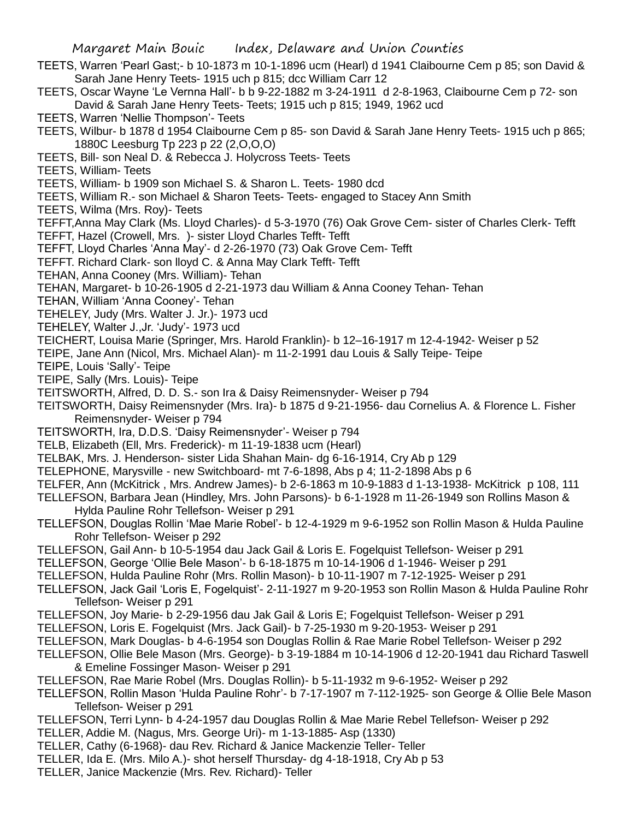- TEETS, Warren 'Pearl Gast;- b 10-1873 m 10-1-1896 ucm (Hearl) d 1941 Claibourne Cem p 85; son David & Sarah Jane Henry Teets- 1915 uch p 815; dcc William Carr 12
- TEETS, Oscar Wayne 'Le Vernna Hall'- b b 9-22-1882 m 3-24-1911 d 2-8-1963, Claibourne Cem p 72- son David & Sarah Jane Henry Teets- Teets; 1915 uch p 815; 1949, 1962 ucd
- TEETS, Warren 'Nellie Thompson'- Teets
- TEETS, Wilbur- b 1878 d 1954 Claibourne Cem p 85- son David & Sarah Jane Henry Teets- 1915 uch p 865; 1880C Leesburg Tp 223 p 22 (2,O,O,O)
- TEETS, Bill- son Neal D. & Rebecca J. Holycross Teets- Teets
- TEETS, William- Teets
- TEETS, William- b 1909 son Michael S. & Sharon L. Teets- 1980 dcd
- TEETS, William R.- son Michael & Sharon Teets- Teets- engaged to Stacey Ann Smith
- TEETS, Wilma (Mrs. Roy)- Teets
- TEFFT,Anna May Clark (Ms. Lloyd Charles)- d 5-3-1970 (76) Oak Grove Cem- sister of Charles Clerk- Tefft TEFFT, Hazel (Crowell, Mrs. )- sister Lloyd Charles Tefft- Tefft
- TEFFT, Lloyd Charles 'Anna May'- d 2-26-1970 (73) Oak Grove Cem- Tefft
- TEFFT. Richard Clark- son lloyd C. & Anna May Clark Tefft- Tefft
- TEHAN, Anna Cooney (Mrs. William)- Tehan
- TEHAN, Margaret- b 10-26-1905 d 2-21-1973 dau William & Anna Cooney Tehan- Tehan
- TEHAN, William 'Anna Cooney'- Tehan
- TEHELEY, Judy (Mrs. Walter J. Jr.)- 1973 ucd
- TEHELEY, Walter J.,Jr. 'Judy'- 1973 ucd
- TEICHERT, Louisa Marie (Springer, Mrs. Harold Franklin)- b 12–16-1917 m 12-4-1942- Weiser p 52
- TEIPE, Jane Ann (Nicol, Mrs. Michael Alan)- m 11-2-1991 dau Louis & Sally Teipe- Teipe
- TEIPE, Louis 'Sally'- Teipe
- TEIPE, Sally (Mrs. Louis)- Teipe
- TEITSWORTH, Alfred, D. D. S.- son Ira & Daisy Reimensnyder- Weiser p 794
- TEITSWORTH, Daisy Reimensnyder (Mrs. Ira)- b 1875 d 9-21-1956- dau Cornelius A. & Florence L. Fisher Reimensnyder- Weiser p 794
- TEITSWORTH, Ira, D.D.S. 'Daisy Reimensnyder'- Weiser p 794
- TELB, Elizabeth (Ell, Mrs. Frederick)- m 11-19-1838 ucm (Hearl)
- TELBAK, Mrs. J. Henderson- sister Lida Shahan Main- dg 6-16-1914, Cry Ab p 129
- TELEPHONE, Marysville new Switchboard- mt 7-6-1898, Abs p 4; 11-2-1898 Abs p 6
- TELFER, Ann (McKitrick , Mrs. Andrew James)- b 2-6-1863 m 10-9-1883 d 1-13-1938- McKitrick p 108, 111
- TELLEFSON, Barbara Jean (Hindley, Mrs. John Parsons)- b 6-1-1928 m 11-26-1949 son Rollins Mason & Hylda Pauline Rohr Tellefson- Weiser p 291
- TELLEFSON, Douglas Rollin 'Mae Marie Robel'- b 12-4-1929 m 9-6-1952 son Rollin Mason & Hulda Pauline Rohr Tellefson- Weiser p 292
- TELLEFSON, Gail Ann- b 10-5-1954 dau Jack Gail & Loris E. Fogelquist Tellefson- Weiser p 291
- TELLEFSON, George 'Ollie Bele Mason'- b 6-18-1875 m 10-14-1906 d 1-1946- Weiser p 291
- TELLEFSON, Hulda Pauline Rohr (Mrs. Rollin Mason)- b 10-11-1907 m 7-12-1925- Weiser p 291
- TELLEFSON, Jack Gail 'Loris E, Fogelquist'- 2-11-1927 m 9-20-1953 son Rollin Mason & Hulda Pauline Rohr Tellefson- Weiser p 291
- TELLEFSON, Joy Marie- b 2-29-1956 dau Jak Gail & Loris E; Fogelquist Tellefson- Weiser p 291
- TELLEFSON, Loris E. Fogelquist (Mrs. Jack Gail)- b 7-25-1930 m 9-20-1953- Weiser p 291
- TELLEFSON, Mark Douglas- b 4-6-1954 son Douglas Rollin & Rae Marie Robel Tellefson- Weiser p 292
- TELLEFSON, Ollie Bele Mason (Mrs. George)- b 3-19-1884 m 10-14-1906 d 12-20-1941 dau Richard Taswell & Emeline Fossinger Mason- Weiser p 291
- TELLEFSON, Rae Marie Robel (Mrs. Douglas Rollin)- b 5-11-1932 m 9-6-1952- Weiser p 292
- TELLEFSON, Rollin Mason 'Hulda Pauline Rohr'- b 7-17-1907 m 7-112-1925- son George & Ollie Bele Mason Tellefson- Weiser p 291
- TELLEFSON, Terri Lynn- b 4-24-1957 dau Douglas Rollin & Mae Marie Rebel Tellefson- Weiser p 292
- TELLER, Addie M. (Nagus, Mrs. George Uri)- m 1-13-1885- Asp (1330)
- TELLER, Cathy (6-1968)- dau Rev. Richard & Janice Mackenzie Teller- Teller
- TELLER, Ida E. (Mrs. Milo A.)- shot herself Thursday- dg 4-18-1918, Cry Ab p 53
- TELLER, Janice Mackenzie (Mrs. Rev. Richard)- Teller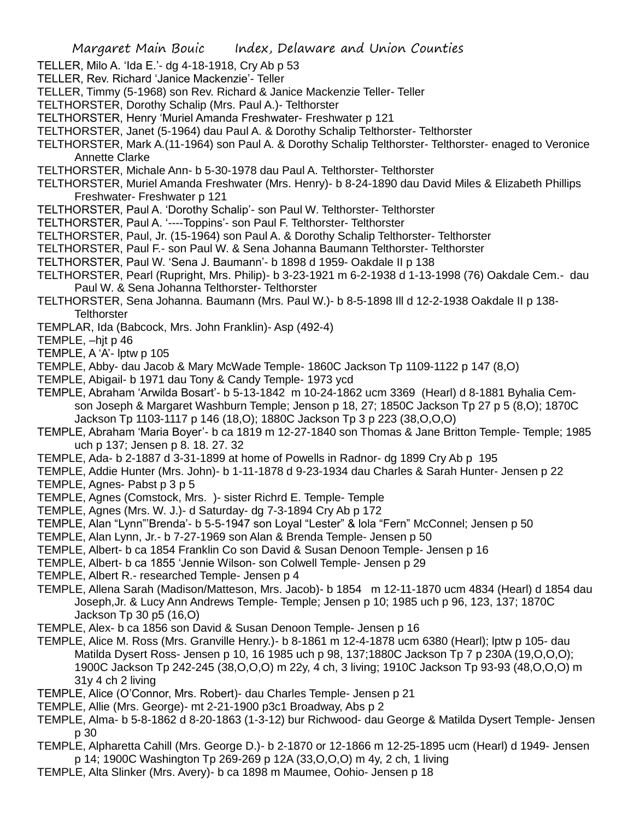- TELLER, Milo A. 'Ida E.'- dg 4-18-1918, Cry Ab p 53
- TELLER, Rev. Richard 'Janice Mackenzie'- Teller
- TELLER, Timmy (5-1968) son Rev. Richard & Janice Mackenzie Teller- Teller
- TELTHORSTER, Dorothy Schalip (Mrs. Paul A.)- Telthorster
- TELTHORSTER, Henry 'Muriel Amanda Freshwater- Freshwater p 121
- TELTHORSTER, Janet (5-1964) dau Paul A. & Dorothy Schalip Telthorster- Telthorster
- TELTHORSTER, Mark A.(11-1964) son Paul A. & Dorothy Schalip Telthorster- Telthorster- enaged to Veronice Annette Clarke
- TELTHORSTER, Michale Ann- b 5-30-1978 dau Paul A. Telthorster- Telthorster
- TELTHORSTER, Muriel Amanda Freshwater (Mrs. Henry)- b 8-24-1890 dau David Miles & Elizabeth Phillips Freshwater- Freshwater p 121
- TELTHORSTER, Paul A. 'Dorothy Schalip'- son Paul W. Telthorster- Telthorster
- TELTHORSTER, Paul A. '----Toppins'- son Paul F. Telthorster- Telthorster
- TELTHORSTER, Paul, Jr. (15-1964) son Paul A. & Dorothy Schalip Telthorster- Telthorster
- TELTHORSTER, Paul F.- son Paul W. & Sena Johanna Baumann Telthorster- Telthorster
- TELTHORSTER, Paul W. 'Sena J. Baumann'- b 1898 d 1959- Oakdale II p 138
- TELTHORSTER, Pearl (Rupright, Mrs. Philip)- b 3-23-1921 m 6-2-1938 d 1-13-1998 (76) Oakdale Cem.- dau Paul W. & Sena Johanna Telthorster- Telthorster
- TELTHORSTER, Sena Johanna. Baumann (Mrs. Paul W.)- b 8-5-1898 Ill d 12-2-1938 Oakdale II p 138- **Telthorster**
- TEMPLAR, Ida (Babcock, Mrs. John Franklin)- Asp (492-4)
- TEMPLE, –hjt p 46
- TEMPLE, A 'A'- lptw p 105
- TEMPLE, Abby- dau Jacob & Mary McWade Temple- 1860C Jackson Tp 1109-1122 p 147 (8,O)
- TEMPLE, Abigail- b 1971 dau Tony & Candy Temple- 1973 ycd
- TEMPLE, Abraham 'Arwilda Bosart'- b 5-13-1842 m 10-24-1862 ucm 3369 (Hearl) d 8-1881 Byhalia Cemson Joseph & Margaret Washburn Temple; Jenson p 18, 27; 1850C Jackson Tp 27 p 5 (8,O); 1870C Jackson Tp 1103-1117 p 146 (18,O); 1880C Jackson Tp 3 p 223 (38,O,O,O)
- TEMPLE, Abraham 'Maria Boyer'- b ca 1819 m 12-27-1840 son Thomas & Jane Britton Temple- Temple; 1985 uch p 137; Jensen p 8. 18. 27. 32
- TEMPLE, Ada- b 2-1887 d 3-31-1899 at home of Powells in Radnor- dg 1899 Cry Ab p 195
- TEMPLE, Addie Hunter (Mrs. John)- b 1-11-1878 d 9-23-1934 dau Charles & Sarah Hunter- Jensen p 22 TEMPLE, Agnes- Pabst p 3 p 5
- TEMPLE, Agnes (Comstock, Mrs. )- sister Richrd E. Temple- Temple
- TEMPLE, Agnes (Mrs. W. J.)- d Saturday- dg 7-3-1894 Cry Ab p 172
- TEMPLE, Alan "Lynn"'Brenda'- b 5-5-1947 son Loyal "Lester" & lola "Fern" McConnel; Jensen p 50
- TEMPLE, Alan Lynn, Jr.- b 7-27-1969 son Alan & Brenda Temple- Jensen p 50
- TEMPLE, Albert- b ca 1854 Franklin Co son David & Susan Denoon Temple- Jensen p 16
- TEMPLE, Albert- b ca 1855 'Jennie Wilson- son Colwell Temple- Jensen p 29
- TEMPLE, Albert R.- researched Temple- Jensen p 4
- TEMPLE, Allena Sarah (Madison/Matteson, Mrs. Jacob)- b 1854 m 12-11-1870 ucm 4834 (Hearl) d 1854 dau Joseph,Jr. & Lucy Ann Andrews Temple- Temple; Jensen p 10; 1985 uch p 96, 123, 137; 1870C Jackson Tp 30 p5 (16,O)
- TEMPLE, Alex- b ca 1856 son David & Susan Denoon Temple- Jensen p 16
- TEMPLE, Alice M. Ross (Mrs. Granville Henry.)- b 8-1861 m 12-4-1878 ucm 6380 (Hearl); lptw p 105- dau Matilda Dysert Ross- Jensen p 10, 16 1985 uch p 98, 137;1880C Jackson Tp 7 p 230A (19,O,O,O); 1900C Jackson Tp 242-245 (38,O,O,O) m 22y, 4 ch, 3 living; 1910C Jackson Tp 93-93 (48,O,O,O) m 31y 4 ch 2 living
- TEMPLE, Alice (O'Connor, Mrs. Robert)- dau Charles Temple- Jensen p 21
- TEMPLE, Allie (Mrs. George)- mt 2-21-1900 p3c1 Broadway, Abs p 2
- TEMPLE, Alma- b 5-8-1862 d 8-20-1863 (1-3-12) bur Richwood- dau George & Matilda Dysert Temple- Jensen p 30
- TEMPLE, Alpharetta Cahill (Mrs. George D.)- b 2-1870 or 12-1866 m 12-25-1895 ucm (Hearl) d 1949- Jensen p 14; 1900C Washington Tp 269-269 p 12A (33,O,O,O) m 4y, 2 ch, 1 living
- TEMPLE, Alta Slinker (Mrs. Avery)- b ca 1898 m Maumee, Oohio- Jensen p 18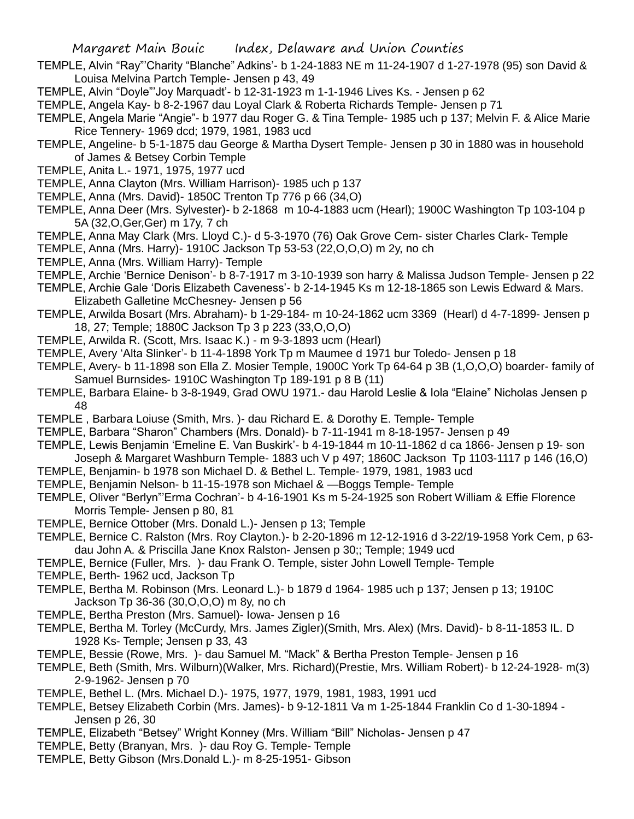- TEMPLE, Alvin "Ray"'Charity "Blanche" Adkins'- b 1-24-1883 NE m 11-24-1907 d 1-27-1978 (95) son David & Louisa Melvina Partch Temple- Jensen p 43, 49
- TEMPLE, Alvin "Doyle"'Joy Marquadt'- b 12-31-1923 m 1-1-1946 Lives Ks. Jensen p 62
- TEMPLE, Angela Kay- b 8-2-1967 dau Loyal Clark & Roberta Richards Temple- Jensen p 71
- TEMPLE, Angela Marie "Angie"- b 1977 dau Roger G. & Tina Temple- 1985 uch p 137; Melvin F. & Alice Marie Rice Tennery- 1969 dcd; 1979, 1981, 1983 ucd
- TEMPLE, Angeline- b 5-1-1875 dau George & Martha Dysert Temple- Jensen p 30 in 1880 was in household of James & Betsey Corbin Temple
- TEMPLE, Anita L.- 1971, 1975, 1977 ucd
- TEMPLE, Anna Clayton (Mrs. William Harrison)- 1985 uch p 137
- TEMPLE, Anna (Mrs. David)- 1850C Trenton Tp 776 p 66 (34,O)
- TEMPLE, Anna Deer (Mrs. Sylvester)- b 2-1868 m 10-4-1883 ucm (Hearl); 1900C Washington Tp 103-104 p 5A (32,O,Ger,Ger) m 17y, 7 ch
- TEMPLE, Anna May Clark (Mrs. Lloyd C.)- d 5-3-1970 (76) Oak Grove Cem- sister Charles Clark- Temple
- TEMPLE, Anna (Mrs. Harry)- 1910C Jackson Tp 53-53 (22,O,O,O) m 2y, no ch
- TEMPLE, Anna (Mrs. William Harry)- Temple
- TEMPLE, Archie 'Bernice Denison'- b 8-7-1917 m 3-10-1939 son harry & Malissa Judson Temple- Jensen p 22
- TEMPLE, Archie Gale 'Doris Elizabeth Caveness'- b 2-14-1945 Ks m 12-18-1865 son Lewis Edward & Mars. Elizabeth Galletine McChesney- Jensen p 56
- TEMPLE, Arwilda Bosart (Mrs. Abraham)- b 1-29-184- m 10-24-1862 ucm 3369 (Hearl) d 4-7-1899- Jensen p 18, 27; Temple; 1880C Jackson Tp 3 p 223 (33,O,O,O)
- TEMPLE, Arwilda R. (Scott, Mrs. Isaac K.) m 9-3-1893 ucm (Hearl)
- TEMPLE, Avery 'Alta Slinker'- b 11-4-1898 York Tp m Maumee d 1971 bur Toledo- Jensen p 18
- TEMPLE, Avery- b 11-1898 son Ella Z. Mosier Temple, 1900C York Tp 64-64 p 3B (1,O,O,O) boarder- family of Samuel Burnsides- 1910C Washington Tp 189-191 p 8 B (11)
- TEMPLE, Barbara Elaine- b 3-8-1949, Grad OWU 1971.- dau Harold Leslie & Iola "Elaine" Nicholas Jensen p 48
- TEMPLE , Barbara Loiuse (Smith, Mrs. )- dau Richard E. & Dorothy E. Temple- Temple
- TEMPLE, Barbara "Sharon" Chambers (Mrs. Donald)- b 7-11-1941 m 8-18-1957- Jensen p 49
- TEMPLE, Lewis Benjamin 'Emeline E. Van Buskirk'- b 4-19-1844 m 10-11-1862 d ca 1866- Jensen p 19- son Joseph & Margaret Washburn Temple- 1883 uch V p 497; 1860C Jackson Tp 1103-1117 p 146 (16,O)
- TEMPLE, Benjamin- b 1978 son Michael D. & Bethel L. Temple- 1979, 1981, 1983 ucd
- TEMPLE, Benjamin Nelson- b 11-15-1978 son Michael & —Boggs Temple- Temple
- TEMPLE, Oliver "Berlyn"'Erma Cochran'- b 4-16-1901 Ks m 5-24-1925 son Robert William & Effie Florence Morris Temple- Jensen p 80, 81
- TEMPLE, Bernice Ottober (Mrs. Donald L.)- Jensen p 13; Temple
- TEMPLE, Bernice C. Ralston (Mrs. Roy Clayton.)- b 2-20-1896 m 12-12-1916 d 3-22/19-1958 York Cem, p 63 dau John A. & Priscilla Jane Knox Ralston- Jensen p 30;; Temple; 1949 ucd
- TEMPLE, Bernice (Fuller, Mrs. )- dau Frank O. Temple, sister John Lowell Temple- Temple
- TEMPLE, Berth- 1962 ucd, Jackson Tp
- TEMPLE, Bertha M. Robinson (Mrs. Leonard L.)- b 1879 d 1964- 1985 uch p 137; Jensen p 13; 1910C Jackson Tp 36-36 (30,O,O,O) m 8y, no ch
- TEMPLE, Bertha Preston (Mrs. Samuel)- Iowa- Jensen p 16
- TEMPLE, Bertha M. Torley (McCurdy, Mrs. James Zigler)(Smith, Mrs. Alex) (Mrs. David)- b 8-11-1853 IL. D 1928 Ks- Temple; Jensen p 33, 43
- TEMPLE, Bessie (Rowe, Mrs. )- dau Samuel M. "Mack" & Bertha Preston Temple- Jensen p 16
- TEMPLE, Beth (Smith, Mrs. Wilburn)(Walker, Mrs. Richard)(Prestie, Mrs. William Robert)- b 12-24-1928- m(3) 2-9-1962- Jensen p 70
- TEMPLE, Bethel L. (Mrs. Michael D.)- 1975, 1977, 1979, 1981, 1983, 1991 ucd
- TEMPLE, Betsey Elizabeth Corbin (Mrs. James)- b 9-12-1811 Va m 1-25-1844 Franklin Co d 1-30-1894 Jensen p 26, 30
- TEMPLE, Elizabeth "Betsey" Wright Konney (Mrs. William "Bill" Nicholas- Jensen p 47
- TEMPLE, Betty (Branyan, Mrs. )- dau Roy G. Temple- Temple
- TEMPLE, Betty Gibson (Mrs.Donald L.)- m 8-25-1951- Gibson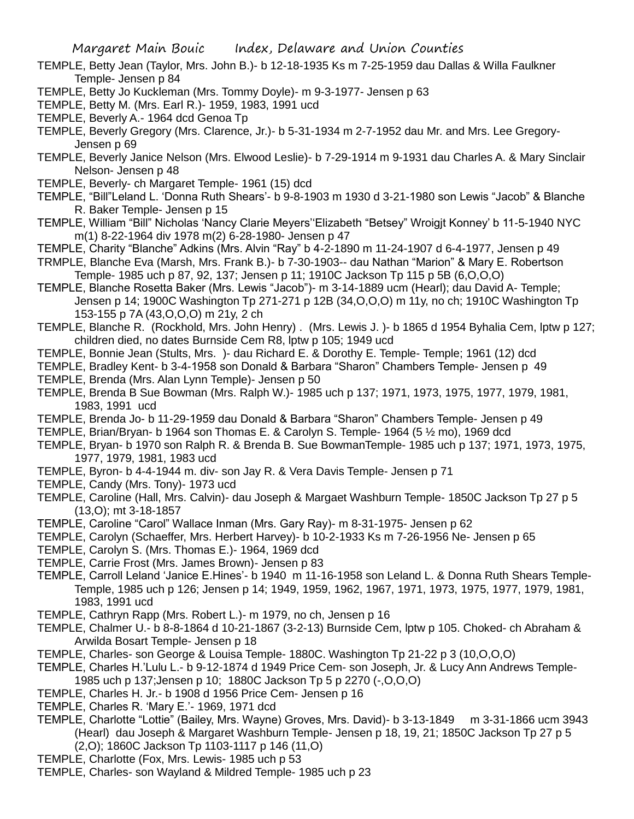- TEMPLE, Betty Jean (Taylor, Mrs. John B.)- b 12-18-1935 Ks m 7-25-1959 dau Dallas & Willa Faulkner Temple- Jensen p 84
- TEMPLE, Betty Jo Kuckleman (Mrs. Tommy Doyle)- m 9-3-1977- Jensen p 63
- TEMPLE, Betty M. (Mrs. Earl R.)- 1959, 1983, 1991 ucd
- TEMPLE, Beverly A.- 1964 dcd Genoa Tp
- TEMPLE, Beverly Gregory (Mrs. Clarence, Jr.)- b 5-31-1934 m 2-7-1952 dau Mr. and Mrs. Lee Gregory-Jensen p 69
- TEMPLE, Beverly Janice Nelson (Mrs. Elwood Leslie)- b 7-29-1914 m 9-1931 dau Charles A. & Mary Sinclair Nelson- Jensen p 48
- TEMPLE, Beverly- ch Margaret Temple- 1961 (15) dcd
- TEMPLE, "Bill"Leland L. 'Donna Ruth Shears'- b 9-8-1903 m 1930 d 3-21-1980 son Lewis "Jacob" & Blanche R. Baker Temple- Jensen p 15
- TEMPLE, William "Bill" Nicholas 'Nancy Clarie Meyers''Elizabeth "Betsey" Wroigjt Konney' b 11-5-1940 NYC m(1) 8-22-1964 div 1978 m(2) 6-28-1980- Jensen p 47
- TEMPLE, Charity "Blanche" Adkins (Mrs. Alvin "Ray" b 4-2-1890 m 11-24-1907 d 6-4-1977, Jensen p 49
- TRMPLE, Blanche Eva (Marsh, Mrs. Frank B.)- b 7-30-1903-- dau Nathan "Marion" & Mary E. Robertson Temple- 1985 uch p 87, 92, 137; Jensen p 11; 1910C Jackson Tp 115 p 5B (6,O,O,O)
- TEMPLE, Blanche Rosetta Baker (Mrs. Lewis "Jacob")- m 3-14-1889 ucm (Hearl); dau David A- Temple; Jensen p 14; 1900C Washington Tp 271-271 p 12B (34,O,O,O) m 11y, no ch; 1910C Washington Tp 153-155 p 7A (43,O,O,O) m 21y, 2 ch
- TEMPLE, Blanche R. (Rockhold, Mrs. John Henry) . (Mrs. Lewis J. )- b 1865 d 1954 Byhalia Cem, lptw p 127; children died, no dates Burnside Cem R8, lptw p 105; 1949 ucd
- TEMPLE, Bonnie Jean (Stults, Mrs. )- dau Richard E. & Dorothy E. Temple- Temple; 1961 (12) dcd
- TEMPLE, Bradley Kent- b 3-4-1958 son Donald & Barbara "Sharon" Chambers Temple- Jensen p 49 TEMPLE, Brenda (Mrs. Alan Lynn Temple)- Jensen p 50
- TEMPLE, Brenda B Sue Bowman (Mrs. Ralph W.)- 1985 uch p 137; 1971, 1973, 1975, 1977, 1979, 1981, 1983, 1991 ucd
- TEMPLE, Brenda Jo- b 11-29-1959 dau Donald & Barbara "Sharon" Chambers Temple- Jensen p 49
- TEMPLE, Brian/Bryan- b 1964 son Thomas E. & Carolyn S. Temple- 1964 (5 ½ mo), 1969 dcd
- TEMPLE, Bryan- b 1970 son Ralph R. & Brenda B. Sue BowmanTemple- 1985 uch p 137; 1971, 1973, 1975, 1977, 1979, 1981, 1983 ucd
- TEMPLE, Byron- b 4-4-1944 m. div- son Jay R. & Vera Davis Temple- Jensen p 71
- TEMPLE, Candy (Mrs. Tony)- 1973 ucd
- TEMPLE, Caroline (Hall, Mrs. Calvin)- dau Joseph & Margaet Washburn Temple- 1850C Jackson Tp 27 p 5 (13,O); mt 3-18-1857
- TEMPLE, Caroline "Carol" Wallace Inman (Mrs. Gary Ray)- m 8-31-1975- Jensen p 62
- TEMPLE, Carolyn (Schaeffer, Mrs. Herbert Harvey)- b 10-2-1933 Ks m 7-26-1956 Ne- Jensen p 65
- TEMPLE, Carolyn S. (Mrs. Thomas E.)- 1964, 1969 dcd
- TEMPLE, Carrie Frost (Mrs. James Brown)- Jensen p 83
- TEMPLE, Carroll Leland 'Janice E.Hines'- b 1940 m 11-16-1958 son Leland L. & Donna Ruth Shears Temple-Temple, 1985 uch p 126; Jensen p 14; 1949, 1959, 1962, 1967, 1971, 1973, 1975, 1977, 1979, 1981, 1983, 1991 ucd
- TEMPLE, Cathryn Rapp (Mrs. Robert L.)- m 1979, no ch, Jensen p 16
- TEMPLE, Chalmer U.- b 8-8-1864 d 10-21-1867 (3-2-13) Burnside Cem, lptw p 105. Choked- ch Abraham & Arwilda Bosart Temple- Jensen p 18
- TEMPLE, Charles- son George & Louisa Temple- 1880C. Washington Tp 21-22 p 3 (10,O,O,O)
- TEMPLE, Charles H.'Lulu L.- b 9-12-1874 d 1949 Price Cem- son Joseph, Jr. & Lucy Ann Andrews Temple-1985 uch p 137;Jensen p 10; 1880C Jackson Tp 5 p 2270 (-,O,O,O)
- TEMPLE, Charles H. Jr.- b 1908 d 1956 Price Cem- Jensen p 16
- TEMPLE, Charles R. 'Mary E.'- 1969, 1971 dcd
- TEMPLE, Charlotte "Lottie" (Bailey, Mrs. Wayne) Groves, Mrs. David)- b 3-13-1849 m 3-31-1866 ucm 3943 (Hearl) dau Joseph & Margaret Washburn Temple- Jensen p 18, 19, 21; 1850C Jackson Tp 27 p 5 (2,O); 1860C Jackson Tp 1103-1117 p 146 (11,O)
- TEMPLE, Charlotte (Fox, Mrs. Lewis- 1985 uch p 53
- TEMPLE, Charles- son Wayland & Mildred Temple- 1985 uch p 23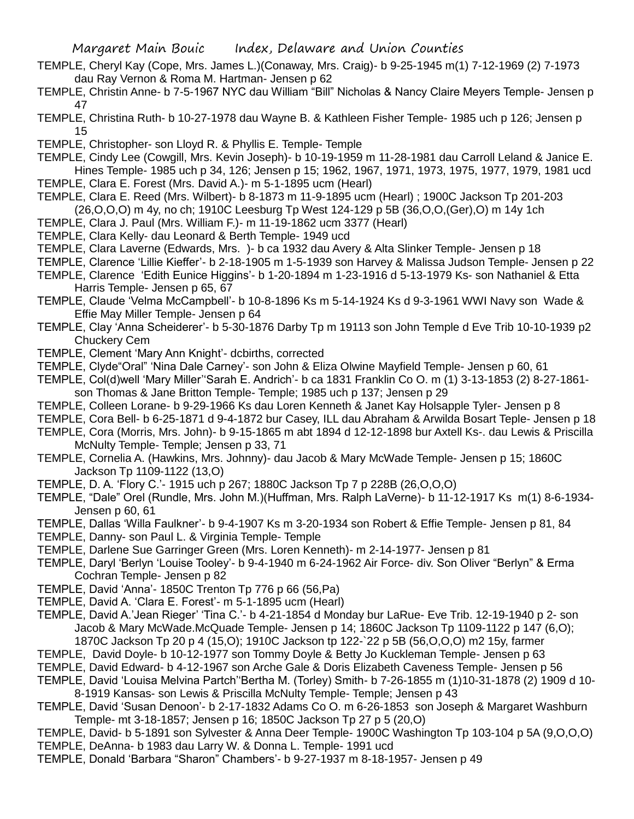- TEMPLE, Cheryl Kay (Cope, Mrs. James L.)(Conaway, Mrs. Craig)- b 9-25-1945 m(1) 7-12-1969 (2) 7-1973 dau Ray Vernon & Roma M. Hartman- Jensen p 62
- TEMPLE, Christin Anne- b 7-5-1967 NYC dau William "Bill" Nicholas & Nancy Claire Meyers Temple- Jensen p 47
- TEMPLE, Christina Ruth- b 10-27-1978 dau Wayne B. & Kathleen Fisher Temple- 1985 uch p 126; Jensen p 15
- TEMPLE, Christopher- son Lloyd R. & Phyllis E. Temple- Temple
- TEMPLE, Cindy Lee (Cowgill, Mrs. Kevin Joseph)- b 10-19-1959 m 11-28-1981 dau Carroll Leland & Janice E. Hines Temple- 1985 uch p 34, 126; Jensen p 15; 1962, 1967, 1971, 1973, 1975, 1977, 1979, 1981 ucd TEMPLE, Clara E. Forest (Mrs. David A.)- m 5-1-1895 ucm (Hearl)
- TEMPLE, Clara E. Reed (Mrs. Wilbert)- b 8-1873 m 11-9-1895 ucm (Hearl) ; 1900C Jackson Tp 201-203 (26,O,O,O) m 4y, no ch; 1910C Leesburg Tp West 124-129 p 5B (36,O,O,(Ger),O) m 14y 1ch
- TEMPLE, Clara J. Paul (Mrs. William F.)- m 11-19-1862 ucm 3377 (Hearl)
- TEMPLE, Clara Kelly- dau Leonard & Berth Temple- 1949 ucd
- TEMPLE, Clara Laverne (Edwards, Mrs. )- b ca 1932 dau Avery & Alta Slinker Temple- Jensen p 18
- TEMPLE, Clarence 'Lillie Kieffer'- b 2-18-1905 m 1-5-1939 son Harvey & Malissa Judson Temple- Jensen p 22
- TEMPLE, Clarence 'Edith Eunice Higgins'- b 1-20-1894 m 1-23-1916 d 5-13-1979 Ks- son Nathaniel & Etta Harris Temple- Jensen p 65, 67
- TEMPLE, Claude 'Velma McCampbell'- b 10-8-1896 Ks m 5-14-1924 Ks d 9-3-1961 WWI Navy son Wade & Effie May Miller Temple- Jensen p 64
- TEMPLE, Clay 'Anna Scheiderer'- b 5-30-1876 Darby Tp m 19113 son John Temple d Eve Trib 10-10-1939 p2 Chuckery Cem
- TEMPLE, Clement 'Mary Ann Knight'- dcbirths, corrected
- TEMPLE, Clyde"Oral" 'Nina Dale Carney'- son John & Eliza Olwine Mayfield Temple- Jensen p 60, 61
- TEMPLE, Col(d)well 'Mary Miller''Sarah E. Andrich'- b ca 1831 Franklin Co O. m (1) 3-13-1853 (2) 8-27-1861 son Thomas & Jane Britton Temple- Temple; 1985 uch p 137; Jensen p 29
- TEMPLE, Colleen Lorane- b 9-29-1966 Ks dau Loren Kenneth & Janet Kay Holsapple Tyler- Jensen p 8
- TEMPLE, Cora Bell- b 6-25-1871 d 9-4-1872 bur Casey, ILL dau Abraham & Arwilda Bosart Teple- Jensen p 18 TEMPLE, Cora (Morris, Mrs. John)- b 9-15-1865 m abt 1894 d 12-12-1898 bur Axtell Ks-. dau Lewis & Priscilla
- McNulty Temple- Temple; Jensen p 33, 71
- TEMPLE, Cornelia A. (Hawkins, Mrs. Johnny)- dau Jacob & Mary McWade Temple- Jensen p 15; 1860C Jackson Tp 1109-1122 (13,O)
- TEMPLE, D. A. 'Flory C.'- 1915 uch p 267; 1880C Jackson Tp 7 p 228B (26,O,O,O)
- TEMPLE, "Dale" Orel (Rundle, Mrs. John M.)(Huffman, Mrs. Ralph LaVerne)- b 11-12-1917 Ks m(1) 8-6-1934- Jensen p 60, 61
- TEMPLE, Dallas 'Willa Faulkner'- b 9-4-1907 Ks m 3-20-1934 son Robert & Effie Temple- Jensen p 81, 84
- TEMPLE, Danny- son Paul L. & Virginia Temple- Temple
- TEMPLE, Darlene Sue Garringer Green (Mrs. Loren Kenneth)- m 2-14-1977- Jensen p 81
- TEMPLE, Daryl 'Berlyn 'Louise Tooley'- b 9-4-1940 m 6-24-1962 Air Force- div. Son Oliver "Berlyn" & Erma Cochran Temple- Jensen p 82
- TEMPLE, David 'Anna'- 1850C Trenton Tp 776 p 66 (56,Pa)
- TEMPLE, David A. 'Clara E. Forest'- m 5-1-1895 ucm (Hearl)
- TEMPLE, David A.'Jean Rieger' 'Tina C.'- b 4-21-1854 d Monday bur LaRue- Eve Trib. 12-19-1940 p 2- son Jacob & Mary McWade.McQuade Temple- Jensen p 14; 1860C Jackson Tp 1109-1122 p 147 (6,O); 1870C Jackson Tp 20 p 4 (15,O); 1910C Jackson tp 122-`22 p 5B (56,O,O,O) m2 15y, farmer
- TEMPLE, David Doyle- b 10-12-1977 son Tommy Doyle & Betty Jo Kuckleman Temple- Jensen p 63
- TEMPLE, David Edward- b 4-12-1967 son Arche Gale & Doris Elizabeth Caveness Temple- Jensen p 56
- TEMPLE, David 'Louisa Melvina Partch''Bertha M. (Torley) Smith- b 7-26-1855 m (1)10-31-1878 (2) 1909 d 10- 8-1919 Kansas- son Lewis & Priscilla McNulty Temple- Temple; Jensen p 43
- TEMPLE, David 'Susan Denoon'- b 2-17-1832 Adams Co O. m 6-26-1853 son Joseph & Margaret Washburn Temple- mt 3-18-1857; Jensen p 16; 1850C Jackson Tp 27 p 5 (20,O)
- TEMPLE, David- b 5-1891 son Sylvester & Anna Deer Temple- 1900C Washington Tp 103-104 p 5A (9,O,O,O) TEMPLE, DeAnna- b 1983 dau Larry W. & Donna L. Temple- 1991 ucd
- TEMPLE, Donald 'Barbara "Sharon" Chambers'- b 9-27-1937 m 8-18-1957- Jensen p 49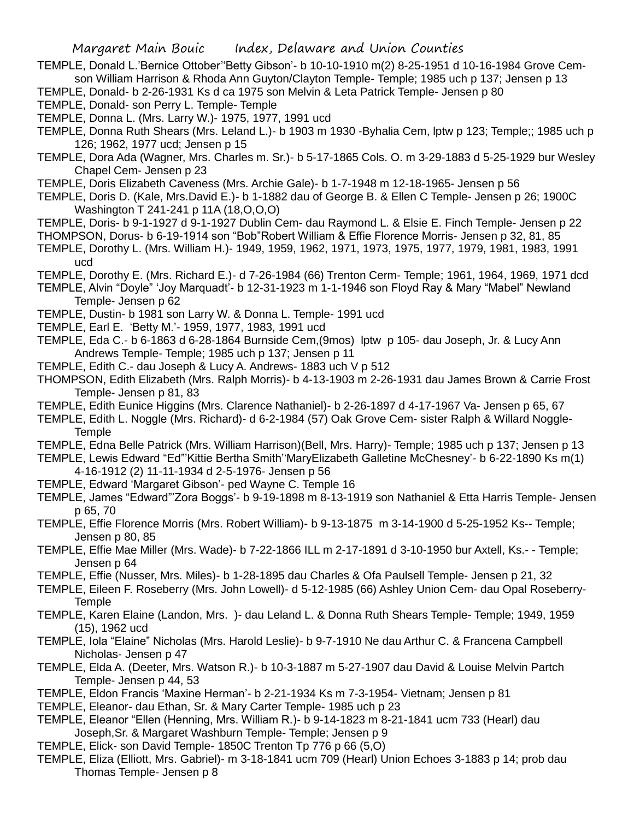- TEMPLE, Donald L.'Bernice Ottober''Betty Gibson'- b 10-10-1910 m(2) 8-25-1951 d 10-16-1984 Grove Cemson William Harrison & Rhoda Ann Guyton/Clayton Temple- Temple; 1985 uch p 137; Jensen p 13
- TEMPLE, Donald- b 2-26-1931 Ks d ca 1975 son Melvin & Leta Patrick Temple- Jensen p 80
- TEMPLE, Donald- son Perry L. Temple- Temple
- TEMPLE, Donna L. (Mrs. Larry W.)- 1975, 1977, 1991 ucd
- TEMPLE, Donna Ruth Shears (Mrs. Leland L.)- b 1903 m 1930 -Byhalia Cem, lptw p 123; Temple;; 1985 uch p 126; 1962, 1977 ucd; Jensen p 15
- TEMPLE, Dora Ada (Wagner, Mrs. Charles m. Sr.)- b 5-17-1865 Cols. O. m 3-29-1883 d 5-25-1929 bur Wesley Chapel Cem- Jensen p 23
- TEMPLE, Doris Elizabeth Caveness (Mrs. Archie Gale)- b 1-7-1948 m 12-18-1965- Jensen p 56
- TEMPLE, Doris D. (Kale, Mrs.David E.)- b 1-1882 dau of George B. & Ellen C Temple- Jensen p 26; 1900C Washington T 241-241 p 11A (18,O,O,O)
- TEMPLE, Doris- b 9-1-1927 d 9-1-1927 Dublin Cem- dau Raymond L. & Elsie E. Finch Temple- Jensen p 22
- THOMPSON, Dorus- b 6-19-1914 son "Bob"Robert William & Effie Florence Morris- Jensen p 32, 81, 85 TEMPLE, Dorothy L. (Mrs. William H.)- 1949, 1959, 1962, 1971, 1973, 1975, 1977, 1979, 1981, 1983, 1991
- ucd TEMPLE, Dorothy E. (Mrs. Richard E.)- d 7-26-1984 (66) Trenton Cerm- Temple; 1961, 1964, 1969, 1971 dcd
- TEMPLE, Alvin "Doyle" 'Joy Marquadt'- b 12-31-1923 m 1-1-1946 son Floyd Ray & Mary "Mabel" Newland Temple- Jensen p 62
- TEMPLE, Dustin- b 1981 son Larry W. & Donna L. Temple- 1991 ucd
- TEMPLE, Earl E. 'Betty M.'- 1959, 1977, 1983, 1991 ucd
- TEMPLE, Eda C.- b 6-1863 d 6-28-1864 Burnside Cem,(9mos) lptw p 105- dau Joseph, Jr. & Lucy Ann Andrews Temple- Temple; 1985 uch p 137; Jensen p 11
- TEMPLE, Edith C.- dau Joseph & Lucy A. Andrews- 1883 uch V p 512
- THOMPSON, Edith Elizabeth (Mrs. Ralph Morris)- b 4-13-1903 m 2-26-1931 dau James Brown & Carrie Frost Temple- Jensen p 81, 83
- TEMPLE, Edith Eunice Higgins (Mrs. Clarence Nathaniel)- b 2-26-1897 d 4-17-1967 Va- Jensen p 65, 67
- TEMPLE, Edith L. Noggle (Mrs. Richard)- d 6-2-1984 (57) Oak Grove Cem- sister Ralph & Willard Noggle-**Temple**
- TEMPLE, Edna Belle Patrick (Mrs. William Harrison)(Bell, Mrs. Harry)- Temple; 1985 uch p 137; Jensen p 13
- TEMPLE, Lewis Edward "Ed"'Kittie Bertha Smith''MaryElizabeth Galletine McChesney'- b 6-22-1890 Ks m(1) 4-16-1912 (2) 11-11-1934 d 2-5-1976- Jensen p 56
- TEMPLE, Edward 'Margaret Gibson'- ped Wayne C. Temple 16
- TEMPLE, James "Edward"'Zora Boggs'- b 9-19-1898 m 8-13-1919 son Nathaniel & Etta Harris Temple- Jensen p 65, 70
- TEMPLE, Effie Florence Morris (Mrs. Robert William)- b 9-13-1875 m 3-14-1900 d 5-25-1952 Ks-- Temple; Jensen p 80, 85
- TEMPLE, Effie Mae Miller (Mrs. Wade)- b 7-22-1866 ILL m 2-17-1891 d 3-10-1950 bur Axtell, Ks.- Temple; Jensen p 64
- TEMPLE, Effie (Nusser, Mrs. Miles)- b 1-28-1895 dau Charles & Ofa Paulsell Temple- Jensen p 21, 32
- TEMPLE, Eileen F. Roseberry (Mrs. John Lowell)- d 5-12-1985 (66) Ashley Union Cem- dau Opal Roseberry-**Temple**
- TEMPLE, Karen Elaine (Landon, Mrs. )- dau Leland L. & Donna Ruth Shears Temple- Temple; 1949, 1959 (15), 1962 ucd
- TEMPLE, Iola "Elaine" Nicholas (Mrs. Harold Leslie)- b 9-7-1910 Ne dau Arthur C. & Francena Campbell Nicholas- Jensen p 47
- TEMPLE, Elda A. (Deeter, Mrs. Watson R.)- b 10-3-1887 m 5-27-1907 dau David & Louise Melvin Partch Temple- Jensen p 44, 53
- TEMPLE, Eldon Francis 'Maxine Herman'- b 2-21-1934 Ks m 7-3-1954- Vietnam; Jensen p 81
- TEMPLE, Eleanor- dau Ethan, Sr. & Mary Carter Temple- 1985 uch p 23
- TEMPLE, Eleanor "Ellen (Henning, Mrs. William R.)- b 9-14-1823 m 8-21-1841 ucm 733 (Hearl) dau Joseph,Sr. & Margaret Washburn Temple- Temple; Jensen p 9
- TEMPLE, Elick- son David Temple- 1850C Trenton Tp 776 p 66 (5,O)
- TEMPLE, Eliza (Elliott, Mrs. Gabriel)- m 3-18-1841 ucm 709 (Hearl) Union Echoes 3-1883 p 14; prob dau Thomas Temple- Jensen p 8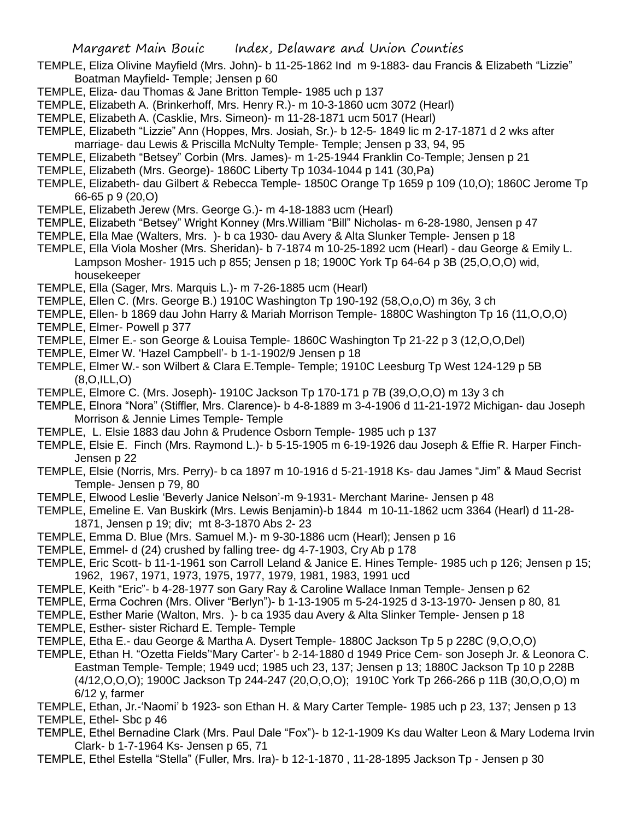- TEMPLE, Eliza Olivine Mayfield (Mrs. John)- b 11-25-1862 Ind m 9-1883- dau Francis & Elizabeth "Lizzie" Boatman Mayfield- Temple; Jensen p 60
- TEMPLE, Eliza- dau Thomas & Jane Britton Temple- 1985 uch p 137
- TEMPLE, Elizabeth A. (Brinkerhoff, Mrs. Henry R.)- m 10-3-1860 ucm 3072 (Hearl)
- TEMPLE, Elizabeth A. (Casklie, Mrs. Simeon)- m 11-28-1871 ucm 5017 (Hearl)
- TEMPLE, Elizabeth "Lizzie" Ann (Hoppes, Mrs. Josiah, Sr.)- b 12-5- 1849 lic m 2-17-1871 d 2 wks after marriage- dau Lewis & Priscilla McNulty Temple- Temple; Jensen p 33, 94, 95
- TEMPLE, Elizabeth "Betsey" Corbin (Mrs. James)- m 1-25-1944 Franklin Co-Temple; Jensen p 21
- TEMPLE, Elizabeth (Mrs. George)- 1860C Liberty Tp 1034-1044 p 141 (30,Pa)
- TEMPLE, Elizabeth- dau Gilbert & Rebecca Temple- 1850C Orange Tp 1659 p 109 (10,O); 1860C Jerome Tp 66-65 p 9 (20,O)
- TEMPLE, Elizabeth Jerew (Mrs. George G.)- m 4-18-1883 ucm (Hearl)
- TEMPLE, Elizabeth "Betsey" Wright Konney (Mrs.William "Bill" Nicholas- m 6-28-1980, Jensen p 47
- TEMPLE, Ella Mae (Walters, Mrs. )- b ca 1930- dau Avery & Alta Slunker Temple- Jensen p 18
- TEMPLE, Ella Viola Mosher (Mrs. Sheridan)- b 7-1874 m 10-25-1892 ucm (Hearl) dau George & Emily L. Lampson Mosher- 1915 uch p 855; Jensen p 18; 1900C York Tp 64-64 p 3B (25,O,O,O) wid, housekeeper
- TEMPLE, Ella (Sager, Mrs. Marquis L.)- m 7-26-1885 ucm (Hearl)
- TEMPLE, Ellen C. (Mrs. George B.) 1910C Washington Tp 190-192 (58,O,o,O) m 36y, 3 ch
- TEMPLE, Ellen- b 1869 dau John Harry & Mariah Morrison Temple- 1880C Washington Tp 16 (11,O,O,O)
- TEMPLE, Elmer- Powell p 377
- TEMPLE, Elmer E.- son George & Louisa Temple- 1860C Washington Tp 21-22 p 3 (12,O,O,Del)
- TEMPLE, Elmer W. 'Hazel Campbell'- b 1-1-1902/9 Jensen p 18
- TEMPLE, Elmer W.- son Wilbert & Clara E.Temple- Temple; 1910C Leesburg Tp West 124-129 p 5B (8,O,ILL,O)
- TEMPLE, Elmore C. (Mrs. Joseph)- 1910C Jackson Tp 170-171 p 7B (39,O,O,O) m 13y 3 ch
- TEMPLE, Elnora "Nora" (Stiffler, Mrs. Clarence)- b 4-8-1889 m 3-4-1906 d 11-21-1972 Michigan- dau Joseph Morrison & Jennie Limes Temple- Temple
- TEMPLE, L. Elsie 1883 dau John & Prudence Osborn Temple- 1985 uch p 137
- TEMPLE, Elsie E. Finch (Mrs. Raymond L.)- b 5-15-1905 m 6-19-1926 dau Joseph & Effie R. Harper Finch-Jensen p 22
- TEMPLE, Elsie (Norris, Mrs. Perry)- b ca 1897 m 10-1916 d 5-21-1918 Ks- dau James "Jim" & Maud Secrist Temple- Jensen p 79, 80
- TEMPLE, Elwood Leslie 'Beverly Janice Nelson'-m 9-1931- Merchant Marine- Jensen p 48
- TEMPLE, Emeline E. Van Buskirk (Mrs. Lewis Benjamin)-b 1844 m 10-11-1862 ucm 3364 (Hearl) d 11-28- 1871, Jensen p 19; div; mt 8-3-1870 Abs 2- 23
- TEMPLE, Emma D. Blue (Mrs. Samuel M.)- m 9-30-1886 ucm (Hearl); Jensen p 16
- TEMPLE, Emmel- d (24) crushed by falling tree- dg 4-7-1903, Cry Ab p 178
- TEMPLE, Eric Scott- b 11-1-1961 son Carroll Leland & Janice E. Hines Temple- 1985 uch p 126; Jensen p 15; 1962, 1967, 1971, 1973, 1975, 1977, 1979, 1981, 1983, 1991 ucd
- TEMPLE, Keith "Eric"- b 4-28-1977 son Gary Ray & Caroline Wallace Inman Temple- Jensen p 62
- TEMPLE, Erma Cochren (Mrs. Oliver "Berlyn")- b 1-13-1905 m 5-24-1925 d 3-13-1970- Jensen p 80, 81
- TEMPLE, Esther Marie (Walton, Mrs. )- b ca 1935 dau Avery & Alta Slinker Temple- Jensen p 18
- TEMPLE, Esther- sister Richard E. Temple- Temple
- TEMPLE, Etha E.- dau George & Martha A. Dysert Temple- 1880C Jackson Tp 5 p 228C (9,O,O,O)
- TEMPLE, Ethan H. "Ozetta Fields''Mary Carter'- b 2-14-1880 d 1949 Price Cem- son Joseph Jr. & Leonora C. Eastman Temple- Temple; 1949 ucd; 1985 uch 23, 137; Jensen p 13; 1880C Jackson Tp 10 p 228B (4/12,O,O,O); 1900C Jackson Tp 244-247 (20,O,O,O); 1910C York Tp 266-266 p 11B (30,O,O,O) m 6/12 y, farmer
- TEMPLE, Ethan, Jr.-'Naomi' b 1923- son Ethan H. & Mary Carter Temple- 1985 uch p 23, 137; Jensen p 13 TEMPLE, Ethel- Sbc p 46
- TEMPLE, Ethel Bernadine Clark (Mrs. Paul Dale "Fox")- b 12-1-1909 Ks dau Walter Leon & Mary Lodema Irvin Clark- b 1-7-1964 Ks- Jensen p 65, 71
- TEMPLE, Ethel Estella "Stella" (Fuller, Mrs. Ira)- b 12-1-1870 , 11-28-1895 Jackson Tp Jensen p 30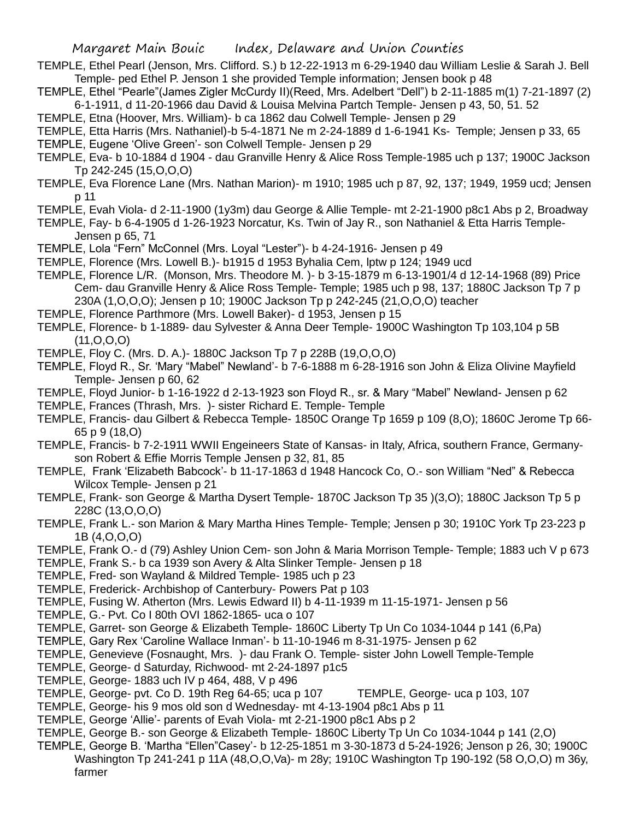- TEMPLE, Ethel Pearl (Jenson, Mrs. Clifford. S.) b 12-22-1913 m 6-29-1940 dau William Leslie & Sarah J. Bell Temple- ped Ethel P. Jenson 1 she provided Temple information; Jensen book p 48
- TEMPLE, Ethel "Pearle"(James Zigler McCurdy II)(Reed, Mrs. Adelbert "Dell") b 2-11-1885 m(1) 7-21-1897 (2) 6-1-1911, d 11-20-1966 dau David & Louisa Melvina Partch Temple- Jensen p 43, 50, 51. 52
- TEMPLE, Etna (Hoover, Mrs. William)- b ca 1862 dau Colwell Temple- Jensen p 29
- TEMPLE, Etta Harris (Mrs. Nathaniel)-b 5-4-1871 Ne m 2-24-1889 d 1-6-1941 Ks- Temple; Jensen p 33, 65
- TEMPLE, Eugene 'Olive Green'- son Colwell Temple- Jensen p 29
- TEMPLE, Eva- b 10-1884 d 1904 dau Granville Henry & Alice Ross Temple-1985 uch p 137; 1900C Jackson Tp 242-245 (15,O,O,O)
- TEMPLE, Eva Florence Lane (Mrs. Nathan Marion)- m 1910; 1985 uch p 87, 92, 137; 1949, 1959 ucd; Jensen p 11
- TEMPLE, Evah Viola- d 2-11-1900 (1y3m) dau George & Allie Temple- mt 2-21-1900 p8c1 Abs p 2, Broadway
- TEMPLE, Fay- b 6-4-1905 d 1-26-1923 Norcatur, Ks. Twin of Jay R., son Nathaniel & Etta Harris Temple-Jensen p 65, 71
- TEMPLE, Lola "Fern" McConnel (Mrs. Loyal "Lester")- b 4-24-1916- Jensen p 49
- TEMPLE, Florence (Mrs. Lowell B.)- b1915 d 1953 Byhalia Cem, lptw p 124; 1949 ucd
- TEMPLE, Florence L/R. (Monson, Mrs. Theodore M. )- b 3-15-1879 m 6-13-1901/4 d 12-14-1968 (89) Price Cem- dau Granville Henry & Alice Ross Temple- Temple; 1985 uch p 98, 137; 1880C Jackson Tp 7 p 230A (1,O,O,O); Jensen p 10; 1900C Jackson Tp p 242-245 (21,O,O,O) teacher
- TEMPLE, Florence Parthmore (Mrs. Lowell Baker)- d 1953, Jensen p 15
- TEMPLE, Florence- b 1-1889- dau Sylvester & Anna Deer Temple- 1900C Washington Tp 103,104 p 5B  $(11, 0, 0, 0)$
- TEMPLE, Floy C. (Mrs. D. A.)- 1880C Jackson Tp 7 p 228B (19,O,O,O)
- TEMPLE, Floyd R., Sr. 'Mary "Mabel" Newland'- b 7-6-1888 m 6-28-1916 son John & Eliza Olivine Mayfield Temple- Jensen p 60, 62
- TEMPLE, Floyd Junior- b 1-16-1922 d 2-13-1923 son Floyd R., sr. & Mary "Mabel" Newland- Jensen p 62
- TEMPLE, Frances (Thrash, Mrs. )- sister Richard E. Temple- Temple
- TEMPLE, Francis- dau Gilbert & Rebecca Temple- 1850C Orange Tp 1659 p 109 (8,O); 1860C Jerome Tp 66- 65 p 9 (18,O)
- TEMPLE, Francis- b 7-2-1911 WWII Engeineers State of Kansas- in Italy, Africa, southern France, Germanyson Robert & Effie Morris Temple Jensen p 32, 81, 85
- TEMPLE, Frank 'Elizabeth Babcock'- b 11-17-1863 d 1948 Hancock Co, O.- son William "Ned" & Rebecca Wilcox Temple- Jensen p 21
- TEMPLE, Frank- son George & Martha Dysert Temple- 1870C Jackson Tp 35 )(3,O); 1880C Jackson Tp 5 p 228C (13,O,O,O)
- TEMPLE, Frank L.- son Marion & Mary Martha Hines Temple- Temple; Jensen p 30; 1910C York Tp 23-223 p 1B (4,O,O,O)
- TEMPLE, Frank O.- d (79) Ashley Union Cem- son John & Maria Morrison Temple- Temple; 1883 uch V p 673
- TEMPLE, Frank S.- b ca 1939 son Avery & Alta Slinker Temple- Jensen p 18
- TEMPLE, Fred- son Wayland & Mildred Temple- 1985 uch p 23
- TEMPLE, Frederick- Archbishop of Canterbury- Powers Pat p 103
- TEMPLE, Fusing W. Atherton (Mrs. Lewis Edward II) b 4-11-1939 m 11-15-1971- Jensen p 56
- TEMPLE, G.- Pvt. Co I 80th OVI 1862-1865- uca o 107
- TEMPLE, Garret- son George & Elizabeth Temple- 1860C Liberty Tp Un Co 1034-1044 p 141 (6,Pa)
- TEMPLE, Gary Rex 'Caroline Wallace Inman'- b 11-10-1946 m 8-31-1975- Jensen p 62
- TEMPLE, Genevieve (Fosnaught, Mrs. )- dau Frank O. Temple- sister John Lowell Temple-Temple
- TEMPLE, George- d Saturday, Richwood- mt 2-24-1897 p1c5
- TEMPLE, George- 1883 uch IV p 464, 488, V p 496
- TEMPLE, George- pvt. Co D. 19th Reg 64-65; uca p 107 TEMPLE, George- uca p 103, 107
- TEMPLE, George- his 9 mos old son d Wednesday- mt 4-13-1904 p8c1 Abs p 11
- TEMPLE, George 'Allie'- parents of Evah Viola- mt 2-21-1900 p8c1 Abs p 2
- TEMPLE, George B.- son George & Elizabeth Temple- 1860C Liberty Tp Un Co 1034-1044 p 141 (2,O)
- TEMPLE, George B. 'Martha "Ellen"Casey'- b 12-25-1851 m 3-30-1873 d 5-24-1926; Jenson p 26, 30; 1900C Washington Tp 241-241 p 11A (48,O,O,Va)- m 28y; 1910C Washington Tp 190-192 (58 O,O,O) m 36y, farmer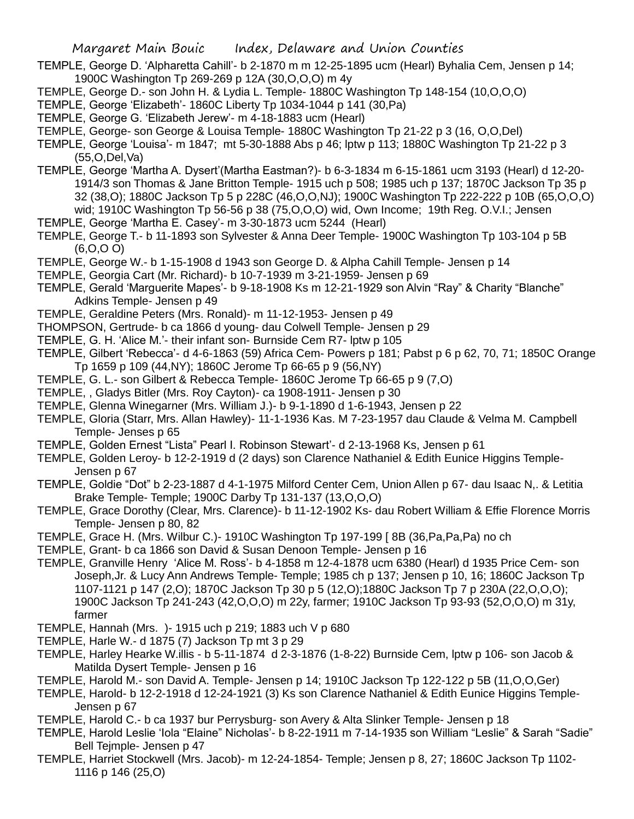- TEMPLE, George D. 'Alpharetta Cahill'- b 2-1870 m m 12-25-1895 ucm (Hearl) Byhalia Cem, Jensen p 14; 1900C Washington Tp 269-269 p 12A (30,O,O,O) m 4y
- TEMPLE, George D.- son John H. & Lydia L. Temple- 1880C Washington Tp 148-154 (10,O,O,O)
- TEMPLE, George 'Elizabeth'- 1860C Liberty Tp 1034-1044 p 141 (30,Pa)
- TEMPLE, George G. 'Elizabeth Jerew'- m 4-18-1883 ucm (Hearl)
- TEMPLE, George- son George & Louisa Temple- 1880C Washington Tp 21-22 p 3 (16, O,O,Del)
- TEMPLE, George 'Louisa'- m 1847; mt 5-30-1888 Abs p 46; lptw p 113; 1880C Washington Tp 21-22 p 3 (55,O,Del,Va)
- TEMPLE, George 'Martha A. Dysert'(Martha Eastman?)- b 6-3-1834 m 6-15-1861 ucm 3193 (Hearl) d 12-20- 1914/3 son Thomas & Jane Britton Temple- 1915 uch p 508; 1985 uch p 137; 1870C Jackson Tp 35 p 32 (38,O); 1880C Jackson Tp 5 p 228C (46,O,O,NJ); 1900C Washington Tp 222-222 p 10B (65,O,O,O) wid; 1910C Washington Tp 56-56 p 38 (75,O,O,O) wid, Own Income; 19th Reg. O.V.I.; Jensen
- TEMPLE, George 'Martha E. Casey'- m 3-30-1873 ucm 5244 (Hearl)
- TEMPLE, George T.- b 11-1893 son Sylvester & Anna Deer Temple- 1900C Washington Tp 103-104 p 5B (6,O,O O)
- TEMPLE, George W.- b 1-15-1908 d 1943 son George D. & Alpha Cahill Temple- Jensen p 14
- TEMPLE, Georgia Cart (Mr. Richard)- b 10-7-1939 m 3-21-1959- Jensen p 69
- TEMPLE, Gerald 'Marguerite Mapes'- b 9-18-1908 Ks m 12-21-1929 son Alvin "Ray" & Charity "Blanche" Adkins Temple- Jensen p 49
- TEMPLE, Geraldine Peters (Mrs. Ronald)- m 11-12-1953- Jensen p 49
- THOMPSON, Gertrude- b ca 1866 d young- dau Colwell Temple- Jensen p 29
- TEMPLE, G. H. 'Alice M.'- their infant son- Burnside Cem R7- lptw p 105
- TEMPLE, Gilbert 'Rebecca'- d 4-6-1863 (59) Africa Cem- Powers p 181; Pabst p 6 p 62, 70, 71; 1850C Orange Tp 1659 p 109 (44,NY); 1860C Jerome Tp 66-65 p 9 (56,NY)
- TEMPLE, G. L.- son Gilbert & Rebecca Temple- 1860C Jerome Tp 66-65 p 9 (7,O)
- TEMPLE, , Gladys Bitler (Mrs. Roy Cayton)- ca 1908-1911- Jensen p 30
- TEMPLE, Glenna Winegarner (Mrs. William J.)- b 9-1-1890 d 1-6-1943, Jensen p 22
- TEMPLE, Gloria (Starr, Mrs. Allan Hawley)- 11-1-1936 Kas. M 7-23-1957 dau Claude & Velma M. Campbell Temple- Jenses p 65
- TEMPLE, Golden Ernest "Lista" Pearl I. Robinson Stewart'- d 2-13-1968 Ks, Jensen p 61
- TEMPLE, Golden Leroy- b 12-2-1919 d (2 days) son Clarence Nathaniel & Edith Eunice Higgins Temple-Jensen p 67
- TEMPLE, Goldie "Dot" b 2-23-1887 d 4-1-1975 Milford Center Cem, Union Allen p 67- dau Isaac N,. & Letitia Brake Temple- Temple; 1900C Darby Tp 131-137 (13,O,O,O)
- TEMPLE, Grace Dorothy (Clear, Mrs. Clarence)- b 11-12-1902 Ks- dau Robert William & Effie Florence Morris Temple- Jensen p 80, 82
- TEMPLE, Grace H. (Mrs. Wilbur C.)- 1910C Washington Tp 197-199 [ 8B (36,Pa,Pa,Pa) no ch
- TEMPLE, Grant- b ca 1866 son David & Susan Denoon Temple- Jensen p 16
- TEMPLE, Granville Henry 'Alice M. Ross'- b 4-1858 m 12-4-1878 ucm 6380 (Hearl) d 1935 Price Cem- son Joseph,Jr. & Lucy Ann Andrews Temple- Temple; 1985 ch p 137; Jensen p 10, 16; 1860C Jackson Tp 1107-1121 p 147 (2,O); 1870C Jackson Tp 30 p 5 (12,O);1880C Jackson Tp 7 p 230A (22,O,O,O); 1900C Jackson Tp 241-243 (42,O,O,O) m 22y, farmer; 1910C Jackson Tp 93-93 (52,O,O,O) m 31y, farmer
- TEMPLE, Hannah (Mrs. )- 1915 uch p 219; 1883 uch V p 680
- TEMPLE, Harle W.- d 1875 (7) Jackson Tp mt 3 p 29
- TEMPLE, Harley Hearke W.illis b 5-11-1874 d 2-3-1876 (1-8-22) Burnside Cem, lptw p 106- son Jacob & Matilda Dysert Temple- Jensen p 16
- TEMPLE, Harold M.- son David A. Temple- Jensen p 14; 1910C Jackson Tp 122-122 p 5B (11,O,O,Ger)
- TEMPLE, Harold- b 12-2-1918 d 12-24-1921 (3) Ks son Clarence Nathaniel & Edith Eunice Higgins Temple-Jensen p 67
- TEMPLE, Harold C.- b ca 1937 bur Perrysburg- son Avery & Alta Slinker Temple- Jensen p 18
- TEMPLE, Harold Leslie 'Iola "Elaine" Nicholas'- b 8-22-1911 m 7-14-1935 son William "Leslie" & Sarah "Sadie" Bell Tejmple- Jensen p 47
- TEMPLE, Harriet Stockwell (Mrs. Jacob)- m 12-24-1854- Temple; Jensen p 8, 27; 1860C Jackson Tp 1102- 1116 p 146 (25,O)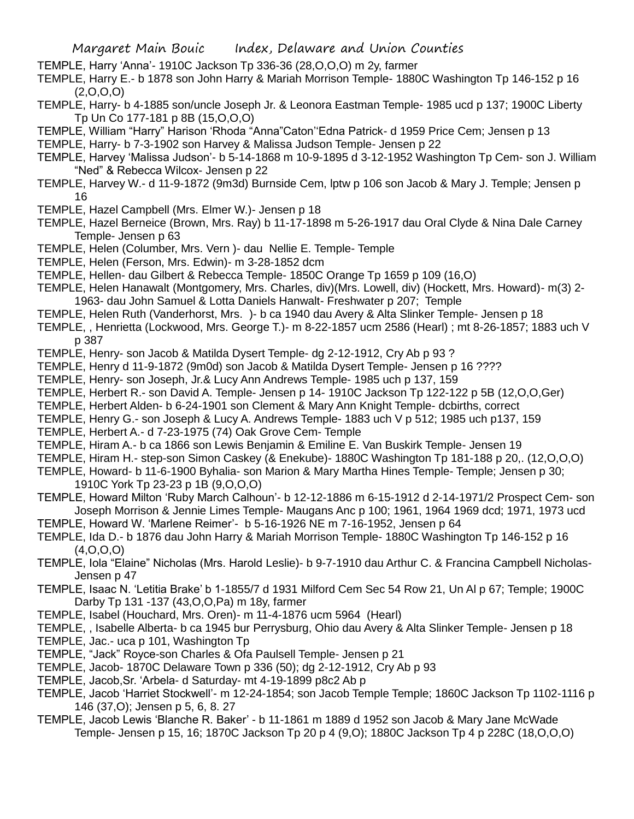- TEMPLE, Harry 'Anna'- 1910C Jackson Tp 336-36 (28,O,O,O) m 2y, farmer
- TEMPLE, Harry E.- b 1878 son John Harry & Mariah Morrison Temple- 1880C Washington Tp 146-152 p 16  $(2,0,0,0)$
- TEMPLE, Harry- b 4-1885 son/uncle Joseph Jr. & Leonora Eastman Temple- 1985 ucd p 137; 1900C Liberty Tp Un Co 177-181 p 8B (15,O,O,O)
- TEMPLE, William "Harry" Harison 'Rhoda "Anna"Caton''Edna Patrick- d 1959 Price Cem; Jensen p 13
- TEMPLE, Harry- b 7-3-1902 son Harvey & Malissa Judson Temple- Jensen p 22
- TEMPLE, Harvey 'Malissa Judson'- b 5-14-1868 m 10-9-1895 d 3-12-1952 Washington Tp Cem- son J. William "Ned" & Rebecca Wilcox- Jensen p 22
- TEMPLE, Harvey W.- d 11-9-1872 (9m3d) Burnside Cem, lptw p 106 son Jacob & Mary J. Temple; Jensen p 16
- TEMPLE, Hazel Campbell (Mrs. Elmer W.)- Jensen p 18
- TEMPLE, Hazel Berneice (Brown, Mrs. Ray) b 11-17-1898 m 5-26-1917 dau Oral Clyde & Nina Dale Carney Temple- Jensen p 63
- TEMPLE, Helen (Columber, Mrs. Vern )- dau Nellie E. Temple- Temple
- TEMPLE, Helen (Ferson, Mrs. Edwin)- m 3-28-1852 dcm
- TEMPLE, Hellen- dau Gilbert & Rebecca Temple- 1850C Orange Tp 1659 p 109 (16,O)
- TEMPLE, Helen Hanawalt (Montgomery, Mrs. Charles, div)(Mrs. Lowell, div) (Hockett, Mrs. Howard)- m(3) 2- 1963- dau John Samuel & Lotta Daniels Hanwalt- Freshwater p 207; Temple
- TEMPLE, Helen Ruth (Vanderhorst, Mrs. )- b ca 1940 dau Avery & Alta Slinker Temple- Jensen p 18
- TEMPLE, , Henrietta (Lockwood, Mrs. George T.)- m 8-22-1857 ucm 2586 (Hearl) ; mt 8-26-1857; 1883 uch V p 387
- TEMPLE, Henry- son Jacob & Matilda Dysert Temple- dg 2-12-1912, Cry Ab p 93 ?
- TEMPLE, Henry d 11-9-1872 (9m0d) son Jacob & Matilda Dysert Temple- Jensen p 16 ????
- TEMPLE, Henry- son Joseph, Jr.& Lucy Ann Andrews Temple- 1985 uch p 137, 159
- TEMPLE, Herbert R.- son David A. Temple- Jensen p 14- 1910C Jackson Tp 122-122 p 5B (12,O,O,Ger)
- TEMPLE, Herbert Alden- b 6-24-1901 son Clement & Mary Ann Knight Temple- dcbirths, correct
- TEMPLE, Henry G.- son Joseph & Lucy A. Andrews Temple- 1883 uch V p 512; 1985 uch p137, 159
- TEMPLE, Herbert A.- d 7-23-1975 (74) Oak Grove Cem- Temple
- TEMPLE, Hiram A.- b ca 1866 son Lewis Benjamin & Emiline E. Van Buskirk Temple- Jensen 19
- TEMPLE, Hiram H.- step-son Simon Caskey (& Enekube)- 1880C Washington Tp 181-188 p 20,. (12,O,O,O)
- TEMPLE, Howard- b 11-6-1900 Byhalia- son Marion & Mary Martha Hines Temple- Temple; Jensen p 30; 1910C York Tp 23-23 p 1B (9,O,O,O)
- TEMPLE, Howard Milton 'Ruby March Calhoun'- b 12-12-1886 m 6-15-1912 d 2-14-1971/2 Prospect Cem- son Joseph Morrison & Jennie Limes Temple- Maugans Anc p 100; 1961, 1964 1969 dcd; 1971, 1973 ucd
- TEMPLE, Howard W. 'Marlene Reimer'- b 5-16-1926 NE m 7-16-1952, Jensen p 64
- TEMPLE, Ida D.- b 1876 dau John Harry & Mariah Morrison Temple- 1880C Washington Tp 146-152 p 16 (4,O,O,O)
- TEMPLE, Iola "Elaine" Nicholas (Mrs. Harold Leslie)- b 9-7-1910 dau Arthur C. & Francina Campbell Nicholas-Jensen p 47
- TEMPLE, Isaac N. 'Letitia Brake' b 1-1855/7 d 1931 Milford Cem Sec 54 Row 21, Un Al p 67; Temple; 1900C Darby Tp 131 -137 (43,O,O,Pa) m 18y, farmer
- TEMPLE, Isabel (Houchard, Mrs. Oren)- m 11-4-1876 ucm 5964 (Hearl)
- TEMPLE, , Isabelle Alberta- b ca 1945 bur Perrysburg, Ohio dau Avery & Alta Slinker Temple- Jensen p 18
- TEMPLE, Jac.- uca p 101, Washington Tp
- TEMPLE, "Jack" Royce-son Charles & Ofa Paulsell Temple- Jensen p 21
- TEMPLE, Jacob- 1870C Delaware Town p 336 (50); dg 2-12-1912, Cry Ab p 93
- TEMPLE, Jacob,Sr. 'Arbela- d Saturday- mt 4-19-1899 p8c2 Ab p
- TEMPLE, Jacob 'Harriet Stockwell'- m 12-24-1854; son Jacob Temple Temple; 1860C Jackson Tp 1102-1116 p 146 (37,O); Jensen p 5, 6, 8. 27
- TEMPLE, Jacob Lewis 'Blanche R. Baker' b 11-1861 m 1889 d 1952 son Jacob & Mary Jane McWade Temple- Jensen p 15, 16; 1870C Jackson Tp 20 p 4 (9,O); 1880C Jackson Tp 4 p 228C (18,O,O,O)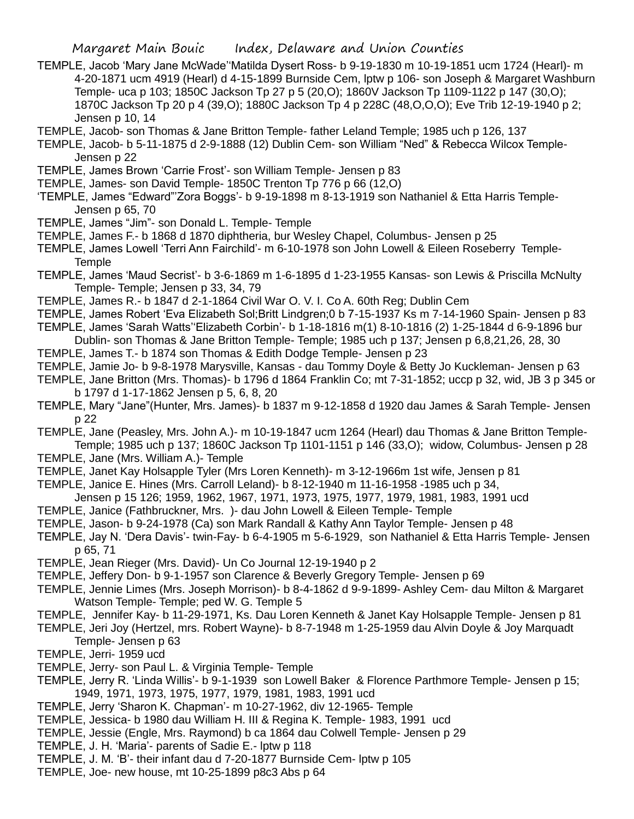- TEMPLE, Jacob 'Mary Jane McWade''Matilda Dysert Ross- b 9-19-1830 m 10-19-1851 ucm 1724 (Hearl)- m 4-20-1871 ucm 4919 (Hearl) d 4-15-1899 Burnside Cem, lptw p 106- son Joseph & Margaret Washburn Temple- uca p 103; 1850C Jackson Tp 27 p 5 (20,O); 1860V Jackson Tp 1109-1122 p 147 (30,O); 1870C Jackson Tp 20 p 4 (39,O); 1880C Jackson Tp 4 p 228C (48,O,O,O); Eve Trib 12-19-1940 p 2; Jensen p 10, 14
- TEMPLE, Jacob- son Thomas & Jane Britton Temple- father Leland Temple; 1985 uch p 126, 137
- TEMPLE, Jacob- b 5-11-1875 d 2-9-1888 (12) Dublin Cem- son William "Ned" & Rebecca Wilcox Temple-Jensen p 22
- TEMPLE, James Brown 'Carrie Frost'- son William Temple- Jensen p 83
- TEMPLE, James- son David Temple- 1850C Trenton Tp 776 p 66 (12,O)
- 'TEMPLE, James "Edward"'Zora Boggs'- b 9-19-1898 m 8-13-1919 son Nathaniel & Etta Harris Temple-Jensen p 65, 70
- TEMPLE, James "Jim"- son Donald L. Temple- Temple
- TEMPLE, James F.- b 1868 d 1870 diphtheria, bur Wesley Chapel, Columbus- Jensen p 25
- TEMPLE, James Lowell 'Terri Ann Fairchild'- m 6-10-1978 son John Lowell & Eileen Roseberry Temple-**Temple**
- TEMPLE, James 'Maud Secrist'- b 3-6-1869 m 1-6-1895 d 1-23-1955 Kansas- son Lewis & Priscilla McNulty Temple- Temple; Jensen p 33, 34, 79
- TEMPLE, James R.- b 1847 d 2-1-1864 Civil War O. V. I. Co A. 60th Reg; Dublin Cem
- TEMPLE, James Robert 'Eva Elizabeth Sol;Britt Lindgren;0 b 7-15-1937 Ks m 7-14-1960 Spain- Jensen p 83
- TEMPLE, James 'Sarah Watts''Elizabeth Corbin'- b 1-18-1816 m(1) 8-10-1816 (2) 1-25-1844 d 6-9-1896 bur Dublin- son Thomas & Jane Britton Temple- Temple; 1985 uch p 137; Jensen p 6,8,21,26, 28, 30
- TEMPLE, James T.- b 1874 son Thomas & Edith Dodge Temple- Jensen p 23
- TEMPLE, Jamie Jo- b 9-8-1978 Marysville, Kansas dau Tommy Doyle & Betty Jo Kuckleman- Jensen p 63
- TEMPLE, Jane Britton (Mrs. Thomas)- b 1796 d 1864 Franklin Co; mt 7-31-1852; uccp p 32, wid, JB 3 p 345 or b 1797 d 1-17-1862 Jensen p 5, 6, 8, 20
- TEMPLE, Mary "Jane"(Hunter, Mrs. James)- b 1837 m 9-12-1858 d 1920 dau James & Sarah Temple- Jensen p 22
- TEMPLE, Jane (Peasley, Mrs. John A.)- m 10-19-1847 ucm 1264 (Hearl) dau Thomas & Jane Britton Temple-Temple; 1985 uch p 137; 1860C Jackson Tp 1101-1151 p 146 (33,O); widow, Columbus- Jensen p 28
- TEMPLE, Jane (Mrs. William A.)- Temple
- TEMPLE, Janet Kay Holsapple Tyler (Mrs Loren Kenneth)- m 3-12-1966m 1st wife, Jensen p 81
- TEMPLE, Janice E. Hines (Mrs. Carroll Leland)- b 8-12-1940 m 11-16-1958 -1985 uch p 34,
- Jensen p 15 126; 1959, 1962, 1967, 1971, 1973, 1975, 1977, 1979, 1981, 1983, 1991 ucd
- TEMPLE, Janice (Fathbruckner, Mrs. )- dau John Lowell & Eileen Temple- Temple
- TEMPLE, Jason- b 9-24-1978 (Ca) son Mark Randall & Kathy Ann Taylor Temple- Jensen p 48
- TEMPLE, Jay N. 'Dera Davis'- twin-Fay- b 6-4-1905 m 5-6-1929, son Nathaniel & Etta Harris Temple- Jensen p 65, 71
- TEMPLE, Jean Rieger (Mrs. David)- Un Co Journal 12-19-1940 p 2
- TEMPLE, Jeffery Don- b 9-1-1957 son Clarence & Beverly Gregory Temple- Jensen p 69
- TEMPLE, Jennie Limes (Mrs. Joseph Morrison)- b 8-4-1862 d 9-9-1899- Ashley Cem- dau Milton & Margaret Watson Temple- Temple; ped W. G. Temple 5
- TEMPLE, Jennifer Kay- b 11-29-1971, Ks. Dau Loren Kenneth & Janet Kay Holsapple Temple- Jensen p 81
- TEMPLE, Jeri Joy (Hertzel, mrs. Robert Wayne)- b 8-7-1948 m 1-25-1959 dau Alvin Doyle & Joy Marquadt Temple- Jensen p 63
- TEMPLE, Jerri- 1959 ucd
- TEMPLE, Jerry- son Paul L. & Virginia Temple- Temple
- TEMPLE, Jerry R. 'Linda Willis'- b 9-1-1939 son Lowell Baker & Florence Parthmore Temple- Jensen p 15; 1949, 1971, 1973, 1975, 1977, 1979, 1981, 1983, 1991 ucd
- TEMPLE, Jerry 'Sharon K. Chapman'- m 10-27-1962, div 12-1965- Temple
- TEMPLE, Jessica- b 1980 dau William H. III & Regina K. Temple- 1983, 1991 ucd
- TEMPLE, Jessie (Engle, Mrs. Raymond) b ca 1864 dau Colwell Temple- Jensen p 29
- TEMPLE, J. H. 'Maria'- parents of Sadie E.- lptw p 118
- TEMPLE, J. M. 'B'- their infant dau d 7-20-1877 Burnside Cem- lptw p 105
- TEMPLE, Joe- new house, mt 10-25-1899 p8c3 Abs p 64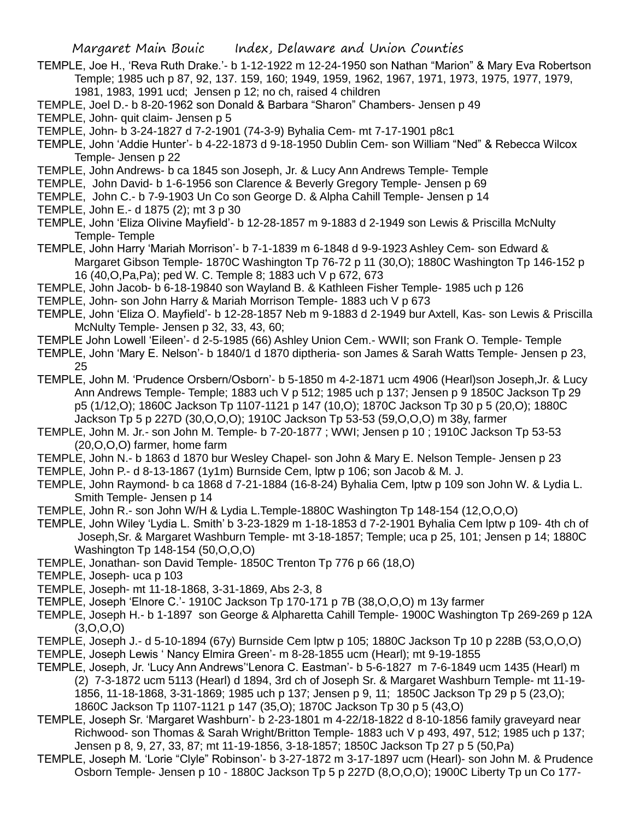TEMPLE, Joe H., 'Reva Ruth Drake.'- b 1-12-1922 m 12-24-1950 son Nathan "Marion" & Mary Eva Robertson Temple; 1985 uch p 87, 92, 137. 159, 160; 1949, 1959, 1962, 1967, 1971, 1973, 1975, 1977, 1979, 1981, 1983, 1991 ucd; Jensen p 12; no ch, raised 4 children

TEMPLE, Joel D.- b 8-20-1962 son Donald & Barbara "Sharon" Chambers- Jensen p 49

TEMPLE, John- quit claim- Jensen p 5

- TEMPLE, John- b 3-24-1827 d 7-2-1901 (74-3-9) Byhalia Cem- mt 7-17-1901 p8c1
- TEMPLE, John 'Addie Hunter'- b 4-22-1873 d 9-18-1950 Dublin Cem- son William "Ned" & Rebecca Wilcox Temple- Jensen p 22
- TEMPLE, John Andrews- b ca 1845 son Joseph, Jr. & Lucy Ann Andrews Temple- Temple
- TEMPLE, John David- b 1-6-1956 son Clarence & Beverly Gregory Temple- Jensen p 69
- TEMPLE, John C.- b 7-9-1903 Un Co son George D. & Alpha Cahill Temple- Jensen p 14
- TEMPLE, John E.- d 1875 (2); mt 3 p 30
- TEMPLE, John 'Eliza Olivine Mayfield'- b 12-28-1857 m 9-1883 d 2-1949 son Lewis & Priscilla McNulty Temple- Temple
- TEMPLE, John Harry 'Mariah Morrison'- b 7-1-1839 m 6-1848 d 9-9-1923 Ashley Cem- son Edward & Margaret Gibson Temple- 1870C Washington Tp 76-72 p 11 (30,O); 1880C Washington Tp 146-152 p 16 (40,O,Pa,Pa); ped W. C. Temple 8; 1883 uch V p 672, 673
- TEMPLE, John Jacob- b 6-18-19840 son Wayland B. & Kathleen Fisher Temple- 1985 uch p 126
- TEMPLE, John- son John Harry & Mariah Morrison Temple- 1883 uch V p 673
- TEMPLE, John 'Eliza O. Mayfield'- b 12-28-1857 Neb m 9-1883 d 2-1949 bur Axtell, Kas- son Lewis & Priscilla McNulty Temple- Jensen p 32, 33, 43, 60;
- TEMPLE John Lowell 'Eileen'- d 2-5-1985 (66) Ashley Union Cem.- WWII; son Frank O. Temple- Temple
- TEMPLE, John 'Mary E. Nelson'- b 1840/1 d 1870 diptheria- son James & Sarah Watts Temple- Jensen p 23, 25
- TEMPLE, John M. 'Prudence Orsbern/Osborn'- b 5-1850 m 4-2-1871 ucm 4906 (Hearl)son Joseph,Jr. & Lucy Ann Andrews Temple- Temple; 1883 uch V p 512; 1985 uch p 137; Jensen p 9 1850C Jackson Tp 29 p5 (1/12,O); 1860C Jackson Tp 1107-1121 p 147 (10,O); 1870C Jackson Tp 30 p 5 (20,O); 1880C Jackson Tp 5 p 227D (30,O,O,O); 1910C Jackson Tp 53-53 (59,O,O,O) m 38y, farmer
- TEMPLE, John M. Jr.- son John M. Temple- b 7-20-1877 ; WWI; Jensen p 10 ; 1910C Jackson Tp 53-53 (20,O,O,O) farmer, home farm
- TEMPLE, John N.- b 1863 d 1870 bur Wesley Chapel- son John & Mary E. Nelson Temple- Jensen p 23
- TEMPLE, John P.- d 8-13-1867 (1y1m) Burnside Cem, lptw p 106; son Jacob & M. J.
- TEMPLE, John Raymond- b ca 1868 d 7-21-1884 (16-8-24) Byhalia Cem, lptw p 109 son John W. & Lydia L. Smith Temple- Jensen p 14
- TEMPLE, John R.- son John W/H & Lydia L.Temple-1880C Washington Tp 148-154 (12,O,O,O)
- TEMPLE, John Wiley 'Lydia L. Smith' b 3-23-1829 m 1-18-1853 d 7-2-1901 Byhalia Cem lptw p 109- 4th ch of Joseph,Sr. & Margaret Washburn Temple- mt 3-18-1857; Temple; uca p 25, 101; Jensen p 14; 1880C Washington Tp 148-154 (50,O,O,O)
- TEMPLE, Jonathan- son David Temple- 1850C Trenton Tp 776 p 66 (18,O)
- TEMPLE, Joseph- uca p 103
- TEMPLE, Joseph- mt 11-18-1868, 3-31-1869, Abs 2-3, 8
- TEMPLE, Joseph 'Elnore C.'- 1910C Jackson Tp 170-171 p 7B (38,O,O,O) m 13y farmer
- TEMPLE, Joseph H.- b 1-1897 son George & Alpharetta Cahill Temple- 1900C Washington Tp 269-269 p 12A  $(3,0,0,0)$
- TEMPLE, Joseph J.- d 5-10-1894 (67y) Burnside Cem lptw p 105; 1880C Jackson Tp 10 p 228B (53,O,O,O)
- TEMPLE, Joseph Lewis ' Nancy Elmira Green'- m 8-28-1855 ucm (Hearl); mt 9-19-1855
- TEMPLE, Joseph, Jr. 'Lucy Ann Andrews''Lenora C. Eastman'- b 5-6-1827 m 7-6-1849 ucm 1435 (Hearl) m (2) 7-3-1872 ucm 5113 (Hearl) d 1894, 3rd ch of Joseph Sr. & Margaret Washburn Temple- mt 11-19- 1856, 11-18-1868, 3-31-1869; 1985 uch p 137; Jensen p 9, 11; 1850C Jackson Tp 29 p 5 (23,O); 1860C Jackson Tp 1107-1121 p 147 (35,O); 1870C Jackson Tp 30 p 5 (43,O)
- TEMPLE, Joseph Sr. 'Margaret Washburn'- b 2-23-1801 m 4-22/18-1822 d 8-10-1856 family graveyard near Richwood- son Thomas & Sarah Wright/Britton Temple- 1883 uch V p 493, 497, 512; 1985 uch p 137; Jensen p 8, 9, 27, 33, 87; mt 11-19-1856, 3-18-1857; 1850C Jackson Tp 27 p 5 (50,Pa)
- TEMPLE, Joseph M. 'Lorie "Clyle" Robinson'- b 3-27-1872 m 3-17-1897 ucm (Hearl)- son John M. & Prudence Osborn Temple- Jensen p 10 - 1880C Jackson Tp 5 p 227D (8,O,O,O); 1900C Liberty Tp un Co 177-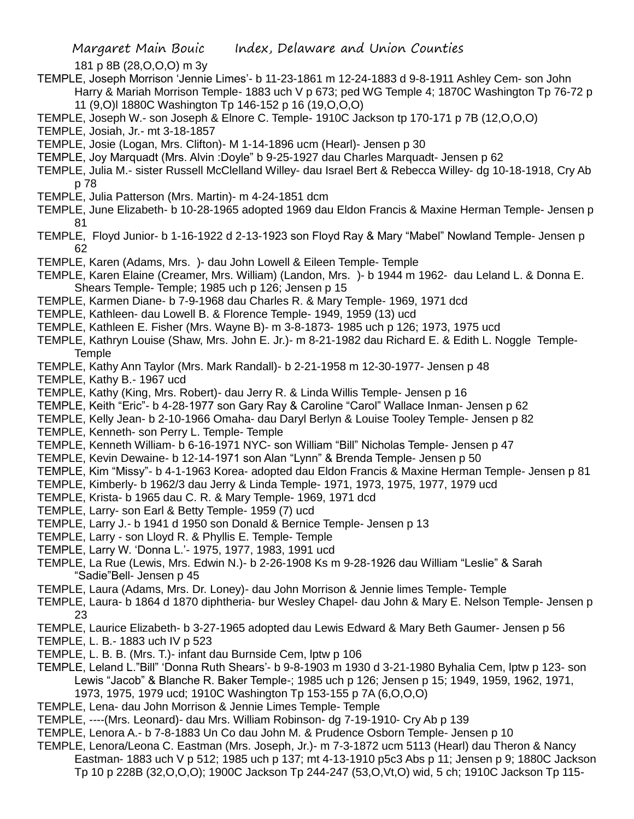181 p 8B (28,O,O,O) m 3y

- TEMPLE, Joseph Morrison 'Jennie Limes'- b 11-23-1861 m 12-24-1883 d 9-8-1911 Ashley Cem- son John Harry & Mariah Morrison Temple- 1883 uch V p 673; ped WG Temple 4; 1870C Washington Tp 76-72 p 11 (9,O)l 1880C Washington Tp 146-152 p 16 (19,O,O,O)
- TEMPLE, Joseph W.- son Joseph & Elnore C. Temple- 1910C Jackson tp 170-171 p 7B (12,O,O,O)
- TEMPLE, Josiah, Jr.- mt 3-18-1857
- TEMPLE, Josie (Logan, Mrs. Clifton)- M 1-14-1896 ucm (Hearl)- Jensen p 30
- TEMPLE, Joy Marquadt (Mrs. Alvin :Doyle" b 9-25-1927 dau Charles Marquadt- Jensen p 62
- TEMPLE, Julia M.- sister Russell McClelland Willey- dau Israel Bert & Rebecca Willey- dg 10-18-1918, Cry Ab p 78
- TEMPLE, Julia Patterson (Mrs. Martin)- m 4-24-1851 dcm
- TEMPLE, June Elizabeth- b 10-28-1965 adopted 1969 dau Eldon Francis & Maxine Herman Temple- Jensen p 81
- TEMPLE, Floyd Junior- b 1-16-1922 d 2-13-1923 son Floyd Ray & Mary "Mabel" Nowland Temple- Jensen p 62
- TEMPLE, Karen (Adams, Mrs. )- dau John Lowell & Eileen Temple- Temple
- TEMPLE, Karen Elaine (Creamer, Mrs. William) (Landon, Mrs. )- b 1944 m 1962- dau Leland L. & Donna E. Shears Temple- Temple; 1985 uch p 126; Jensen p 15
- TEMPLE, Karmen Diane- b 7-9-1968 dau Charles R. & Mary Temple- 1969, 1971 dcd
- TEMPLE, Kathleen- dau Lowell B. & Florence Temple- 1949, 1959 (13) ucd
- TEMPLE, Kathleen E. Fisher (Mrs. Wayne B)- m 3-8-1873- 1985 uch p 126; 1973, 1975 ucd
- TEMPLE, Kathryn Louise (Shaw, Mrs. John E. Jr.)- m 8-21-1982 dau Richard E. & Edith L. Noggle Temple-**Temple**
- TEMPLE, Kathy Ann Taylor (Mrs. Mark Randall)- b 2-21-1958 m 12-30-1977- Jensen p 48
- TEMPLE, Kathy B.- 1967 ucd
- TEMPLE, Kathy (King, Mrs. Robert)- dau Jerry R. & Linda Willis Temple- Jensen p 16
- TEMPLE, Keith "Eric"- b 4-28-1977 son Gary Ray & Caroline "Carol" Wallace Inman- Jensen p 62
- TEMPLE, Kelly Jean- b 2-10-1966 Omaha- dau Daryl Berlyn & Louise Tooley Temple- Jensen p 82
- TEMPLE, Kenneth- son Perry L. Temple- Temple
- TEMPLE, Kenneth William- b 6-16-1971 NYC- son William "Bill" Nicholas Temple- Jensen p 47
- TEMPLE, Kevin Dewaine- b 12-14-1971 son Alan "Lynn" & Brenda Temple- Jensen p 50
- TEMPLE, Kim "Missy"- b 4-1-1963 Korea- adopted dau Eldon Francis & Maxine Herman Temple- Jensen p 81
- TEMPLE, Kimberly- b 1962/3 dau Jerry & Linda Temple- 1971, 1973, 1975, 1977, 1979 ucd
- TEMPLE, Krista- b 1965 dau C. R. & Mary Temple- 1969, 1971 dcd
- TEMPLE, Larry- son Earl & Betty Temple- 1959 (7) ucd
- TEMPLE, Larry J.- b 1941 d 1950 son Donald & Bernice Temple- Jensen p 13
- TEMPLE, Larry son Lloyd R. & Phyllis E. Temple- Temple
- TEMPLE, Larry W. 'Donna L.'- 1975, 1977, 1983, 1991 ucd
- TEMPLE, La Rue (Lewis, Mrs. Edwin N.)- b 2-26-1908 Ks m 9-28-1926 dau William "Leslie" & Sarah "Sadie"Bell- Jensen p 45
- TEMPLE, Laura (Adams, Mrs. Dr. Loney)- dau John Morrison & Jennie limes Temple- Temple
- TEMPLE, Laura- b 1864 d 1870 diphtheria- bur Wesley Chapel- dau John & Mary E. Nelson Temple- Jensen p 23
- TEMPLE, Laurice Elizabeth- b 3-27-1965 adopted dau Lewis Edward & Mary Beth Gaumer- Jensen p 56
- TEMPLE, L. B.- 1883 uch IV p 523
- TEMPLE, L. B. B. (Mrs. T.)- infant dau Burnside Cem, lptw p 106
- TEMPLE, Leland L."Bill" 'Donna Ruth Shears'- b 9-8-1903 m 1930 d 3-21-1980 Byhalia Cem, lptw p 123- son Lewis "Jacob" & Blanche R. Baker Temple-; 1985 uch p 126; Jensen p 15; 1949, 1959, 1962, 1971, 1973, 1975, 1979 ucd; 1910C Washington Tp 153-155 p 7A (6,O,O,O)
- TEMPLE, Lena- dau John Morrison & Jennie Limes Temple- Temple
- TEMPLE, ----(Mrs. Leonard)- dau Mrs. William Robinson- dg 7-19-1910- Cry Ab p 139
- TEMPLE, Lenora A.- b 7-8-1883 Un Co dau John M. & Prudence Osborn Temple- Jensen p 10
- TEMPLE, Lenora/Leona C. Eastman (Mrs. Joseph, Jr.)- m 7-3-1872 ucm 5113 (Hearl) dau Theron & Nancy Eastman- 1883 uch V p 512; 1985 uch p 137; mt 4-13-1910 p5c3 Abs p 11; Jensen p 9; 1880C Jackson Tp 10 p 228B (32,O,O,O); 1900C Jackson Tp 244-247 (53,O,Vt,O) wid, 5 ch; 1910C Jackson Tp 115-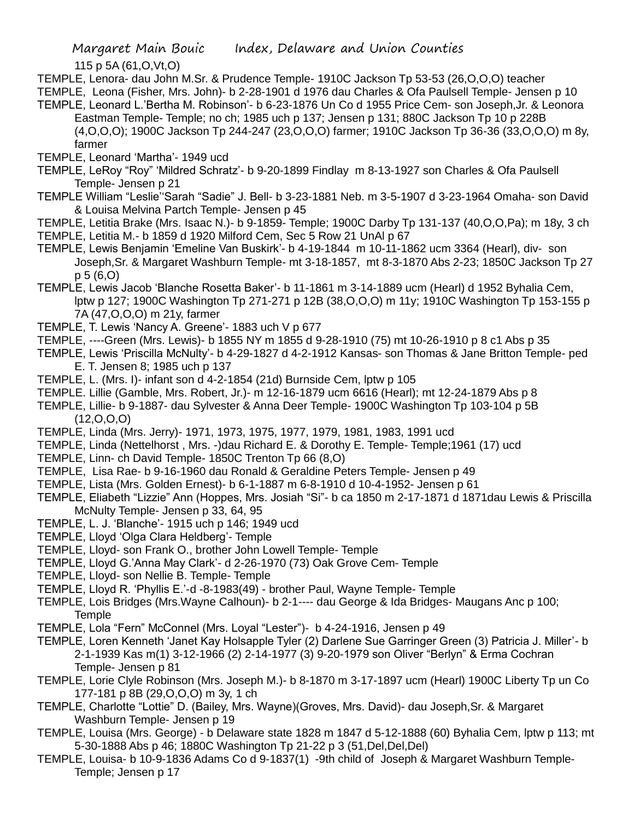115 p 5A (61,O,Vt,O)

- TEMPLE, Lenora- dau John M.Sr. & Prudence Temple- 1910C Jackson Tp 53-53 (26,O,O,O) teacher
- TEMPLE, Leona (Fisher, Mrs. John)- b 2-28-1901 d 1976 dau Charles & Ofa Paulsell Temple- Jensen p 10 TEMPLE, Leonard L.'Bertha M. Robinson'- b 6-23-1876 Un Co d 1955 Price Cem- son Joseph,Jr. & Leonora
- Eastman Temple- Temple; no ch; 1985 uch p 137; Jensen p 131; 880C Jackson Tp 10 p 228B (4,O,O,O); 1900C Jackson Tp 244-247 (23,O,O,O) farmer; 1910C Jackson Tp 36-36 (33,O,O,O) m 8y, farmer
- TEMPLE, Leonard 'Martha'- 1949 ucd
- TEMPLE, LeRoy "Roy" 'Mildred Schratz'- b 9-20-1899 Findlay m 8-13-1927 son Charles & Ofa Paulsell Temple- Jensen p 21
- TEMPLE William "Leslie''Sarah "Sadie" J. Bell- b 3-23-1881 Neb. m 3-5-1907 d 3-23-1964 Omaha- son David & Louisa Melvina Partch Temple- Jensen p 45
- TEMPLE, Letitia Brake (Mrs. Isaac N.)- b 9-1859- Temple; 1900C Darby Tp 131-137 (40,O,O,Pa); m 18y, 3 ch
- TEMPLE, Letitia M.- b 1859 d 1920 Milford Cem, Sec 5 Row 21 UnAl p 67
- TEMPLE, Lewis Benjamin 'Emeline Van Buskirk'- b 4-19-1844 m 10-11-1862 ucm 3364 (Hearl), div- son Joseph,Sr. & Margaret Washburn Temple- mt 3-18-1857, mt 8-3-1870 Abs 2-23; 1850C Jackson Tp 27 p 5 (6,O)
- TEMPLE, Lewis Jacob 'Blanche Rosetta Baker'- b 11-1861 m 3-14-1889 ucm (Hearl) d 1952 Byhalia Cem, lptw p 127; 1900C Washington Tp 271-271 p 12B (38,O,O,O) m 11y; 1910C Washington Tp 153-155 p 7A (47,O,O,O) m 21y, farmer
- TEMPLE, T. Lewis 'Nancy A. Greene'- 1883 uch V p 677
- TEMPLE, ----Green (Mrs. Lewis)- b 1855 NY m 1855 d 9-28-1910 (75) mt 10-26-1910 p 8 c1 Abs p 35
- TEMPLE, Lewis 'Priscilla McNulty'- b 4-29-1827 d 4-2-1912 Kansas- son Thomas & Jane Britton Temple- ped E. T. Jensen 8; 1985 uch p 137
- TEMPLE, L. (Mrs. I)- infant son d 4-2-1854 (21d) Burnside Cem, lptw p 105
- TEMPLE. Lillie (Gamble, Mrs. Robert, Jr.)- m 12-16-1879 ucm 6616 (Hearl); mt 12-24-1879 Abs p 8
- TEMPLE, Lillie- b 9-1887- dau Sylvester & Anna Deer Temple- 1900C Washington Tp 103-104 p 5B  $(12,0,0,0)$
- TEMPLE, Linda (Mrs. Jerry)- 1971, 1973, 1975, 1977, 1979, 1981, 1983, 1991 ucd
- TEMPLE, Linda (Nettelhorst , Mrs. -)dau Richard E. & Dorothy E. Temple- Temple;1961 (17) ucd
- TEMPLE, Linn- ch David Temple- 1850C Trenton Tp 66 (8,O)
- TEMPLE, Lisa Rae- b 9-16-1960 dau Ronald & Geraldine Peters Temple- Jensen p 49
- TEMPLE, Lista (Mrs. Golden Ernest)- b 6-1-1887 m 6-8-1910 d 10-4-1952- Jensen p 61
- TEMPLE, Eliabeth "Lizzie" Ann (Hoppes, Mrs. Josiah "Si"- b ca 1850 m 2-17-1871 d 1871dau Lewis & Priscilla McNulty Temple- Jensen p 33, 64, 95
- TEMPLE, L. J. 'Blanche'- 1915 uch p 146; 1949 ucd
- TEMPLE, Lloyd 'Olga Clara Heldberg'- Temple
- TEMPLE, Lloyd- son Frank O., brother John Lowell Temple- Temple
- TEMPLE, Lloyd G.'Anna May Clark'- d 2-26-1970 (73) Oak Grove Cem- Temple
- TEMPLE, Lloyd- son Nellie B. Temple- Temple
- TEMPLE, Lloyd R. 'Phyllis E.'-d -8-1983(49) brother Paul, Wayne Temple- Temple
- TEMPLE, Lois Bridges (Mrs.Wayne Calhoun)- b 2-1---- dau George & Ida Bridges- Maugans Anc p 100; **Temple**
- TEMPLE, Lola "Fern" McConnel (Mrs. Loyal "Lester")- b 4-24-1916, Jensen p 49
- TEMPLE, Loren Kenneth 'Janet Kay Holsapple Tyler (2) Darlene Sue Garringer Green (3) Patricia J. Miller'- b 2-1-1939 Kas m(1) 3-12-1966 (2) 2-14-1977 (3) 9-20-1979 son Oliver "Berlyn" & Erma Cochran Temple- Jensen p 81
- TEMPLE, Lorie Clyle Robinson (Mrs. Joseph M.)- b 8-1870 m 3-17-1897 ucm (Hearl) 1900C Liberty Tp un Co 177-181 p 8B (29,O,O,O) m 3y, 1 ch
- TEMPLE, Charlotte "Lottie" D. (Bailey, Mrs. Wayne)(Groves, Mrs. David)- dau Joseph,Sr. & Margaret Washburn Temple- Jensen p 19
- TEMPLE, Louisa (Mrs. George) b Delaware state 1828 m 1847 d 5-12-1888 (60) Byhalia Cem, lptw p 113; mt 5-30-1888 Abs p 46; 1880C Washington Tp 21-22 p 3 (51,Del,Del,Del)
- TEMPLE, Louisa- b 10-9-1836 Adams Co d 9-1837(1) -9th child of Joseph & Margaret Washburn Temple-Temple; Jensen p 17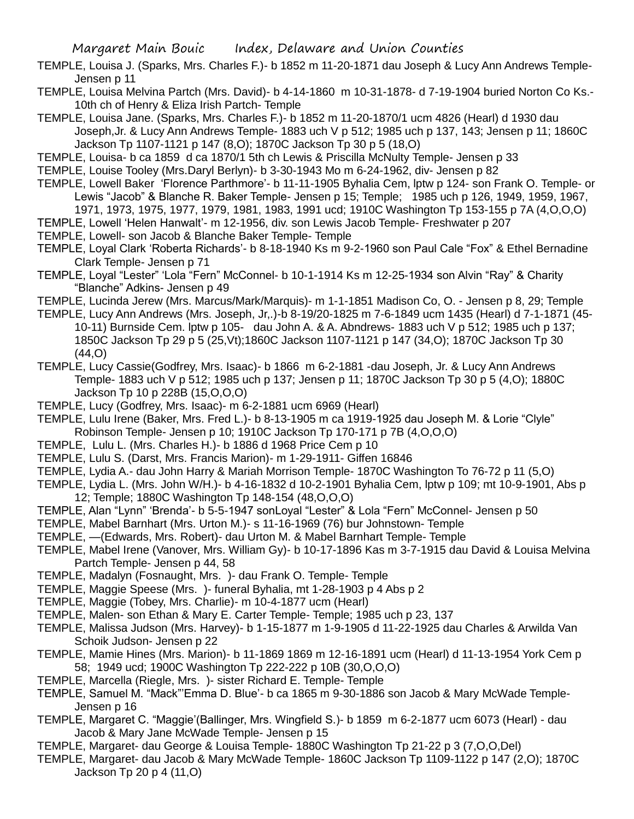- TEMPLE, Louisa J. (Sparks, Mrs. Charles F.)- b 1852 m 11-20-1871 dau Joseph & Lucy Ann Andrews Temple-Jensen p 11
- TEMPLE, Louisa Melvina Partch (Mrs. David)- b 4-14-1860 m 10-31-1878- d 7-19-1904 buried Norton Co Ks.- 10th ch of Henry & Eliza Irish Partch- Temple
- TEMPLE, Louisa Jane. (Sparks, Mrs. Charles F.)- b 1852 m 11-20-1870/1 ucm 4826 (Hearl) d 1930 dau Joseph,Jr. & Lucy Ann Andrews Temple- 1883 uch V p 512; 1985 uch p 137, 143; Jensen p 11; 1860C Jackson Tp 1107-1121 p 147 (8,O); 1870C Jackson Tp 30 p 5 (18,O)
- TEMPLE, Louisa- b ca 1859 d ca 1870/1 5th ch Lewis & Priscilla McNulty Temple- Jensen p 33
- TEMPLE, Louise Tooley (Mrs.Daryl Berlyn)- b 3-30-1943 Mo m 6-24-1962, div- Jensen p 82
- TEMPLE, Lowell Baker 'Florence Parthmore'- b 11-11-1905 Byhalia Cem, lptw p 124- son Frank O. Temple- or Lewis "Jacob" & Blanche R. Baker Temple- Jensen p 15; Temple; 1985 uch p 126, 1949, 1959, 1967, 1971, 1973, 1975, 1977, 1979, 1981, 1983, 1991 ucd; 1910C Washington Tp 153-155 p 7A (4,O,O,O)
- TEMPLE, Lowell 'Helen Hanwalt'- m 12-1956, div. son Lewis Jacob Temple- Freshwater p 207
- TEMPLE, Lowell- son Jacob & Blanche Baker Temple- Temple
- TEMPLE, Loyal Clark 'Roberta Richards'- b 8-18-1940 Ks m 9-2-1960 son Paul Cale "Fox" & Ethel Bernadine Clark Temple- Jensen p 71
- TEMPLE, Loyal "Lester" 'Lola "Fern" McConnel- b 10-1-1914 Ks m 12-25-1934 son Alvin "Ray" & Charity "Blanche" Adkins- Jensen p 49
- TEMPLE, Lucinda Jerew (Mrs. Marcus/Mark/Marquis)- m 1-1-1851 Madison Co, O. Jensen p 8, 29; Temple
- TEMPLE, Lucy Ann Andrews (Mrs. Joseph, Jr,.)-b 8-19/20-1825 m 7-6-1849 ucm 1435 (Hearl) d 7-1-1871 (45- 10-11) Burnside Cem. lptw p 105- dau John A. & A. Abndrews- 1883 uch V p 512; 1985 uch p 137; 1850C Jackson Tp 29 p 5 (25,Vt);1860C Jackson 1107-1121 p 147 (34,O); 1870C Jackson Tp 30 (44,O)
- TEMPLE, Lucy Cassie(Godfrey, Mrs. Isaac)- b 1866 m 6-2-1881 -dau Joseph, Jr. & Lucy Ann Andrews Temple- 1883 uch V p 512; 1985 uch p 137; Jensen p 11; 1870C Jackson Tp 30 p 5 (4,O); 1880C Jackson Tp 10 p 228B (15,O,O,O)
- TEMPLE, Lucy (Godfrey, Mrs. Isaac)- m 6-2-1881 ucm 6969 (Hearl)
- TEMPLE, Lulu Irene (Baker, Mrs. Fred L.)- b 8-13-1905 m ca 1919-1925 dau Joseph M. & Lorie "Clyle" Robinson Temple- Jensen p 10; 1910C Jackson Tp 170-171 p 7B (4,O,O,O)
- TEMPLE, Lulu L. (Mrs. Charles H.)- b 1886 d 1968 Price Cem p 10
- TEMPLE, Lulu S. (Darst, Mrs. Francis Marion)- m 1-29-1911- Giffen 16846
- TEMPLE, Lydia A.- dau John Harry & Mariah Morrison Temple- 1870C Washington To 76-72 p 11 (5,O)
- TEMPLE, Lydia L. (Mrs. John W/H.)- b 4-16-1832 d 10-2-1901 Byhalia Cem, lptw p 109; mt 10-9-1901, Abs p 12; Temple; 1880C Washington Tp 148-154 (48,O,O,O)
- TEMPLE, Alan "Lynn" 'Brenda'- b 5-5-1947 sonLoyal "Lester" & Lola "Fern" McConnel- Jensen p 50
- TEMPLE, Mabel Barnhart (Mrs. Urton M.)- s 11-16-1969 (76) bur Johnstown- Temple
- TEMPLE, —(Edwards, Mrs. Robert)- dau Urton M. & Mabel Barnhart Temple- Temple
- TEMPLE, Mabel Irene (Vanover, Mrs. William Gy)- b 10-17-1896 Kas m 3-7-1915 dau David & Louisa Melvina Partch Temple- Jensen p 44, 58
- TEMPLE, Madalyn (Fosnaught, Mrs. )- dau Frank O. Temple- Temple
- TEMPLE, Maggie Speese (Mrs. )- funeral Byhalia, mt 1-28-1903 p 4 Abs p 2
- TEMPLE, Maggie (Tobey, Mrs. Charlie)- m 10-4-1877 ucm (Hearl)
- TEMPLE, Malen- son Ethan & Mary E. Carter Temple- Temple; 1985 uch p 23, 137
- TEMPLE, Malissa Judson (Mrs. Harvey)- b 1-15-1877 m 1-9-1905 d 11-22-1925 dau Charles & Arwilda Van Schoik Judson- Jensen p 22
- TEMPLE, Mamie Hines (Mrs. Marion)- b 11-1869 1869 m 12-16-1891 ucm (Hearl) d 11-13-1954 York Cem p 58; 1949 ucd; 1900C Washington Tp 222-222 p 10B (30,O,O,O)
- TEMPLE, Marcella (Riegle, Mrs. )- sister Richard E. Temple- Temple
- TEMPLE, Samuel M. "Mack"'Emma D. Blue'- b ca 1865 m 9-30-1886 son Jacob & Mary McWade Temple-Jensen p 16
- TEMPLE, Margaret C. "Maggie'(Ballinger, Mrs. Wingfield S.)- b 1859 m 6-2-1877 ucm 6073 (Hearl) dau Jacob & Mary Jane McWade Temple- Jensen p 15
- TEMPLE, Margaret- dau George & Louisa Temple- 1880C Washington Tp 21-22 p 3 (7,O,O,Del)
- TEMPLE, Margaret- dau Jacob & Mary McWade Temple- 1860C Jackson Tp 1109-1122 p 147 (2,O); 1870C Jackson Tp 20 p 4 (11,O)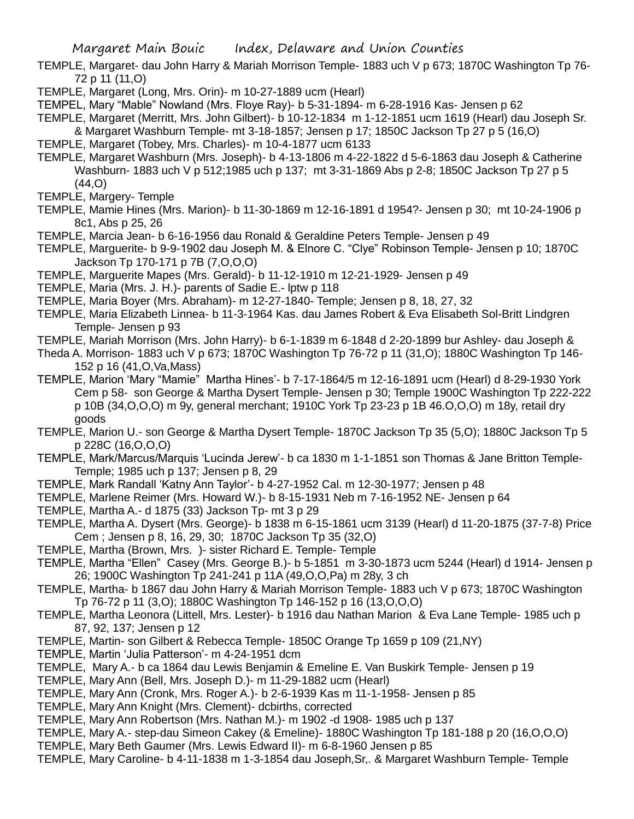- TEMPLE, Margaret- dau John Harry & Mariah Morrison Temple- 1883 uch V p 673; 1870C Washington Tp 76- 72 p 11 (11,O)
- TEMPLE, Margaret (Long, Mrs. Orin)- m 10-27-1889 ucm (Hearl)
- TEMPEL, Mary "Mable" Nowland (Mrs. Floye Ray)- b 5-31-1894- m 6-28-1916 Kas- Jensen p 62
- TEMPLE, Margaret (Merritt, Mrs. John Gilbert)- b 10-12-1834 m 1-12-1851 ucm 1619 (Hearl) dau Joseph Sr.
- & Margaret Washburn Temple- mt 3-18-1857; Jensen p 17; 1850C Jackson Tp 27 p 5 (16,O)
- TEMPLE, Margaret (Tobey, Mrs. Charles)- m 10-4-1877 ucm 6133
- TEMPLE, Margaret Washburn (Mrs. Joseph)- b 4-13-1806 m 4-22-1822 d 5-6-1863 dau Joseph & Catherine Washburn- 1883 uch V p 512;1985 uch p 137; mt 3-31-1869 Abs p 2-8; 1850C Jackson Tp 27 p 5 (44,O)
- TEMPLE, Margery- Temple
- TEMPLE, Mamie Hines (Mrs. Marion)- b 11-30-1869 m 12-16-1891 d 1954?- Jensen p 30; mt 10-24-1906 p 8c1, Abs p 25, 26
- TEMPLE, Marcia Jean- b 6-16-1956 dau Ronald & Geraldine Peters Temple- Jensen p 49
- TEMPLE, Marguerite- b 9-9-1902 dau Joseph M. & Elnore C. "Clye" Robinson Temple- Jensen p 10; 1870C Jackson Tp 170-171 p 7B (7,O,O,O)
- TEMPLE, Marguerite Mapes (Mrs. Gerald)- b 11-12-1910 m 12-21-1929- Jensen p 49
- TEMPLE, Maria (Mrs. J. H.)- parents of Sadie E.- lptw p 118
- TEMPLE, Maria Boyer (Mrs. Abraham)- m 12-27-1840- Temple; Jensen p 8, 18, 27, 32
- TEMPLE, Maria Elizabeth Linnea- b 11-3-1964 Kas. dau James Robert & Eva Elisabeth Sol-Britt Lindgren Temple- Jensen p 93
- TEMPLE, Mariah Morrison (Mrs. John Harry)- b 6-1-1839 m 6-1848 d 2-20-1899 bur Ashley- dau Joseph &
- Theda A. Morrison- 1883 uch V p 673; 1870C Washington Tp 76-72 p 11 (31,O); 1880C Washington Tp 146- 152 p 16 (41,O,Va,Mass)
- TEMPLE, Marion 'Mary "Mamie" Martha Hines'- b 7-17-1864/5 m 12-16-1891 ucm (Hearl) d 8-29-1930 York Cem p 58- son George & Martha Dysert Temple- Jensen p 30; Temple 1900C Washington Tp 222-222 p 10B (34,O,O,O) m 9y, general merchant; 1910C York Tp 23-23 p 1B 46.O,O,O) m 18y, retail dry goods
- TEMPLE, Marion U.- son George & Martha Dysert Temple- 1870C Jackson Tp 35 (5,O); 1880C Jackson Tp 5 p 228C (16,O,O,O)
- TEMPLE, Mark/Marcus/Marquis 'Lucinda Jerew'- b ca 1830 m 1-1-1851 son Thomas & Jane Britton Temple-Temple; 1985 uch p 137; Jensen p 8, 29
- TEMPLE, Mark Randall 'Katny Ann Taylor'- b 4-27-1952 Cal. m 12-30-1977; Jensen p 48
- TEMPLE, Marlene Reimer (Mrs. Howard W.)- b 8-15-1931 Neb m 7-16-1952 NE- Jensen p 64
- TEMPLE, Martha A.- d 1875 (33) Jackson Tp- mt 3 p 29
- TEMPLE, Martha A. Dysert (Mrs. George)- b 1838 m 6-15-1861 ucm 3139 (Hearl) d 11-20-1875 (37-7-8) Price Cem ; Jensen p 8, 16, 29, 30; 1870C Jackson Tp 35 (32,O)
- TEMPLE, Martha (Brown, Mrs. )- sister Richard E. Temple- Temple
- TEMPLE, Martha "Ellen" Casey (Mrs. George B.)- b 5-1851 m 3-30-1873 ucm 5244 (Hearl) d 1914- Jensen p 26; 1900C Washington Tp 241-241 p 11A (49,O,O,Pa) m 28y, 3 ch
- TEMPLE, Martha- b 1867 dau John Harry & Mariah Morrison Temple- 1883 uch V p 673; 1870C Washington Tp 76-72 p 11 (3,O); 1880C Washington Tp 146-152 p 16 (13,O,O,O)
- TEMPLE, Martha Leonora (Littell, Mrs. Lester)- b 1916 dau Nathan Marion & Eva Lane Temple- 1985 uch p 87, 92, 137; Jensen p 12
- TEMPLE, Martin- son Gilbert & Rebecca Temple- 1850C Orange Tp 1659 p 109 (21,NY)
- TEMPLE, Martin 'Julia Patterson'- m 4-24-1951 dcm
- TEMPLE, Mary A.- b ca 1864 dau Lewis Benjamin & Emeline E. Van Buskirk Temple- Jensen p 19
- TEMPLE, Mary Ann (Bell, Mrs. Joseph D.)- m 11-29-1882 ucm (Hearl)
- TEMPLE, Mary Ann (Cronk, Mrs. Roger A.)- b 2-6-1939 Kas m 11-1-1958- Jensen p 85
- TEMPLE, Mary Ann Knight (Mrs. Clement)- dcbirths, corrected
- TEMPLE, Mary Ann Robertson (Mrs. Nathan M.)- m 1902 -d 1908- 1985 uch p 137
- TEMPLE, Mary A.- step-dau Simeon Cakey (& Emeline)- 1880C Washington Tp 181-188 p 20 (16,O,O,O)
- TEMPLE, Mary Beth Gaumer (Mrs. Lewis Edward II)- m 6-8-1960 Jensen p 85
- TEMPLE, Mary Caroline- b 4-11-1838 m 1-3-1854 dau Joseph,Sr,. & Margaret Washburn Temple- Temple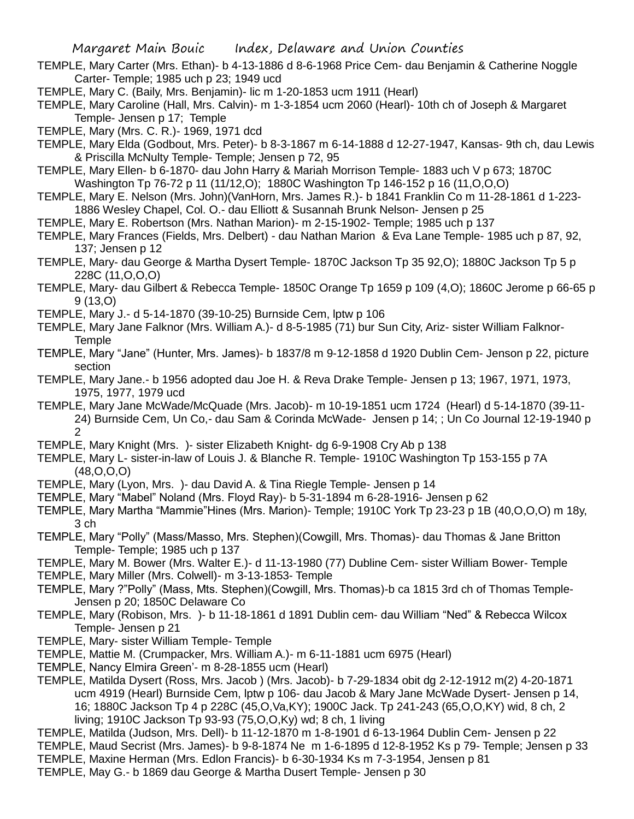- TEMPLE, Mary Carter (Mrs. Ethan)- b 4-13-1886 d 8-6-1968 Price Cem- dau Benjamin & Catherine Noggle Carter- Temple; 1985 uch p 23; 1949 ucd
- TEMPLE, Mary C. (Baily, Mrs. Benjamin)- lic m 1-20-1853 ucm 1911 (Hearl)
- TEMPLE, Mary Caroline (Hall, Mrs. Calvin)- m 1-3-1854 ucm 2060 (Hearl)- 10th ch of Joseph & Margaret Temple- Jensen p 17; Temple
- TEMPLE, Mary (Mrs. C. R.)- 1969, 1971 dcd
- TEMPLE, Mary Elda (Godbout, Mrs. Peter)- b 8-3-1867 m 6-14-1888 d 12-27-1947, Kansas- 9th ch, dau Lewis & Priscilla McNulty Temple- Temple; Jensen p 72, 95
- TEMPLE, Mary Ellen- b 6-1870- dau John Harry & Mariah Morrison Temple- 1883 uch V p 673; 1870C Washington Tp 76-72 p 11 (11/12,O); 1880C Washington Tp 146-152 p 16 (11,O,O,O)
- TEMPLE, Mary E. Nelson (Mrs. John)(VanHorn, Mrs. James R.)- b 1841 Franklin Co m 11-28-1861 d 1-223- 1886 Wesley Chapel, Col. O.- dau Elliott & Susannah Brunk Nelson- Jensen p 25
- TEMPLE, Mary E. Robertson (Mrs. Nathan Marion)- m 2-15-1902- Temple; 1985 uch p 137
- TEMPLE, Mary Frances (Fields, Mrs. Delbert) dau Nathan Marion & Eva Lane Temple- 1985 uch p 87, 92, 137; Jensen p 12
- TEMPLE, Mary- dau George & Martha Dysert Temple- 1870C Jackson Tp 35 92,O); 1880C Jackson Tp 5 p 228C (11,O,O,O)
- TEMPLE, Mary- dau Gilbert & Rebecca Temple- 1850C Orange Tp 1659 p 109 (4,O); 1860C Jerome p 66-65 p 9 (13,O)
- TEMPLE, Mary J.- d 5-14-1870 (39-10-25) Burnside Cem, lptw p 106
- TEMPLE, Mary Jane Falknor (Mrs. William A.)- d 8-5-1985 (71) bur Sun City, Ariz- sister William Falknor-**Temple**
- TEMPLE, Mary "Jane" (Hunter, Mrs. James)- b 1837/8 m 9-12-1858 d 1920 Dublin Cem- Jenson p 22, picture section
- TEMPLE, Mary Jane.- b 1956 adopted dau Joe H. & Reva Drake Temple- Jensen p 13; 1967, 1971, 1973, 1975, 1977, 1979 ucd
- TEMPLE, Mary Jane McWade/McQuade (Mrs. Jacob)- m 10-19-1851 ucm 1724 (Hearl) d 5-14-1870 (39-11- 24) Burnside Cem, Un Co,- dau Sam & Corinda McWade- Jensen p 14; ; Un Co Journal 12-19-1940 p 2
- TEMPLE, Mary Knight (Mrs. )- sister Elizabeth Knight- dg 6-9-1908 Cry Ab p 138
- TEMPLE, Mary L- sister-in-law of Louis J. & Blanche R. Temple- 1910C Washington Tp 153-155 p 7A (48,O,O,O)
- TEMPLE, Mary (Lyon, Mrs. )- dau David A. & Tina Riegle Temple- Jensen p 14
- TEMPLE, Mary "Mabel" Noland (Mrs. Floyd Ray)- b 5-31-1894 m 6-28-1916- Jensen p 62
- TEMPLE, Mary Martha "Mammie"Hines (Mrs. Marion)- Temple; 1910C York Tp 23-23 p 1B (40,O,O,O) m 18y, 3 ch
- TEMPLE, Mary "Polly" (Mass/Masso, Mrs. Stephen)(Cowgill, Mrs. Thomas)- dau Thomas & Jane Britton Temple- Temple; 1985 uch p 137
- TEMPLE, Mary M. Bower (Mrs. Walter E.)- d 11-13-1980 (77) Dubline Cem- sister William Bower- Temple
- TEMPLE, Mary Miller (Mrs. Colwell)- m 3-13-1853- Temple
- TEMPLE, Mary ?"Polly" (Mass, Mts. Stephen)(Cowgill, Mrs. Thomas)-b ca 1815 3rd ch of Thomas Temple-Jensen p 20; 1850C Delaware Co
- TEMPLE, Mary (Robison, Mrs. )- b 11-18-1861 d 1891 Dublin cem- dau William "Ned" & Rebecca Wilcox Temple- Jensen p 21
- TEMPLE, Mary- sister William Temple- Temple
- TEMPLE, Mattie M. (Crumpacker, Mrs. William A.)- m 6-11-1881 ucm 6975 (Hearl)
- TEMPLE, Nancy Elmira Green'- m 8-28-1855 ucm (Hearl)
- TEMPLE, Matilda Dysert (Ross, Mrs. Jacob ) (Mrs. Jacob)- b 7-29-1834 obit dg 2-12-1912 m(2) 4-20-1871 ucm 4919 (Hearl) Burnside Cem, lptw p 106- dau Jacob & Mary Jane McWade Dysert- Jensen p 14, 16; 1880C Jackson Tp 4 p 228C (45,O,Va,KY); 1900C Jack. Tp 241-243 (65,O,O,KY) wid, 8 ch, 2 living; 1910C Jackson Tp 93-93 (75,O,O,Ky) wd; 8 ch, 1 living
- TEMPLE, Matilda (Judson, Mrs. Dell)- b 11-12-1870 m 1-8-1901 d 6-13-1964 Dublin Cem- Jensen p 22
- TEMPLE, Maud Secrist (Mrs. James)- b 9-8-1874 Ne m 1-6-1895 d 12-8-1952 Ks p 79- Temple; Jensen p 33 TEMPLE, Maxine Herman (Mrs. Edlon Francis)- b 6-30-1934 Ks m 7-3-1954, Jensen p 81
- TEMPLE, May G.- b 1869 dau George & Martha Dusert Temple- Jensen p 30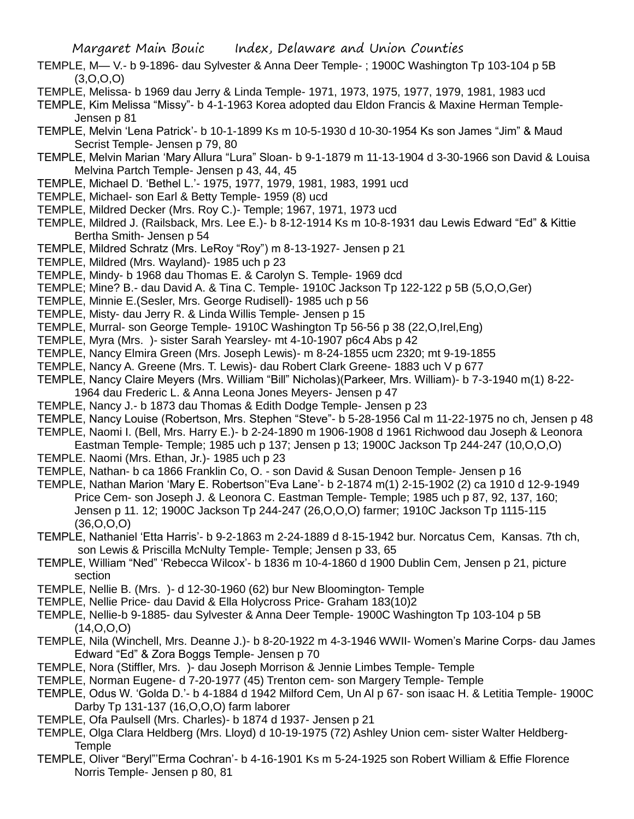- TEMPLE, M— V.- b 9-1896- dau Sylvester & Anna Deer Temple- ; 1900C Washington Tp 103-104 p 5B  $(3,0,0,0)$
- TEMPLE, Melissa- b 1969 dau Jerry & Linda Temple- 1971, 1973, 1975, 1977, 1979, 1981, 1983 ucd
- TEMPLE, Kim Melissa "Missy"- b 4-1-1963 Korea adopted dau Eldon Francis & Maxine Herman Temple-Jensen p 81
- TEMPLE, Melvin 'Lena Patrick'- b 10-1-1899 Ks m 10-5-1930 d 10-30-1954 Ks son James "Jim" & Maud Secrist Temple- Jensen p 79, 80
- TEMPLE, Melvin Marian 'Mary Allura "Lura" Sloan- b 9-1-1879 m 11-13-1904 d 3-30-1966 son David & Louisa Melvina Partch Temple- Jensen p 43, 44, 45
- TEMPLE, Michael D. 'Bethel L.'- 1975, 1977, 1979, 1981, 1983, 1991 ucd
- TEMPLE, Michael- son Earl & Betty Temple- 1959 (8) ucd
- TEMPLE, Mildred Decker (Mrs. Roy C.)- Temple; 1967, 1971, 1973 ucd
- TEMPLE, Mildred J. (Railsback, Mrs. Lee E.)- b 8-12-1914 Ks m 10-8-1931 dau Lewis Edward "Ed" & Kittie Bertha Smith- Jensen p 54
- TEMPLE, Mildred Schratz (Mrs. LeRoy "Roy") m 8-13-1927- Jensen p 21
- TEMPLE, Mildred (Mrs. Wayland)- 1985 uch p 23
- TEMPLE, Mindy- b 1968 dau Thomas E. & Carolyn S. Temple- 1969 dcd
- TEMPLE; Mine? B.- dau David A. & Tina C. Temple- 1910C Jackson Tp 122-122 p 5B (5,O,O,Ger)
- TEMPLE, Minnie E.(Sesler, Mrs. George Rudisell)- 1985 uch p 56
- TEMPLE, Misty- dau Jerry R. & Linda Willis Temple- Jensen p 15
- TEMPLE, Murral- son George Temple- 1910C Washington Tp 56-56 p 38 (22,O,Irel,Eng)
- TEMPLE, Myra (Mrs. )- sister Sarah Yearsley- mt 4-10-1907 p6c4 Abs p 42
- TEMPLE, Nancy Elmira Green (Mrs. Joseph Lewis)- m 8-24-1855 ucm 2320; mt 9-19-1855
- TEMPLE, Nancy A. Greene (Mrs. T. Lewis)- dau Robert Clark Greene- 1883 uch V p 677
- TEMPLE, Nancy Claire Meyers (Mrs. William "Bill" Nicholas)(Parkeer, Mrs. William)- b 7-3-1940 m(1) 8-22- 1964 dau Frederic L. & Anna Leona Jones Meyers- Jensen p 47
- TEMPLE, Nancy J.- b 1873 dau Thomas & Edith Dodge Temple- Jensen p 23
- TEMPLE, Nancy Louise (Robertson, Mrs. Stephen "Steve"- b 5-28-1956 Cal m 11-22-1975 no ch, Jensen p 48
- TEMPLE, Naomi I. (Bell, Mrs. Harry E.)- b 2-24-1890 m 1906-1908 d 1961 Richwood dau Joseph & Leonora Eastman Temple- Temple; 1985 uch p 137; Jensen p 13; 1900C Jackson Tp 244-247 (10,O,O,O)
- TEMPLE. Naomi (Mrs. Ethan, Jr.)- 1985 uch p 23
- TEMPLE, Nathan- b ca 1866 Franklin Co, O. son David & Susan Denoon Temple- Jensen p 16
- TEMPLE, Nathan Marion 'Mary E. Robertson''Eva Lane'- b 2-1874 m(1) 2-15-1902 (2) ca 1910 d 12-9-1949 Price Cem- son Joseph J. & Leonora C. Eastman Temple- Temple; 1985 uch p 87, 92, 137, 160; Jensen p 11. 12; 1900C Jackson Tp 244-247 (26,O,O,O) farmer; 1910C Jackson Tp 1115-115 (36,O,O,O)
- TEMPLE, Nathaniel 'Etta Harris'- b 9-2-1863 m 2-24-1889 d 8-15-1942 bur. Norcatus Cem, Kansas. 7th ch, son Lewis & Priscilla McNulty Temple- Temple; Jensen p 33, 65
- TEMPLE, William "Ned" 'Rebecca Wilcox'- b 1836 m 10-4-1860 d 1900 Dublin Cem, Jensen p 21, picture section
- TEMPLE, Nellie B. (Mrs. )- d 12-30-1960 (62) bur New Bloomington- Temple
- TEMPLE, Nellie Price- dau David & Ella Holycross Price- Graham 183(10)2
- TEMPLE, Nellie-b 9-1885- dau Sylvester & Anna Deer Temple- 1900C Washington Tp 103-104 p 5B  $(14, 0, 0, 0)$
- TEMPLE, Nila (Winchell, Mrs. Deanne J.)- b 8-20-1922 m 4-3-1946 WWII- Women's Marine Corps- dau James Edward "Ed" & Zora Boggs Temple- Jensen p 70
- TEMPLE, Nora (Stiffler, Mrs. )- dau Joseph Morrison & Jennie Limbes Temple- Temple
- TEMPLE, Norman Eugene- d 7-20-1977 (45) Trenton cem- son Margery Temple- Temple
- TEMPLE, Odus W. 'Golda D.'- b 4-1884 d 1942 Milford Cem, Un Al p 67- son isaac H. & Letitia Temple- 1900C Darby Tp 131-137 (16,O,O,O) farm laborer
- TEMPLE, Ofa Paulsell (Mrs. Charles)- b 1874 d 1937- Jensen p 21
- TEMPLE, Olga Clara Heldberg (Mrs. Lloyd) d 10-19-1975 (72) Ashley Union cem- sister Walter Heldberg-**Temple**
- TEMPLE, Oliver "Beryl"'Erma Cochran'- b 4-16-1901 Ks m 5-24-1925 son Robert William & Effie Florence Norris Temple- Jensen p 80, 81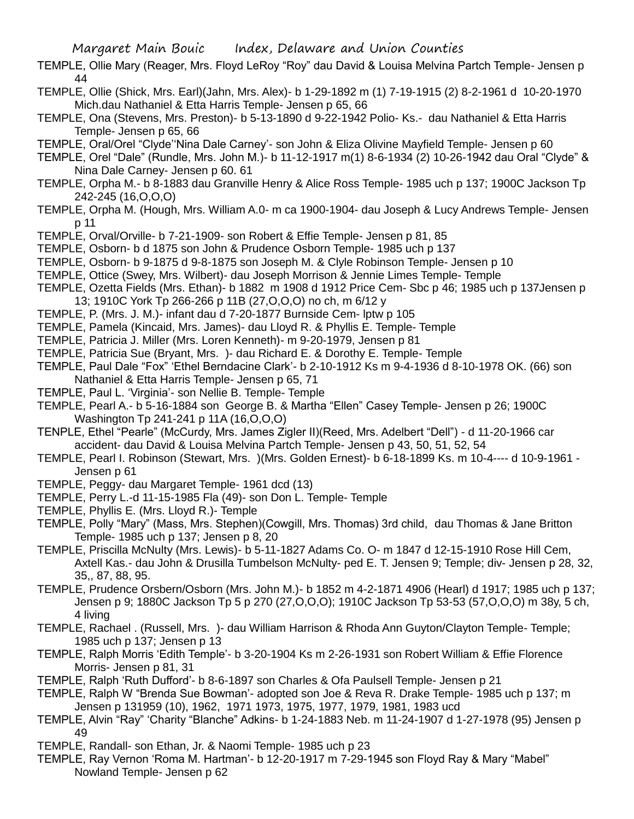- TEMPLE, Ollie Mary (Reager, Mrs. Floyd LeRoy "Roy" dau David & Louisa Melvina Partch Temple- Jensen p 44
- TEMPLE, Ollie (Shick, Mrs. Earl)(Jahn, Mrs. Alex)- b 1-29-1892 m (1) 7-19-1915 (2) 8-2-1961 d 10-20-1970 Mich.dau Nathaniel & Etta Harris Temple- Jensen p 65, 66
- TEMPLE, Ona (Stevens, Mrs. Preston)- b 5-13-1890 d 9-22-1942 Polio- Ks.- dau Nathaniel & Etta Harris Temple- Jensen p 65, 66
- TEMPLE, Oral/Orel "Clyde''Nina Dale Carney'- son John & Eliza Olivine Mayfield Temple- Jensen p 60
- TEMPLE, Orel "Dale" (Rundle, Mrs. John M.)- b 11-12-1917 m(1) 8-6-1934 (2) 10-26-1942 dau Oral "Clyde" & Nina Dale Carney- Jensen p 60. 61
- TEMPLE, Orpha M.- b 8-1883 dau Granville Henry & Alice Ross Temple- 1985 uch p 137; 1900C Jackson Tp 242-245 (16,O,O,O)
- TEMPLE, Orpha M. (Hough, Mrs. William A.0- m ca 1900-1904- dau Joseph & Lucy Andrews Temple- Jensen p 11
- TEMPLE, Orval/Orville- b 7-21-1909- son Robert & Effie Temple- Jensen p 81, 85
- TEMPLE, Osborn- b d 1875 son John & Prudence Osborn Temple- 1985 uch p 137
- TEMPLE, Osborn- b 9-1875 d 9-8-1875 son Joseph M. & Clyle Robinson Temple- Jensen p 10
- TEMPLE, Ottice (Swey, Mrs. Wilbert)- dau Joseph Morrison & Jennie Limes Temple- Temple
- TEMPLE, Ozetta Fields (Mrs. Ethan)- b 1882 m 1908 d 1912 Price Cem- Sbc p 46; 1985 uch p 137Jensen p 13; 1910C York Tp 266-266 p 11B (27,O,O,O) no ch, m 6/12 y
- TEMPLE, P. (Mrs. J. M.)- infant dau d 7-20-1877 Burnside Cem- lptw p 105
- TEMPLE, Pamela (Kincaid, Mrs. James)- dau Lloyd R. & Phyllis E. Temple- Temple
- TEMPLE, Patricia J. Miller (Mrs. Loren Kenneth)- m 9-20-1979, Jensen p 81
- TEMPLE, Patricia Sue (Bryant, Mrs. )- dau Richard E. & Dorothy E. Temple- Temple
- TEMPLE, Paul Dale "Fox" 'Ethel Berndacine Clark'- b 2-10-1912 Ks m 9-4-1936 d 8-10-1978 OK. (66) son Nathaniel & Etta Harris Temple- Jensen p 65, 71
- TEMPLE, Paul L. 'Virginia'- son Nellie B. Temple- Temple
- TEMPLE, Pearl A.- b 5-16-1884 son George B. & Martha "Ellen" Casey Temple- Jensen p 26; 1900C Washington Tp 241-241 p 11A (16,O,O,O)
- TENPLE, Ethel "Pearle" (McCurdy, Mrs. James Zigler II)(Reed, Mrs. Adelbert "Dell") d 11-20-1966 car accident- dau David & Louisa Melvina Partch Temple- Jensen p 43, 50, 51, 52, 54
- TEMPLE, Pearl I. Robinson (Stewart, Mrs. )(Mrs. Golden Ernest)- b 6-18-1899 Ks. m 10-4---- d 10-9-1961 Jensen p 61
- TEMPLE, Peggy- dau Margaret Temple- 1961 dcd (13)
- TEMPLE, Perry L.-d 11-15-1985 Fla (49)- son Don L. Temple- Temple
- TEMPLE, Phyllis E. (Mrs. Lloyd R.)- Temple
- TEMPLE, Polly "Mary" (Mass, Mrs. Stephen)(Cowgill, Mrs. Thomas) 3rd child, dau Thomas & Jane Britton Temple- 1985 uch p 137; Jensen p 8, 20
- TEMPLE, Priscilla McNulty (Mrs. Lewis)- b 5-11-1827 Adams Co. O- m 1847 d 12-15-1910 Rose Hill Cem, Axtell Kas.- dau John & Drusilla Tumbelson McNulty- ped E. T. Jensen 9; Temple; div- Jensen p 28, 32, 35,, 87, 88, 95.
- TEMPLE, Prudence Orsbern/Osborn (Mrs. John M.)- b 1852 m 4-2-1871 4906 (Hearl) d 1917; 1985 uch p 137; Jensen p 9; 1880C Jackson Tp 5 p 270 (27,O,O,O); 1910C Jackson Tp 53-53 (57,O,O,O) m 38y, 5 ch, 4 living
- TEMPLE, Rachael . (Russell, Mrs. )- dau William Harrison & Rhoda Ann Guyton/Clayton Temple- Temple; 1985 uch p 137; Jensen p 13
- TEMPLE, Ralph Morris 'Edith Temple'- b 3-20-1904 Ks m 2-26-1931 son Robert William & Effie Florence Morris- Jensen p 81, 31
- TEMPLE, Ralph 'Ruth Dufford'- b 8-6-1897 son Charles & Ofa Paulsell Temple- Jensen p 21
- TEMPLE, Ralph W "Brenda Sue Bowman'- adopted son Joe & Reva R. Drake Temple- 1985 uch p 137; m Jensen p 131959 (10), 1962, 1971 1973, 1975, 1977, 1979, 1981, 1983 ucd
- TEMPLE, Alvin "Ray" 'Charity "Blanche" Adkins- b 1-24-1883 Neb. m 11-24-1907 d 1-27-1978 (95) Jensen p 49
- TEMPLE, Randall- son Ethan, Jr. & Naomi Temple- 1985 uch p 23
- TEMPLE, Ray Vernon 'Roma M. Hartman'- b 12-20-1917 m 7-29-1945 son Floyd Ray & Mary "Mabel" Nowland Temple- Jensen p 62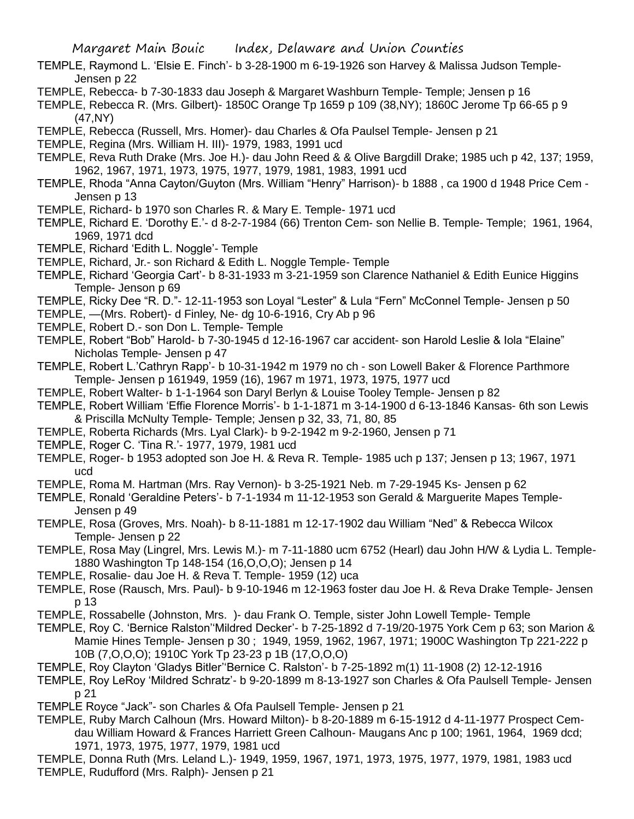- TEMPLE, Raymond L. 'Elsie E. Finch'- b 3-28-1900 m 6-19-1926 son Harvey & Malissa Judson Temple-Jensen p 22
- TEMPLE, Rebecca- b 7-30-1833 dau Joseph & Margaret Washburn Temple- Temple; Jensen p 16
- TEMPLE, Rebecca R. (Mrs. Gilbert)- 1850C Orange Tp 1659 p 109 (38,NY); 1860C Jerome Tp 66-65 p 9 (47,NY)
- TEMPLE, Rebecca (Russell, Mrs. Homer)- dau Charles & Ofa Paulsel Temple- Jensen p 21
- TEMPLE, Regina (Mrs. William H. III)- 1979, 1983, 1991 ucd
- TEMPLE, Reva Ruth Drake (Mrs. Joe H.)- dau John Reed & & Olive Bargdill Drake; 1985 uch p 42, 137; 1959, 1962, 1967, 1971, 1973, 1975, 1977, 1979, 1981, 1983, 1991 ucd
- TEMPLE, Rhoda "Anna Cayton/Guyton (Mrs. William "Henry" Harrison)- b 1888 , ca 1900 d 1948 Price Cem Jensen p 13
- TEMPLE, Richard- b 1970 son Charles R. & Mary E. Temple- 1971 ucd
- TEMPLE, Richard E. 'Dorothy E.'- d 8-2-7-1984 (66) Trenton Cem- son Nellie B. Temple- Temple; 1961, 1964, 1969, 1971 dcd
- TEMPLE, Richard 'Edith L. Noggle'- Temple
- TEMPLE, Richard, Jr.- son Richard & Edith L. Noggle Temple- Temple
- TEMPLE, Richard 'Georgia Cart'- b 8-31-1933 m 3-21-1959 son Clarence Nathaniel & Edith Eunice Higgins Temple- Jenson p 69
- TEMPLE, Ricky Dee "R. D."- 12-11-1953 son Loyal "Lester" & Lula "Fern" McConnel Temple- Jensen p 50
- TEMPLE, —(Mrs. Robert)- d Finley, Ne- dg 10-6-1916, Cry Ab p 96
- TEMPLE, Robert D.- son Don L. Temple- Temple
- TEMPLE, Robert "Bob" Harold- b 7-30-1945 d 12-16-1967 car accident- son Harold Leslie & Iola "Elaine" Nicholas Temple- Jensen p 47
- TEMPLE, Robert L.'Cathryn Rapp'- b 10-31-1942 m 1979 no ch son Lowell Baker & Florence Parthmore Temple- Jensen p 161949, 1959 (16), 1967 m 1971, 1973, 1975, 1977 ucd
- TEMPLE, Robert Walter- b 1-1-1964 son Daryl Berlyn & Louise Tooley Temple- Jensen p 82
- TEMPLE, Robert William 'Effie Florence Morris'- b 1-1-1871 m 3-14-1900 d 6-13-1846 Kansas- 6th son Lewis & Priscilla McNulty Temple- Temple; Jensen p 32, 33, 71, 80, 85
- TEMPLE, Roberta Richards (Mrs. Lyal Clark)- b 9-2-1942 m 9-2-1960, Jensen p 71
- TEMPLE, Roger C. 'Tina R.'- 1977, 1979, 1981 ucd
- TEMPLE, Roger- b 1953 adopted son Joe H. & Reva R. Temple- 1985 uch p 137; Jensen p 13; 1967, 1971 ucd
- TEMPLE, Roma M. Hartman (Mrs. Ray Vernon)- b 3-25-1921 Neb. m 7-29-1945 Ks- Jensen p 62
- TEMPLE, Ronald 'Geraldine Peters'- b 7-1-1934 m 11-12-1953 son Gerald & Marguerite Mapes Temple-Jensen p 49
- TEMPLE, Rosa (Groves, Mrs. Noah)- b 8-11-1881 m 12-17-1902 dau William "Ned" & Rebecca Wilcox Temple- Jensen p 22
- TEMPLE, Rosa May (Lingrel, Mrs. Lewis M.)- m 7-11-1880 ucm 6752 (Hearl) dau John H/W & Lydia L. Temple-1880 Washington Tp 148-154 (16,O,O,O); Jensen p 14
- TEMPLE, Rosalie- dau Joe H. & Reva T. Temple- 1959 (12) uca
- TEMPLE, Rose (Rausch, Mrs. Paul)- b 9-10-1946 m 12-1963 foster dau Joe H. & Reva Drake Temple- Jensen p 13
- TEMPLE, Rossabelle (Johnston, Mrs. )- dau Frank O. Temple, sister John Lowell Temple- Temple
- TEMPLE, Roy C. 'Bernice Ralston''Mildred Decker'- b 7-25-1892 d 7-19/20-1975 York Cem p 63; son Marion & Mamie Hines Temple- Jensen p 30 ; 1949, 1959, 1962, 1967, 1971; 1900C Washington Tp 221-222 p 10B (7,O,O,O); 1910C York Tp 23-23 p 1B (17,O,O,O)
- TEMPLE, Roy Clayton 'Gladys Bitler''Bernice C. Ralston'- b 7-25-1892 m(1) 11-1908 (2) 12-12-1916
- TEMPLE, Roy LeRoy 'Mildred Schratz'- b 9-20-1899 m 8-13-1927 son Charles & Ofa Paulsell Temple- Jensen p 21
- TEMPLE Royce "Jack"- son Charles & Ofa Paulsell Temple- Jensen p 21
- TEMPLE, Ruby March Calhoun (Mrs. Howard Milton)- b 8-20-1889 m 6-15-1912 d 4-11-1977 Prospect Cemdau William Howard & Frances Harriett Green Calhoun- Maugans Anc p 100; 1961, 1964, 1969 dcd; 1971, 1973, 1975, 1977, 1979, 1981 ucd
- TEMPLE, Donna Ruth (Mrs. Leland L.)- 1949, 1959, 1967, 1971, 1973, 1975, 1977, 1979, 1981, 1983 ucd TEMPLE, Rudufford (Mrs. Ralph)- Jensen p 21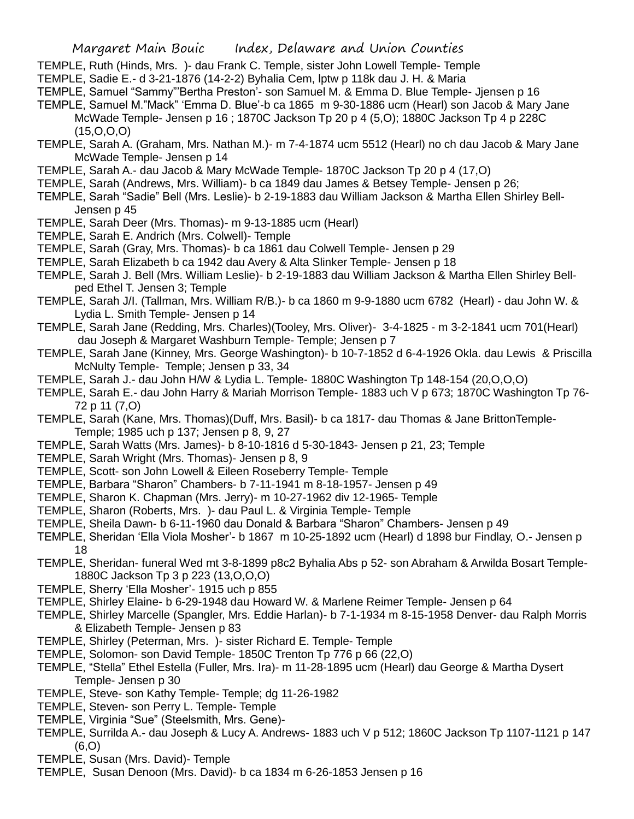- TEMPLE, Ruth (Hinds, Mrs. )- dau Frank C. Temple, sister John Lowell Temple- Temple
- TEMPLE, Sadie E.- d 3-21-1876 (14-2-2) Byhalia Cem, lptw p 118k dau J. H. & Maria
- TEMPLE, Samuel "Sammy"'Bertha Preston'- son Samuel M. & Emma D. Blue Temple- Jjensen p 16
- TEMPLE, Samuel M."Mack" 'Emma D. Blue'-b ca 1865 m 9-30-1886 ucm (Hearl) son Jacob & Mary Jane McWade Temple- Jensen p 16 ; 1870C Jackson Tp 20 p 4 (5,O); 1880C Jackson Tp 4 p 228C (15,O,O,O)
- TEMPLE, Sarah A. (Graham, Mrs. Nathan M.)- m 7-4-1874 ucm 5512 (Hearl) no ch dau Jacob & Mary Jane McWade Temple- Jensen p 14
- TEMPLE, Sarah A.- dau Jacob & Mary McWade Temple- 1870C Jackson Tp 20 p 4 (17,O)
- TEMPLE, Sarah (Andrews, Mrs. William)- b ca 1849 dau James & Betsey Temple- Jensen p 26;
- TEMPLE, Sarah "Sadie" Bell (Mrs. Leslie)- b 2-19-1883 dau William Jackson & Martha Ellen Shirley Bell-Jensen p 45
- TEMPLE, Sarah Deer (Mrs. Thomas)- m 9-13-1885 ucm (Hearl)
- TEMPLE, Sarah E. Andrich (Mrs. Colwell)- Temple
- TEMPLE, Sarah (Gray, Mrs. Thomas)- b ca 1861 dau Colwell Temple- Jensen p 29
- TEMPLE, Sarah Elizabeth b ca 1942 dau Avery & Alta Slinker Temple- Jensen p 18
- TEMPLE, Sarah J. Bell (Mrs. William Leslie)- b 2-19-1883 dau William Jackson & Martha Ellen Shirley Bellped Ethel T. Jensen 3; Temple
- TEMPLE, Sarah J/I. (Tallman, Mrs. William R/B.)- b ca 1860 m 9-9-1880 ucm 6782 (Hearl) dau John W. & Lydia L. Smith Temple- Jensen p 14
- TEMPLE, Sarah Jane (Redding, Mrs. Charles)(Tooley, Mrs. Oliver)- 3-4-1825 m 3-2-1841 ucm 701(Hearl) dau Joseph & Margaret Washburn Temple- Temple; Jensen p 7
- TEMPLE, Sarah Jane (Kinney, Mrs. George Washington)- b 10-7-1852 d 6-4-1926 Okla. dau Lewis & Priscilla McNulty Temple- Temple; Jensen p 33, 34
- TEMPLE, Sarah J.- dau John H/W & Lydia L. Temple- 1880C Washington Tp 148-154 (20,O,O,O)
- TEMPLE, Sarah E.- dau John Harry & Mariah Morrison Temple- 1883 uch V p 673; 1870C Washington Tp 76- 72 p 11 (7,O)
- TEMPLE, Sarah (Kane, Mrs. Thomas)(Duff, Mrs. Basil)- b ca 1817- dau Thomas & Jane BrittonTemple-Temple; 1985 uch p 137; Jensen p 8, 9, 27
- TEMPLE, Sarah Watts (Mrs. James)- b 8-10-1816 d 5-30-1843- Jensen p 21, 23; Temple
- TEMPLE, Sarah Wright (Mrs. Thomas)- Jensen p 8, 9
- TEMPLE, Scott- son John Lowell & Eileen Roseberry Temple- Temple
- TEMPLE, Barbara "Sharon" Chambers- b 7-11-1941 m 8-18-1957- Jensen p 49
- TEMPLE, Sharon K. Chapman (Mrs. Jerry)- m 10-27-1962 div 12-1965- Temple
- TEMPLE, Sharon (Roberts, Mrs. )- dau Paul L. & Virginia Temple- Temple
- TEMPLE, Sheila Dawn- b 6-11-1960 dau Donald & Barbara "Sharon" Chambers- Jensen p 49
- TEMPLE, Sheridan 'Ella Viola Mosher'- b 1867 m 10-25-1892 ucm (Hearl) d 1898 bur Findlay, O.- Jensen p 18
- TEMPLE, Sheridan- funeral Wed mt 3-8-1899 p8c2 Byhalia Abs p 52- son Abraham & Arwilda Bosart Temple-1880C Jackson Tp 3 p 223 (13,O,O,O)
- TEMPLE, Sherry 'Ella Mosher'- 1915 uch p 855
- TEMPLE, Shirley Elaine- b 6-29-1948 dau Howard W. & Marlene Reimer Temple- Jensen p 64
- TEMPLE, Shirley Marcelle (Spangler, Mrs. Eddie Harlan)- b 7-1-1934 m 8-15-1958 Denver- dau Ralph Morris & Elizabeth Temple- Jensen p 83
- TEMPLE, Shirley (Peterman, Mrs. )- sister Richard E. Temple- Temple
- TEMPLE, Solomon- son David Temple- 1850C Trenton Tp 776 p 66 (22,O)
- TEMPLE, "Stella" Ethel Estella (Fuller, Mrs. Ira)- m 11-28-1895 ucm (Hearl) dau George & Martha Dysert Temple- Jensen p 30
- TEMPLE, Steve- son Kathy Temple- Temple; dg 11-26-1982
- TEMPLE, Steven- son Perry L. Temple- Temple
- TEMPLE, Virginia "Sue" (Steelsmith, Mrs. Gene)-
- TEMPLE, Surrilda A.- dau Joseph & Lucy A. Andrews- 1883 uch V p 512; 1860C Jackson Tp 1107-1121 p 147 (6,O)
- TEMPLE, Susan (Mrs. David)- Temple
- TEMPLE, Susan Denoon (Mrs. David)- b ca 1834 m 6-26-1853 Jensen p 16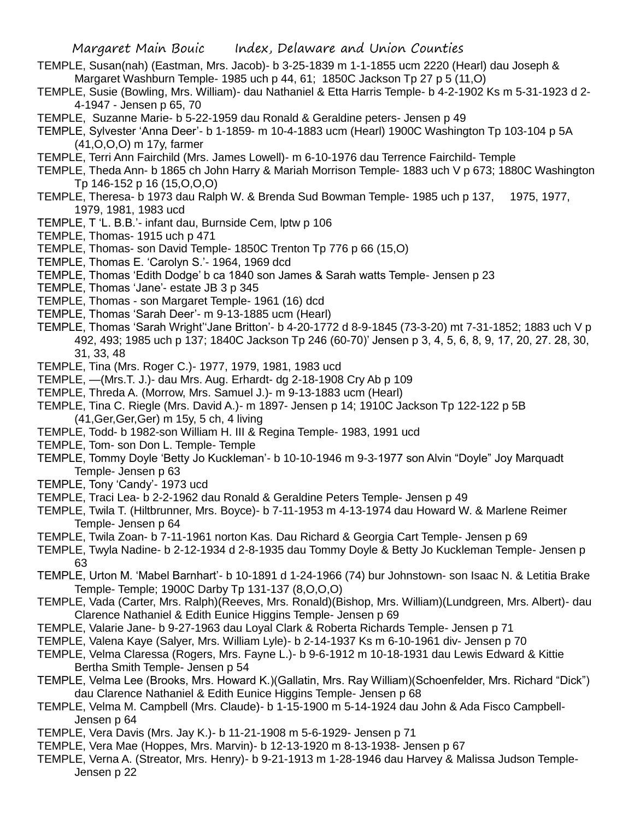- TEMPLE, Susan(nah) (Eastman, Mrs. Jacob)- b 3-25-1839 m 1-1-1855 ucm 2220 (Hearl) dau Joseph & Margaret Washburn Temple- 1985 uch p 44, 61; 1850C Jackson Tp 27 p 5 (11,O)
- TEMPLE, Susie (Bowling, Mrs. William)- dau Nathaniel & Etta Harris Temple- b 4-2-1902 Ks m 5-31-1923 d 2- 4-1947 - Jensen p 65, 70
- TEMPLE, Suzanne Marie- b 5-22-1959 dau Ronald & Geraldine peters- Jensen p 49
- TEMPLE, Sylvester 'Anna Deer'- b 1-1859- m 10-4-1883 ucm (Hearl) 1900C Washington Tp 103-104 p 5A (41,O,O,O) m 17y, farmer
- TEMPLE, Terri Ann Fairchild (Mrs. James Lowell)- m 6-10-1976 dau Terrence Fairchild- Temple
- TEMPLE, Theda Ann- b 1865 ch John Harry & Mariah Morrison Temple- 1883 uch V p 673; 1880C Washington Tp 146-152 p 16 (15,O,O,O)
- TEMPLE, Theresa- b 1973 dau Ralph W. & Brenda Sud Bowman Temple- 1985 uch p 137, 1975, 1977, 1979, 1981, 1983 ucd
- TEMPLE, T 'L. B.B.'- infant dau, Burnside Cem, lptw p 106
- TEMPLE, Thomas- 1915 uch p 471
- TEMPLE, Thomas- son David Temple- 1850C Trenton Tp 776 p 66 (15,O)
- TEMPLE, Thomas E. 'Carolyn S.'- 1964, 1969 dcd
- TEMPLE, Thomas 'Edith Dodge' b ca 1840 son James & Sarah watts Temple- Jensen p 23
- TEMPLE, Thomas 'Jane'- estate JB 3 p 345
- TEMPLE, Thomas son Margaret Temple- 1961 (16) dcd
- TEMPLE, Thomas 'Sarah Deer'- m 9-13-1885 ucm (Hearl)
- TEMPLE, Thomas 'Sarah Wright''Jane Britton'- b 4-20-1772 d 8-9-1845 (73-3-20) mt 7-31-1852; 1883 uch V p 492, 493; 1985 uch p 137; 1840C Jackson Tp 246 (60-70)' Jensen p 3, 4, 5, 6, 8, 9, 17, 20, 27. 28, 30, 31, 33, 48
- TEMPLE, Tina (Mrs. Roger C.)- 1977, 1979, 1981, 1983 ucd
- TEMPLE, —(Mrs.T. J.)- dau Mrs. Aug. Erhardt- dg 2-18-1908 Cry Ab p 109
- TEMPLE, Threda A. (Morrow, Mrs. Samuel J.)- m 9-13-1883 ucm (Hearl)
- TEMPLE, Tina C. Riegle (Mrs. David A.)- m 1897- Jensen p 14; 1910C Jackson Tp 122-122 p 5B (41,Ger,Ger,Ger) m 15y, 5 ch, 4 living
- TEMPLE, Todd- b 1982-son William H. III & Regina Temple- 1983, 1991 ucd
- TEMPLE, Tom- son Don L. Temple- Temple
- TEMPLE, Tommy Doyle 'Betty Jo Kuckleman'- b 10-10-1946 m 9-3-1977 son Alvin "Doyle" Joy Marquadt Temple- Jensen p 63
- TEMPLE, Tony 'Candy'- 1973 ucd
- TEMPLE, Traci Lea- b 2-2-1962 dau Ronald & Geraldine Peters Temple- Jensen p 49
- TEMPLE, Twila T. (Hiltbrunner, Mrs. Boyce)- b 7-11-1953 m 4-13-1974 dau Howard W. & Marlene Reimer Temple- Jensen p 64
- TEMPLE, Twila Zoan- b 7-11-1961 norton Kas. Dau Richard & Georgia Cart Temple- Jensen p 69
- TEMPLE, Twyla Nadine- b 2-12-1934 d 2-8-1935 dau Tommy Doyle & Betty Jo Kuckleman Temple- Jensen p 63
- TEMPLE, Urton M. 'Mabel Barnhart'- b 10-1891 d 1-24-1966 (74) bur Johnstown- son Isaac N. & Letitia Brake Temple- Temple; 1900C Darby Tp 131-137 (8,O,O,O)
- TEMPLE, Vada (Carter, Mrs. Ralph)(Reeves, Mrs. Ronald)(Bishop, Mrs. William)(Lundgreen, Mrs. Albert)- dau Clarence Nathaniel & Edith Eunice Higgins Temple- Jensen p 69
- TEMPLE, Valarie Jane- b 9-27-1963 dau Loyal Clark & Roberta Richards Temple- Jensen p 71
- TEMPLE, Valena Kaye (Salyer, Mrs. William Lyle)- b 2-14-1937 Ks m 6-10-1961 div- Jensen p 70
- TEMPLE, Velma Claressa (Rogers, Mrs. Fayne L.)- b 9-6-1912 m 10-18-1931 dau Lewis Edward & Kittie Bertha Smith Temple- Jensen p 54
- TEMPLE, Velma Lee (Brooks, Mrs. Howard K.)(Gallatin, Mrs. Ray William)(Schoenfelder, Mrs. Richard "Dick") dau Clarence Nathaniel & Edith Eunice Higgins Temple- Jensen p 68
- TEMPLE, Velma M. Campbell (Mrs. Claude)- b 1-15-1900 m 5-14-1924 dau John & Ada Fisco Campbell-Jensen p 64
- TEMPLE, Vera Davis (Mrs. Jay K.)- b 11-21-1908 m 5-6-1929- Jensen p 71
- TEMPLE, Vera Mae (Hoppes, Mrs. Marvin)- b 12-13-1920 m 8-13-1938- Jensen p 67
- TEMPLE, Verna A. (Streator, Mrs. Henry)- b 9-21-1913 m 1-28-1946 dau Harvey & Malissa Judson Temple-Jensen p 22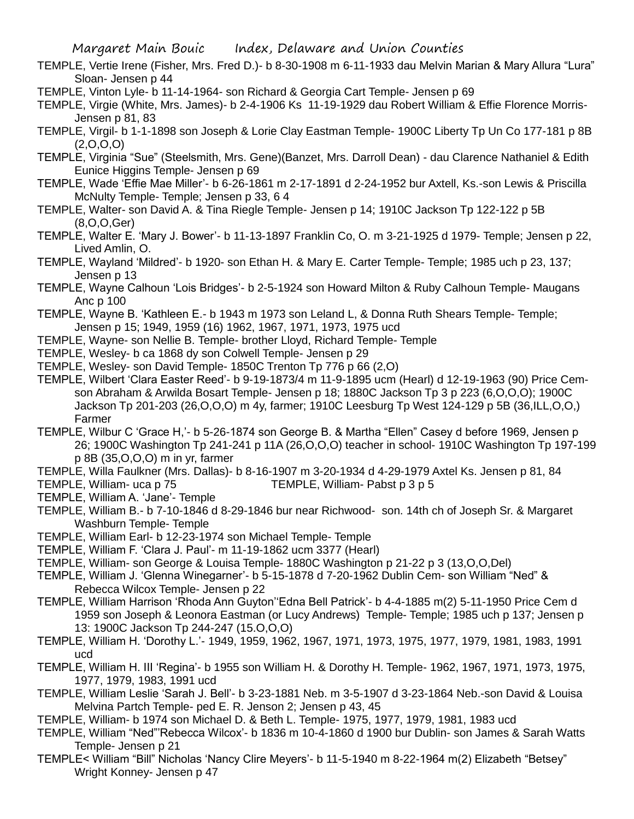- TEMPLE, Vertie Irene (Fisher, Mrs. Fred D.)- b 8-30-1908 m 6-11-1933 dau Melvin Marian & Mary Allura "Lura" Sloan- Jensen p 44
- TEMPLE, Vinton Lyle- b 11-14-1964- son Richard & Georgia Cart Temple- Jensen p 69
- TEMPLE, Virgie (White, Mrs. James)- b 2-4-1906 Ks 11-19-1929 dau Robert William & Effie Florence Morris-Jensen p 81, 83
- TEMPLE, Virgil- b 1-1-1898 son Joseph & Lorie Clay Eastman Temple- 1900C Liberty Tp Un Co 177-181 p 8B  $(2,0,0,0)$
- TEMPLE, Virginia "Sue" (Steelsmith, Mrs. Gene)(Banzet, Mrs. Darroll Dean) dau Clarence Nathaniel & Edith Eunice Higgins Temple- Jensen p 69
- TEMPLE, Wade 'Effie Mae Miller'- b 6-26-1861 m 2-17-1891 d 2-24-1952 bur Axtell, Ks.-son Lewis & Priscilla McNulty Temple- Temple; Jensen p 33, 6 4
- TEMPLE, Walter- son David A. & Tina Riegle Temple- Jensen p 14; 1910C Jackson Tp 122-122 p 5B (8,O,O,Ger)
- TEMPLE, Walter E. 'Mary J. Bower'- b 11-13-1897 Franklin Co, O. m 3-21-1925 d 1979- Temple; Jensen p 22, Lived Amlin, O.
- TEMPLE, Wayland 'Mildred'- b 1920- son Ethan H. & Mary E. Carter Temple- Temple; 1985 uch p 23, 137; Jensen p 13
- TEMPLE, Wayne Calhoun 'Lois Bridges'- b 2-5-1924 son Howard Milton & Ruby Calhoun Temple- Maugans Anc p 100
- TEMPLE, Wayne B. 'Kathleen E.- b 1943 m 1973 son Leland L, & Donna Ruth Shears Temple- Temple; Jensen p 15; 1949, 1959 (16) 1962, 1967, 1971, 1973, 1975 ucd
- TEMPLE, Wayne- son Nellie B. Temple- brother Lloyd, Richard Temple- Temple
- TEMPLE, Wesley- b ca 1868 dy son Colwell Temple- Jensen p 29
- TEMPLE, Wesley- son David Temple- 1850C Trenton Tp 776 p 66 (2,O)
- TEMPLE, Wilbert 'Clara Easter Reed'- b 9-19-1873/4 m 11-9-1895 ucm (Hearl) d 12-19-1963 (90) Price Cemson Abraham & Arwilda Bosart Temple- Jensen p 18; 1880C Jackson Tp 3 p 223 (6,O,O,O); 1900C Jackson Tp 201-203 (26,O,O,O) m 4y, farmer; 1910C Leesburg Tp West 124-129 p 5B (36,ILL,O,O,) Farmer
- TEMPLE, Wilbur C 'Grace H,'- b 5-26-1874 son George B. & Martha "Ellen" Casey d before 1969, Jensen p 26; 1900C Washington Tp 241-241 p 11A (26,O,O,O) teacher in school- 1910C Washington Tp 197-199 p 8B (35,O,O,O) m in yr, farmer
- TEMPLE, Willa Faulkner (Mrs. Dallas)- b 8-16-1907 m 3-20-1934 d 4-29-1979 Axtel Ks. Jensen p 81, 84
- TEMPLE, William- uca p 75 TEMPLE, William- Pabst p 3 p 5
- TEMPLE, William A. 'Jane'- Temple
- TEMPLE, William B.- b 7-10-1846 d 8-29-1846 bur near Richwood- son. 14th ch of Joseph Sr. & Margaret Washburn Temple- Temple
- TEMPLE, William Earl- b 12-23-1974 son Michael Temple- Temple
- TEMPLE, William F. 'Clara J. Paul'- m 11-19-1862 ucm 3377 (Hearl)
- TEMPLE, William- son George & Louisa Temple- 1880C Washington p 21-22 p 3 (13,O,O,Del)
- TEMPLE, William J. 'Glenna Winegarner'- b 5-15-1878 d 7-20-1962 Dublin Cem- son William "Ned" & Rebecca Wilcox Temple- Jensen p 22
- TEMPLE, William Harrison 'Rhoda Ann Guyton''Edna Bell Patrick'- b 4-4-1885 m(2) 5-11-1950 Price Cem d 1959 son Joseph & Leonora Eastman (or Lucy Andrews) Temple- Temple; 1985 uch p 137; Jensen p 13: 1900C Jackson Tp 244-247 (15.O,O,O)
- TEMPLE, William H. 'Dorothy L.'- 1949, 1959, 1962, 1967, 1971, 1973, 1975, 1977, 1979, 1981, 1983, 1991 ucd
- TEMPLE, William H. III 'Regina'- b 1955 son William H. & Dorothy H. Temple- 1962, 1967, 1971, 1973, 1975, 1977, 1979, 1983, 1991 ucd
- TEMPLE, William Leslie 'Sarah J. Bell'- b 3-23-1881 Neb. m 3-5-1907 d 3-23-1864 Neb.-son David & Louisa Melvina Partch Temple- ped E. R. Jenson 2; Jensen p 43, 45
- TEMPLE, William- b 1974 son Michael D. & Beth L. Temple- 1975, 1977, 1979, 1981, 1983 ucd
- TEMPLE, William "Ned"'Rebecca Wilcox'- b 1836 m 10-4-1860 d 1900 bur Dublin- son James & Sarah Watts Temple- Jensen p 21
- TEMPLE< William "Bill" Nicholas 'Nancy Clire Meyers'- b 11-5-1940 m 8-22-1964 m(2) Elizabeth "Betsey" Wright Konney- Jensen p 47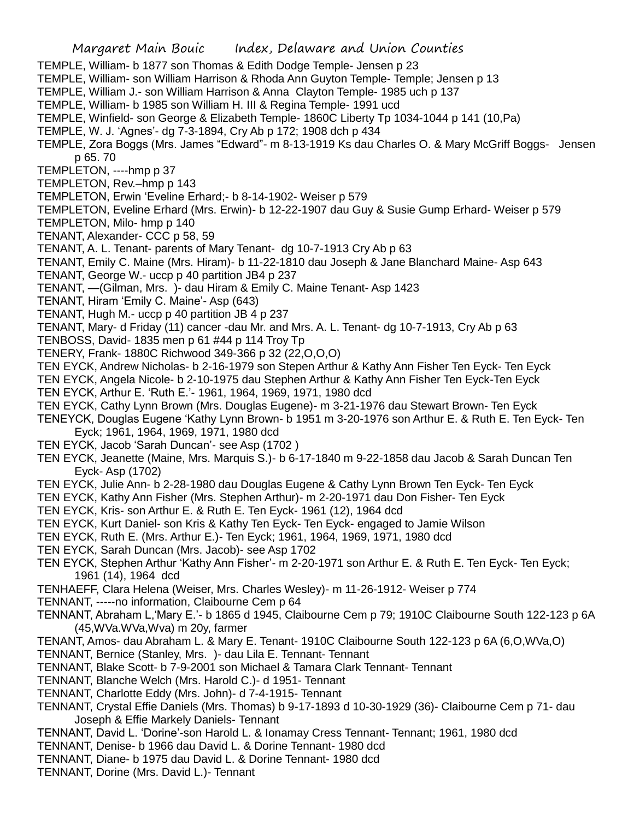- TEMPLE, William- b 1877 son Thomas & Edith Dodge Temple- Jensen p 23
- TEMPLE, William- son William Harrison & Rhoda Ann Guyton Temple- Temple; Jensen p 13
- TEMPLE, William J.- son William Harrison & Anna Clayton Temple- 1985 uch p 137
- TEMPLE, William- b 1985 son William H. III & Regina Temple- 1991 ucd
- TEMPLE, Winfield- son George & Elizabeth Temple- 1860C Liberty Tp 1034-1044 p 141 (10,Pa)
- TEMPLE, W. J. 'Agnes'- dg 7-3-1894, Cry Ab p 172; 1908 dch p 434
- TEMPLE, Zora Boggs (Mrs. James "Edward"- m 8-13-1919 Ks dau Charles O. & Mary McGriff Boggs- Jensen p 65. 70
- TEMPLETON, ----hmp p 37
- TEMPLETON, Rev.–hmp p 143
- TEMPLETON, Erwin 'Eveline Erhard;- b 8-14-1902- Weiser p 579
- TEMPLETON, Eveline Erhard (Mrs. Erwin)- b 12-22-1907 dau Guy & Susie Gump Erhard- Weiser p 579
- TEMPLETON, Milo- hmp p 140
- TENANT, Alexander- CCC p 58, 59
- TENANT, A. L. Tenant- parents of Mary Tenant- dg 10-7-1913 Cry Ab p 63
- TENANT, Emily C. Maine (Mrs. Hiram)- b 11-22-1810 dau Joseph & Jane Blanchard Maine- Asp 643
- TENANT, George W.- uccp p 40 partition JB4 p 237
- TENANT, —(Gilman, Mrs. )- dau Hiram & Emily C. Maine Tenant- Asp 1423
- TENANT, Hiram 'Emily C. Maine'- Asp (643)
- TENANT, Hugh M.- uccp p 40 partition JB 4 p 237
- TENANT, Mary- d Friday (11) cancer -dau Mr. and Mrs. A. L. Tenant- dg 10-7-1913, Cry Ab p 63
- TENBOSS, David- 1835 men p 61 #44 p 114 Troy Tp
- TENERY, Frank- 1880C Richwood 349-366 p 32 (22,O,O,O)
- TEN EYCK, Andrew Nicholas- b 2-16-1979 son Stepen Arthur & Kathy Ann Fisher Ten Eyck- Ten Eyck
- TEN EYCK, Angela Nicole- b 2-10-1975 dau Stephen Arthur & Kathy Ann Fisher Ten Eyck-Ten Eyck TEN EYCK, Arthur E. 'Ruth E.'- 1961, 1964, 1969, 1971, 1980 dcd
- TEN EYCK, Cathy Lynn Brown (Mrs. Douglas Eugene)- m 3-21-1976 dau Stewart Brown- Ten Eyck
- TENEYCK, Douglas Eugene 'Kathy Lynn Brown- b 1951 m 3-20-1976 son Arthur E. & Ruth E. Ten Eyck- Ten Eyck; 1961, 1964, 1969, 1971, 1980 dcd
- TEN EYCK, Jacob 'Sarah Duncan'- see Asp (1702 )
- TEN EYCK, Jeanette (Maine, Mrs. Marquis S.)- b 6-17-1840 m 9-22-1858 dau Jacob & Sarah Duncan Ten Eyck- Asp (1702)
- TEN EYCK, Julie Ann- b 2-28-1980 dau Douglas Eugene & Cathy Lynn Brown Ten Eyck- Ten Eyck
- TEN EYCK, Kathy Ann Fisher (Mrs. Stephen Arthur)- m 2-20-1971 dau Don Fisher- Ten Eyck
- TEN EYCK, Kris- son Arthur E. & Ruth E. Ten Eyck- 1961 (12), 1964 dcd
- TEN EYCK, Kurt Daniel- son Kris & Kathy Ten Eyck- Ten Eyck- engaged to Jamie Wilson
- TEN EYCK, Ruth E. (Mrs. Arthur E.)- Ten Eyck; 1961, 1964, 1969, 1971, 1980 dcd
- TEN EYCK, Sarah Duncan (Mrs. Jacob)- see Asp 1702
- TEN EYCK, Stephen Arthur 'Kathy Ann Fisher'- m 2-20-1971 son Arthur E. & Ruth E. Ten Eyck- Ten Eyck; 1961 (14), 1964 dcd
- TENHAEFF, Clara Helena (Weiser, Mrs. Charles Wesley)- m 11-26-1912- Weiser p 774
- TENNANT, -----no information, Claibourne Cem p 64
- TENNANT, Abraham L,'Mary E.'- b 1865 d 1945, Claibourne Cem p 79; 1910C Claibourne South 122-123 p 6A (45,WVa.WVa,Wva) m 20y, farmer
- TENANT, Amos- dau Abraham L. & Mary E. Tenant- 1910C Claibourne South 122-123 p 6A (6,O,WVa,O)
- TENNANT, Bernice (Stanley, Mrs. )- dau Lila E. Tennant- Tennant
- TENNANT, Blake Scott- b 7-9-2001 son Michael & Tamara Clark Tennant- Tennant
- TENNANT, Blanche Welch (Mrs. Harold C.)- d 1951- Tennant
- TENNANT, Charlotte Eddy (Mrs. John)- d 7-4-1915- Tennant
- TENNANT, Crystal Effie Daniels (Mrs. Thomas) b 9-17-1893 d 10-30-1929 (36)- Claibourne Cem p 71- dau Joseph & Effie Markely Daniels- Tennant
- TENNANT, David L. 'Dorine'-son Harold L. & Ionamay Cress Tennant- Tennant; 1961, 1980 dcd
- TENNANT, Denise- b 1966 dau David L. & Dorine Tennant- 1980 dcd
- TENNANT, Diane- b 1975 dau David L. & Dorine Tennant- 1980 dcd
- TENNANT, Dorine (Mrs. David L.)- Tennant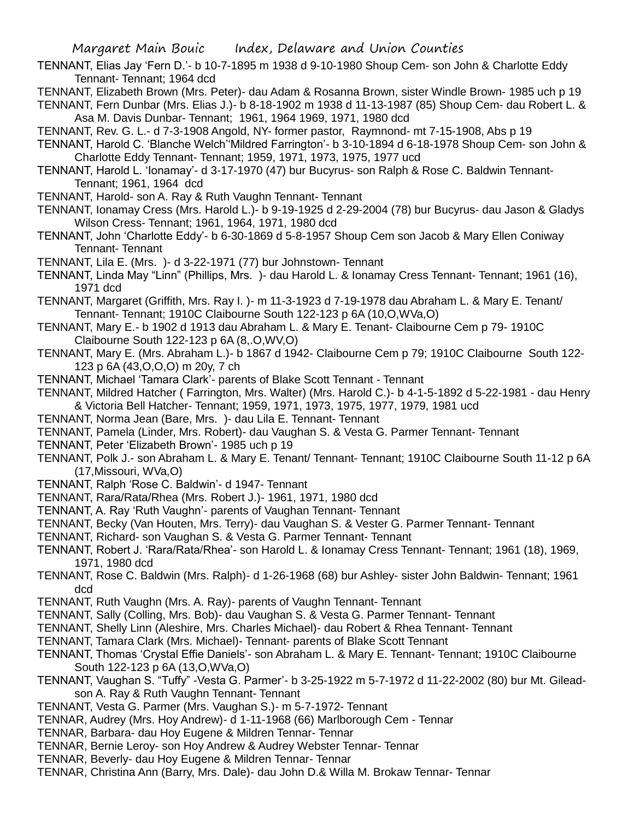TENNANT, Elias Jay 'Fern D.'- b 10-7-1895 m 1938 d 9-10-1980 Shoup Cem- son John & Charlotte Eddy Tennant- Tennant; 1964 dcd

TENNANT, Elizabeth Brown (Mrs. Peter)- dau Adam & Rosanna Brown, sister Windle Brown- 1985 uch p 19

TENNANT, Fern Dunbar (Mrs. Elias J.)- b 8-18-1902 m 1938 d 11-13-1987 (85) Shoup Cem- dau Robert L. & Asa M. Davis Dunbar- Tennant; 1961, 1964 1969, 1971, 1980 dcd

- TENNANT, Rev. G. L.- d 7-3-1908 Angold, NY- former pastor, Raymnond- mt 7-15-1908, Abs p 19
- TENNANT, Harold C. 'Blanche Welch''Mildred Farrington'- b 3-10-1894 d 6-18-1978 Shoup Cem- son John & Charlotte Eddy Tennant- Tennant; 1959, 1971, 1973, 1975, 1977 ucd
- TENNANT, Harold L. 'Ionamay'- d 3-17-1970 (47) bur Bucyrus- son Ralph & Rose C. Baldwin Tennant-Tennant; 1961, 1964 dcd
- TENNANT, Harold- son A. Ray & Ruth Vaughn Tennant- Tennant
- TENNANT, Ionamay Cress (Mrs. Harold L.)- b 9-19-1925 d 2-29-2004 (78) bur Bucyrus- dau Jason & Gladys Wilson Cress- Tennant; 1961, 1964, 1971, 1980 dcd
- TENNANT, John 'Charlotte Eddy'- b 6-30-1869 d 5-8-1957 Shoup Cem son Jacob & Mary Ellen Coniway Tennant- Tennant
- TENNANT, Lila E. (Mrs. )- d 3-22-1971 (77) bur Johnstown- Tennant
- TENNANT, Linda May "Linn" (Phillips, Mrs. )- dau Harold L. & Ionamay Cress Tennant- Tennant; 1961 (16), 1971 dcd
- TENNANT, Margaret (Griffith, Mrs. Ray I. )- m 11-3-1923 d 7-19-1978 dau Abraham L. & Mary E. Tenant/ Tennant- Tennant; 1910C Claibourne South 122-123 p 6A (10,O,WVa,O)
- TENNANT, Mary E.- b 1902 d 1913 dau Abraham L. & Mary E. Tenant- Claibourne Cem p 79- 1910C Claibourne South 122-123 p 6A (8,.O,WV,O)
- TENNANT, Mary E. (Mrs. Abraham L.)- b 1867 d 1942- Claibourne Cem p 79; 1910C Claibourne South 122- 123 p 6A (43,O,O,O) m 20y, 7 ch
- TENNANT, Michael 'Tamara Clark'- parents of Blake Scott Tennant Tennant
- TENNANT, Mildred Hatcher ( Farrington, Mrs. Walter) (Mrs. Harold C.)- b 4-1-5-1892 d 5-22-1981 dau Henry & Victoria Bell Hatcher- Tennant; 1959, 1971, 1973, 1975, 1977, 1979, 1981 ucd
- TENNANT, Norma Jean (Bare, Mrs. )- dau Lila E. Tennant- Tennant
- TENNANT, Pamela (Linder, Mrs. Robert)- dau Vaughan S. & Vesta G. Parmer Tennant- Tennant
- TENNANT, Peter 'Elizabeth Brown'- 1985 uch p 19
- TENNANT, Polk J.- son Abraham L. & Mary E. Tenant/ Tennant- Tennant; 1910C Claibourne South 11-12 p 6A (17,Missouri, WVa,O)
- TENNANT, Ralph 'Rose C. Baldwin'- d 1947- Tennant
- TENNANT, Rara/Rata/Rhea (Mrs. Robert J.)- 1961, 1971, 1980 dcd
- TENNANT, A. Ray 'Ruth Vaughn'- parents of Vaughan Tennant- Tennant
- TENNANT, Becky (Van Houten, Mrs. Terry)- dau Vaughan S. & Vester G. Parmer Tennant- Tennant
- TENNANT, Richard- son Vaughan S. & Vesta G. Parmer Tennant- Tennant
- TENNANT, Robert J. 'Rara/Rata/Rhea'- son Harold L. & Ionamay Cress Tennant- Tennant; 1961 (18), 1969, 1971, 1980 dcd
- TENNANT, Rose C. Baldwin (Mrs. Ralph)- d 1-26-1968 (68) bur Ashley- sister John Baldwin- Tennant; 1961 dcd
- TENNANT, Ruth Vaughn (Mrs. A. Ray)- parents of Vaughn Tennant- Tennant
- TENNANT, Sally (Colling, Mrs. Bob)- dau Vaughan S. & Vesta G. Parmer Tennant- Tennant
- TENNANT, Shelly Linn (Aleshire, Mrs. Charles Michael)- dau Robert & Rhea Tennant- Tennant
- TENNANT, Tamara Clark (Mrs. Michael)- Tennant- parents of Blake Scott Tennant
- TENNANT, Thomas 'Crystal Effie Daniels'- son Abraham L. & Mary E. Tennant- Tennant; 1910C Claibourne South 122-123 p 6A (13,O,WVa,O)
- TENNANT, Vaughan S. "Tuffy" -Vesta G. Parmer'- b 3-25-1922 m 5-7-1972 d 11-22-2002 (80) bur Mt. Gileadson A. Ray & Ruth Vaughn Tennant- Tennant
- TENNANT, Vesta G. Parmer (Mrs. Vaughan S.)- m 5-7-1972- Tennant
- TENNAR, Audrey (Mrs. Hoy Andrew)- d 1-11-1968 (66) Marlborough Cem Tennar
- TENNAR, Barbara- dau Hoy Eugene & Mildren Tennar- Tennar
- TENNAR, Bernie Leroy- son Hoy Andrew & Audrey Webster Tennar- Tennar
- TENNAR, Beverly- dau Hoy Eugene & Mildren Tennar- Tennar
- TENNAR, Christina Ann (Barry, Mrs. Dale)- dau John D.& Willa M. Brokaw Tennar- Tennar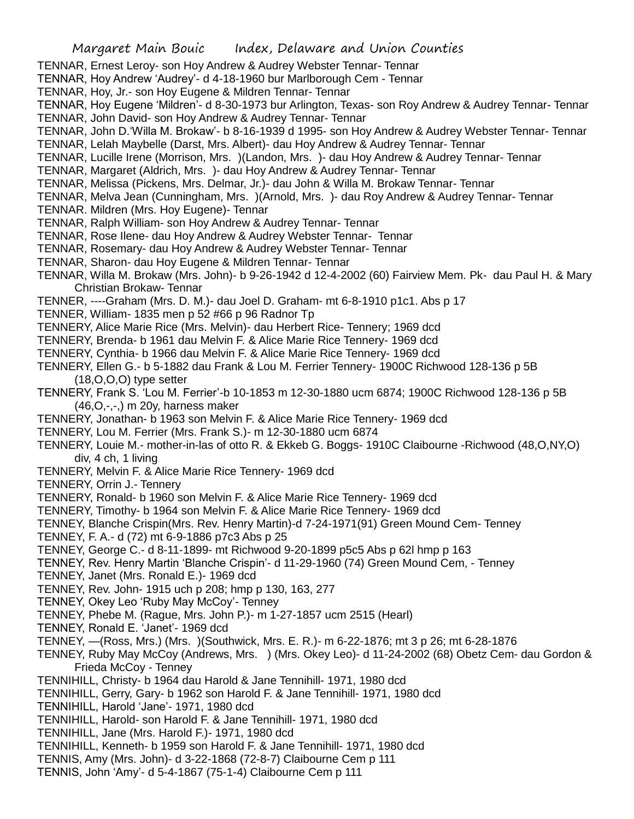- TENNAR, Ernest Leroy- son Hoy Andrew & Audrey Webster Tennar- Tennar
- TENNAR, Hoy Andrew 'Audrey'- d 4-18-1960 bur Marlborough Cem Tennar
- TENNAR, Hoy, Jr.- son Hoy Eugene & Mildren Tennar- Tennar
- TENNAR, Hoy Eugene 'Mildren'- d 8-30-1973 bur Arlington, Texas- son Roy Andrew & Audrey Tennar- Tennar
- TENNAR, John David- son Hoy Andrew & Audrey Tennar- Tennar
- TENNAR, John D.'Willa M. Brokaw'- b 8-16-1939 d 1995- son Hoy Andrew & Audrey Webster Tennar- Tennar
- TENNAR, Lelah Maybelle (Darst, Mrs. Albert)- dau Hoy Andrew & Audrey Tennar- Tennar
- TENNAR, Lucille Irene (Morrison, Mrs. )(Landon, Mrs. )- dau Hoy Andrew & Audrey Tennar- Tennar
- TENNAR, Margaret (Aldrich, Mrs. )- dau Hoy Andrew & Audrey Tennar- Tennar
- TENNAR, Melissa (Pickens, Mrs. Delmar, Jr.)- dau John & Willa M. Brokaw Tennar- Tennar
- TENNAR, Melva Jean (Cunningham, Mrs. )(Arnold, Mrs. )- dau Roy Andrew & Audrey Tennar- Tennar
- TENNAR. Mildren (Mrs. Hoy Eugene)- Tennar
- TENNAR, Ralph William- son Hoy Andrew & Audrey Tennar- Tennar
- TENNAR, Rose Ilene- dau Hoy Andrew & Audrey Webster Tennar- Tennar
- TENNAR, Rosemary- dau Hoy Andrew & Audrey Webster Tennar- Tennar
- TENNAR, Sharon- dau Hoy Eugene & Mildren Tennar- Tennar
- TENNAR, Willa M. Brokaw (Mrs. John)- b 9-26-1942 d 12-4-2002 (60) Fairview Mem. Pk- dau Paul H. & Mary Christian Brokaw- Tennar
- TENNER, ----Graham (Mrs. D. M.)- dau Joel D. Graham- mt 6-8-1910 p1c1. Abs p 17
- TENNER, William- 1835 men p 52 #66 p 96 Radnor Tp
- TENNERY, Alice Marie Rice (Mrs. Melvin)- dau Herbert Rice- Tennery; 1969 dcd
- TENNERY, Brenda- b 1961 dau Melvin F. & Alice Marie Rice Tennery- 1969 dcd
- TENNERY, Cynthia- b 1966 dau Melvin F. & Alice Marie Rice Tennery- 1969 dcd
- TENNERY, Ellen G.- b 5-1882 dau Frank & Lou M. Ferrier Tennery- 1900C Richwood 128-136 p 5B (18,O,O,O) type setter
- TENNERY, Frank S. 'Lou M. Ferrier'-b 10-1853 m 12-30-1880 ucm 6874; 1900C Richwood 128-136 p 5B (46,O,-,-,) m 20y, harness maker
- TENNERY, Jonathan- b 1963 son Melvin F. & Alice Marie Rice Tennery- 1969 dcd
- TENNERY, Lou M. Ferrier (Mrs. Frank S.)- m 12-30-1880 ucm 6874
- TENNERY, Louie M.- mother-in-las of otto R. & Ekkeb G. Boggs- 1910C Claibourne -Richwood (48,O,NY,O) div, 4 ch, 1 living
- TENNERY, Melvin F. & Alice Marie Rice Tennery- 1969 dcd
- TENNERY, Orrin J.- Tennery
- TENNERY, Ronald- b 1960 son Melvin F. & Alice Marie Rice Tennery- 1969 dcd
- TENNERY, Timothy- b 1964 son Melvin F. & Alice Marie Rice Tennery- 1969 dcd
- TENNEY, Blanche Crispin(Mrs. Rev. Henry Martin)-d 7-24-1971(91) Green Mound Cem- Tenney
- TENNEY, F. A.- d (72) mt 6-9-1886 p7c3 Abs p 25
- TENNEY, George C.- d 8-11-1899- mt Richwood 9-20-1899 p5c5 Abs p 62l hmp p 163
- TENNEY, Rev. Henry Martin 'Blanche Crispin'- d 11-29-1960 (74) Green Mound Cem, Tenney
- TENNEY, Janet (Mrs. Ronald E.)- 1969 dcd
- TENNEY, Rev. John- 1915 uch p 208; hmp p 130, 163, 277
- TENNEY, Okey Leo 'Ruby May McCoy'- Tenney
- TENNEY, Phebe M. (Rague, Mrs. John P.)- m 1-27-1857 ucm 2515 (Hearl)
- TENNEY, Ronald E. 'Janet'- 1969 dcd
- TENNEY, —(Ross, Mrs.) (Mrs. )(Southwick, Mrs. E. R.)- m 6-22-1876; mt 3 p 26; mt 6-28-1876
- TENNEY, Ruby May McCoy (Andrews, Mrs. ) (Mrs. Okey Leo)- d 11-24-2002 (68) Obetz Cem- dau Gordon & Frieda McCoy - Tenney
- TENNIHILL, Christy- b 1964 dau Harold & Jane Tennihill- 1971, 1980 dcd
- TENNIHILL, Gerry, Gary- b 1962 son Harold F. & Jane Tennihill- 1971, 1980 dcd
- TENNIHILL, Harold 'Jane'- 1971, 1980 dcd
- TENNIHILL, Harold- son Harold F. & Jane Tennihill- 1971, 1980 dcd
- TENNIHILL, Jane (Mrs. Harold F.)- 1971, 1980 dcd
- TENNIHILL, Kenneth- b 1959 son Harold F. & Jane Tennihill- 1971, 1980 dcd
- TENNIS, Amy (Mrs. John)- d 3-22-1868 (72-8-7) Claibourne Cem p 111
- TENNIS, John 'Amy'- d 5-4-1867 (75-1-4) Claibourne Cem p 111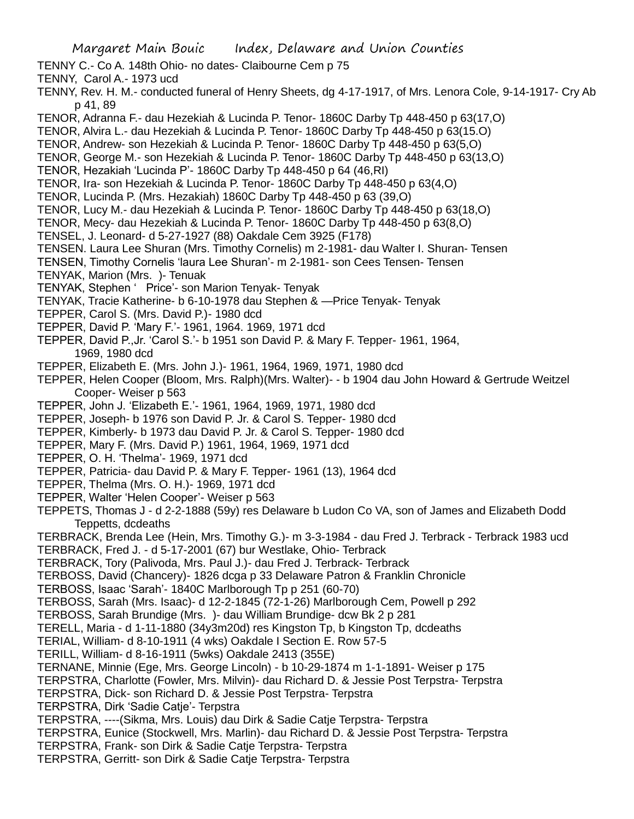- TENNY C.- Co A. 148th Ohio- no dates- Claibourne Cem p 75
- TENNY, Carol A.- 1973 ucd
- TENNY, Rev. H. M.- conducted funeral of Henry Sheets, dg 4-17-1917, of Mrs. Lenora Cole, 9-14-1917- Cry Ab p 41, 89
- TENOR, Adranna F.- dau Hezekiah & Lucinda P. Tenor- 1860C Darby Tp 448-450 p 63(17,O)
- TENOR, Alvira L.- dau Hezekiah & Lucinda P. Tenor- 1860C Darby Tp 448-450 p 63(15.O)
- TENOR, Andrew- son Hezekiah & Lucinda P. Tenor- 1860C Darby Tp 448-450 p 63(5,O)
- TENOR, George M.- son Hezekiah & Lucinda P. Tenor- 1860C Darby Tp 448-450 p 63(13,O)
- TENOR, Hezakiah 'Lucinda P'- 1860C Darby Tp 448-450 p 64 (46,RI)
- TENOR, Ira- son Hezekiah & Lucinda P. Tenor- 1860C Darby Tp 448-450 p 63(4,O)
- TENOR, Lucinda P. (Mrs. Hezakiah) 1860C Darby Tp 448-450 p 63 (39,O)
- TENOR, Lucy M.- dau Hezekiah & Lucinda P. Tenor- 1860C Darby Tp 448-450 p 63(18,O)
- TENOR, Mecy- dau Hezekiah & Lucinda P. Tenor- 1860C Darby Tp 448-450 p 63(8,O)
- TENSEL, J. Leonard- d 5-27-1927 (88) Oakdale Cem 3925 (F178)
- TENSEN. Laura Lee Shuran (Mrs. Timothy Cornelis) m 2-1981- dau Walter I. Shuran- Tensen
- TENSEN, Timothy Cornelis 'laura Lee Shuran'- m 2-1981- son Cees Tensen- Tensen
- TENYAK, Marion (Mrs. )- Tenuak
- TENYAK, Stephen ' Price'- son Marion Tenyak- Tenyak
- TENYAK, Tracie Katherine- b 6-10-1978 dau Stephen & —Price Tenyak- Tenyak
- TEPPER, Carol S. (Mrs. David P.)- 1980 dcd
- TEPPER, David P. 'Mary F.'- 1961, 1964. 1969, 1971 dcd
- TEPPER, David P.,Jr. 'Carol S.'- b 1951 son David P. & Mary F. Tepper- 1961, 1964, 1969, 1980 dcd
- TEPPER, Elizabeth E. (Mrs. John J.)- 1961, 1964, 1969, 1971, 1980 dcd
- TEPPER, Helen Cooper (Bloom, Mrs. Ralph)(Mrs. Walter)- b 1904 dau John Howard & Gertrude Weitzel Cooper- Weiser p 563
- TEPPER, John J. 'Elizabeth E.'- 1961, 1964, 1969, 1971, 1980 dcd
- TEPPER, Joseph- b 1976 son David P. Jr. & Carol S. Tepper- 1980 dcd
- TEPPER, Kimberly- b 1973 dau David P. Jr. & Carol S. Tepper- 1980 dcd
- TEPPER, Mary F. (Mrs. David P.) 1961, 1964, 1969, 1971 dcd
- TEPPER, O. H. 'Thelma'- 1969, 1971 dcd
- TEPPER, Patricia- dau David P. & Mary F. Tepper- 1961 (13), 1964 dcd
- TEPPER, Thelma (Mrs. O. H.)- 1969, 1971 dcd
- TEPPER, Walter 'Helen Cooper'- Weiser p 563
- TEPPETS, Thomas J d 2-2-1888 (59y) res Delaware b Ludon Co VA, son of James and Elizabeth Dodd Teppetts, dcdeaths
- TERBRACK, Brenda Lee (Hein, Mrs. Timothy G.)- m 3-3-1984 dau Fred J. Terbrack Terbrack 1983 ucd TERBRACK, Fred J. - d 5-17-2001 (67) bur Westlake, Ohio- Terbrack
- TERBRACK, Tory (Palivoda, Mrs. Paul J.)- dau Fred J. Terbrack- Terbrack
- TERBOSS, David (Chancery)- 1826 dcga p 33 Delaware Patron & Franklin Chronicle
- TERBOSS, Isaac 'Sarah'- 1840C Marlborough Tp p 251 (60-70)
- TERBOSS, Sarah (Mrs. Isaac)- d 12-2-1845 (72-1-26) Marlborough Cem, Powell p 292
- TERBOSS, Sarah Brundige (Mrs. )- dau William Brundige- dcw Bk 2 p 281
- TERELL, Maria d 1-11-1880 (34y3m20d) res Kingston Tp, b Kingston Tp, dcdeaths
- TERIAL, William- d 8-10-1911 (4 wks) Oakdale I Section E. Row 57-5
- TERILL, William- d 8-16-1911 (5wks) Oakdale 2413 (355E)
- TERNANE, Minnie (Ege, Mrs. George Lincoln) b 10-29-1874 m 1-1-1891- Weiser p 175
- TERPSTRA, Charlotte (Fowler, Mrs. Milvin)- dau Richard D. & Jessie Post Terpstra- Terpstra
- TERPSTRA, Dick- son Richard D. & Jessie Post Terpstra- Terpstra
- TERPSTRA, Dirk 'Sadie Catje'- Terpstra
- TERPSTRA, ----(Sikma, Mrs. Louis) dau Dirk & Sadie Catje Terpstra- Terpstra
- TERPSTRA, Eunice (Stockwell, Mrs. Marlin)- dau Richard D. & Jessie Post Terpstra- Terpstra
- TERPSTRA, Frank- son Dirk & Sadie Catje Terpstra- Terpstra
- TERPSTRA, Gerritt- son Dirk & Sadie Catje Terpstra- Terpstra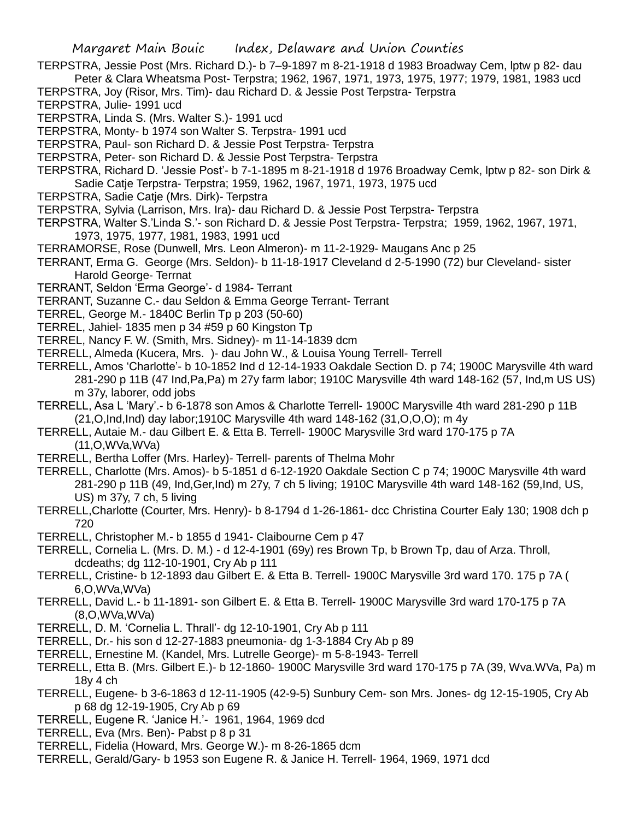- TERPSTRA, Jessie Post (Mrs. Richard D.)- b 7–9-1897 m 8-21-1918 d 1983 Broadway Cem, lptw p 82- dau Peter & Clara Wheatsma Post- Terpstra; 1962, 1967, 1971, 1973, 1975, 1977; 1979, 1981, 1983 ucd
- TERPSTRA, Joy (Risor, Mrs. Tim)- dau Richard D. & Jessie Post Terpstra- Terpstra
- TERPSTRA, Julie- 1991 ucd
- TERPSTRA, Linda S. (Mrs. Walter S.)- 1991 ucd
- TERPSTRA, Monty- b 1974 son Walter S. Terpstra- 1991 ucd
- TERPSTRA, Paul- son Richard D. & Jessie Post Terpstra- Terpstra
- TERPSTRA, Peter- son Richard D. & Jessie Post Terpstra- Terpstra
- TERPSTRA, Richard D. 'Jessie Post'- b 7-1-1895 m 8-21-1918 d 1976 Broadway Cemk, lptw p 82- son Dirk & Sadie Catje Terpstra- Terpstra; 1959, 1962, 1967, 1971, 1973, 1975 ucd
- TERPSTRA, Sadie Catje (Mrs. Dirk)- Terpstra
- TERPSTRA, Sylvia (Larrison, Mrs. Ira)- dau Richard D. & Jessie Post Terpstra- Terpstra
- TERPSTRA, Walter S.'Linda S.'- son Richard D. & Jessie Post Terpstra- Terpstra; 1959, 1962, 1967, 1971, 1973, 1975, 1977, 1981, 1983, 1991 ucd
- TERRAMORSE, Rose (Dunwell, Mrs. Leon Almeron)- m 11-2-1929- Maugans Anc p 25
- TERRANT, Erma G. George (Mrs. Seldon)- b 11-18-1917 Cleveland d 2-5-1990 (72) bur Cleveland- sister Harold George- Terrnat
- TERRANT, Seldon 'Erma George'- d 1984- Terrant
- TERRANT, Suzanne C.- dau Seldon & Emma George Terrant- Terrant
- TERREL, George M.- 1840C Berlin Tp p 203 (50-60)
- TERREL, Jahiel- 1835 men p 34 #59 p 60 Kingston Tp
- TERREL, Nancy F. W. (Smith, Mrs. Sidney)- m 11-14-1839 dcm
- TERRELL, Almeda (Kucera, Mrs. )- dau John W., & Louisa Young Terrell- Terrell
- TERRELL, Amos 'Charlotte'- b 10-1852 Ind d 12-14-1933 Oakdale Section D. p 74; 1900C Marysville 4th ward 281-290 p 11B (47 Ind,Pa,Pa) m 27y farm labor; 1910C Marysville 4th ward 148-162 (57, Ind,m US US) m 37y, laborer, odd jobs
- TERRELL, Asa L 'Mary'.- b 6-1878 son Amos & Charlotte Terrell- 1900C Marysville 4th ward 281-290 p 11B (21,O,Ind,Ind) day labor;1910C Marysville 4th ward 148-162 (31,O,O,O); m 4y
- TERRELL, Autaie M.- dau Gilbert E. & Etta B. Terrell- 1900C Marysville 3rd ward 170-175 p 7A (11,O,WVa,WVa)
- TERRELL, Bertha Loffer (Mrs. Harley)- Terrell- parents of Thelma Mohr
- TERRELL, Charlotte (Mrs. Amos)- b 5-1851 d 6-12-1920 Oakdale Section C p 74; 1900C Marysville 4th ward 281-290 p 11B (49, Ind,Ger,Ind) m 27y, 7 ch 5 living; 1910C Marysville 4th ward 148-162 (59,Ind, US, US) m 37y, 7 ch, 5 living
- TERRELL,Charlotte (Courter, Mrs. Henry)- b 8-1794 d 1-26-1861- dcc Christina Courter Ealy 130; 1908 dch p 720
- TERRELL, Christopher M.- b 1855 d 1941- Claibourne Cem p 47
- TERRELL, Cornelia L. (Mrs. D. M.) d 12-4-1901 (69y) res Brown Tp, b Brown Tp, dau of Arza. Throll, dcdeaths; dg 112-10-1901, Cry Ab p 111
- TERRELL, Cristine- b 12-1893 dau Gilbert E. & Etta B. Terrell- 1900C Marysville 3rd ward 170. 175 p 7A ( 6,O,WVa,WVa)
- TERRELL, David L.- b 11-1891- son Gilbert E. & Etta B. Terrell- 1900C Marysville 3rd ward 170-175 p 7A (8,O,WVa,WVa)
- TERRELL, D. M. 'Cornelia L. Thrall'- dg 12-10-1901, Cry Ab p 111
- TERRELL, Dr.- his son d 12-27-1883 pneumonia- dg 1-3-1884 Cry Ab p 89
- TERRELL, Ernestine M. (Kandel, Mrs. Lutrelle George)- m 5-8-1943- Terrell
- TERRELL, Etta B. (Mrs. Gilbert E.)- b 12-1860- 1900C Marysville 3rd ward 170-175 p 7A (39, Wva.WVa, Pa) m 18y 4 ch
- TERRELL, Eugene- b 3-6-1863 d 12-11-1905 (42-9-5) Sunbury Cem- son Mrs. Jones- dg 12-15-1905, Cry Ab p 68 dg 12-19-1905, Cry Ab p 69
- TERRELL, Eugene R. 'Janice H.'- 1961, 1964, 1969 dcd
- TERRELL, Eva (Mrs. Ben)- Pabst p 8 p 31
- TERRELL, Fidelia (Howard, Mrs. George W.)- m 8-26-1865 dcm
- TERRELL, Gerald/Gary- b 1953 son Eugene R. & Janice H. Terrell- 1964, 1969, 1971 dcd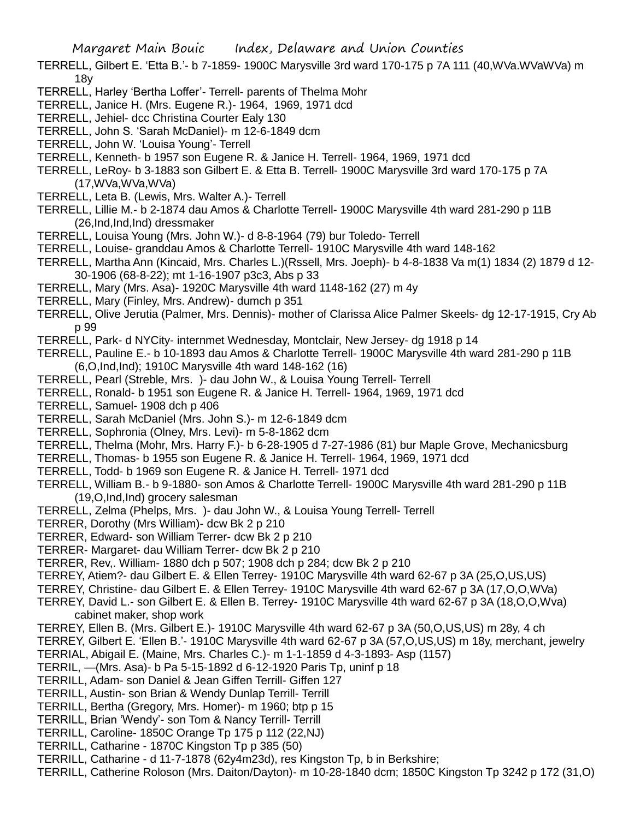- TERRELL, Gilbert E. 'Etta B.'- b 7-1859- 1900C Marysville 3rd ward 170-175 p 7A 111 (40,WVa.WVaWVa) m 18y
- TERRELL, Harley 'Bertha Loffer'- Terrell- parents of Thelma Mohr
- TERRELL, Janice H. (Mrs. Eugene R.)- 1964, 1969, 1971 dcd
- TERRELL, Jehiel- dcc Christina Courter Ealy 130
- TERRELL, John S. 'Sarah McDaniel)- m 12-6-1849 dcm
- TERRELL, John W. 'Louisa Young'- Terrell
- TERRELL, Kenneth- b 1957 son Eugene R. & Janice H. Terrell- 1964, 1969, 1971 dcd
- TERRELL, LeRoy- b 3-1883 son Gilbert E. & Etta B. Terrell- 1900C Marysville 3rd ward 170-175 p 7A (17,WVa,WVa,WVa)
- TERRELL, Leta B. (Lewis, Mrs. Walter A.)- Terrell
- TERRELL, Lillie M.- b 2-1874 dau Amos & Charlotte Terrell- 1900C Marysville 4th ward 281-290 p 11B (26,Ind,Ind,Ind) dressmaker
- TERRELL, Louisa Young (Mrs. John W.)- d 8-8-1964 (79) bur Toledo- Terrell
- TERRELL, Louise- granddau Amos & Charlotte Terrell- 1910C Marysville 4th ward 148-162
- TERRELL, Martha Ann (Kincaid, Mrs. Charles L.)(Rssell, Mrs. Joeph)- b 4-8-1838 Va m(1) 1834 (2) 1879 d 12- 30-1906 (68-8-22); mt 1-16-1907 p3c3, Abs p 33
- TERRELL, Mary (Mrs. Asa)- 1920C Marysville 4th ward 1148-162 (27) m 4y
- TERRELL, Mary (Finley, Mrs. Andrew)- dumch p 351
- TERRELL, Olive Jerutia (Palmer, Mrs. Dennis)- mother of Clarissa Alice Palmer Skeels- dg 12-17-1915, Cry Ab p 99
- TERRELL, Park- d NYCity- internmet Wednesday, Montclair, New Jersey- dg 1918 p 14
- TERRELL, Pauline E.- b 10-1893 dau Amos & Charlotte Terrell- 1900C Marysville 4th ward 281-290 p 11B (6,O,Ind,Ind); 1910C Marysville 4th ward 148-162 (16)
- TERRELL, Pearl (Streble, Mrs. )- dau John W., & Louisa Young Terrell- Terrell
- TERRELL, Ronald- b 1951 son Eugene R. & Janice H. Terrell- 1964, 1969, 1971 dcd
- TERRELL, Samuel- 1908 dch p 406
- TERRELL, Sarah McDaniel (Mrs. John S.)- m 12-6-1849 dcm
- TERRELL, Sophronia (Olney, Mrs. Levi)- m 5-8-1862 dcm
- TERRELL, Thelma (Mohr, Mrs. Harry F.)- b 6-28-1905 d 7-27-1986 (81) bur Maple Grove, Mechanicsburg
- TERRELL, Thomas- b 1955 son Eugene R. & Janice H. Terrell- 1964, 1969, 1971 dcd
- TERRELL, Todd- b 1969 son Eugene R. & Janice H. Terrell- 1971 dcd
- TERRELL, William B.- b 9-1880- son Amos & Charlotte Terrell- 1900C Marysville 4th ward 281-290 p 11B (19,O,Ind,Ind) grocery salesman
- TERRELL, Zelma (Phelps, Mrs. )- dau John W., & Louisa Young Terrell- Terrell
- TERRER, Dorothy (Mrs William)- dcw Bk 2 p 210
- TERRER, Edward- son William Terrer- dcw Bk 2 p 210
- TERRER- Margaret- dau William Terrer- dcw Bk 2 p 210
- TERRER, Rev,. William- 1880 dch p 507; 1908 dch p 284; dcw Bk 2 p 210
- TERREY, Atiem?- dau Gilbert E. & Ellen Terrey- 1910C Marysville 4th ward 62-67 p 3A (25,O,US,US)
- TERREY, Christine- dau Gilbert E. & Ellen Terrey- 1910C Marysville 4th ward 62-67 p 3A (17,O,O,WVa)
- TERREY, David L.- son Gilbert E. & Ellen B. Terrey- 1910C Marysville 4th ward 62-67 p 3A (18,O,O,Wva) cabinet maker, shop work
- TERREY, Ellen B. (Mrs. Gilbert E.)- 1910C Marysville 4th ward 62-67 p 3A (50,O,US,US) m 28y, 4 ch
- TERREY, Gilbert E. 'Ellen B.'- 1910C Marysville 4th ward 62-67 p 3A (57,O,US,US) m 18y, merchant, jewelry
- TERRIAL, Abigail E. (Maine, Mrs. Charles C.)- m 1-1-1859 d 4-3-1893- Asp (1157)
- TERRIL, —(Mrs. Asa)- b Pa 5-15-1892 d 6-12-1920 Paris Tp, uninf p 18
- TERRILL, Adam- son Daniel & Jean Giffen Terrill- Giffen 127
- TERRILL, Austin- son Brian & Wendy Dunlap Terrill- Terrill
- TERRILL, Bertha (Gregory, Mrs. Homer)- m 1960; btp p 15
- TERRILL, Brian 'Wendy'- son Tom & Nancy Terrill- Terrill
- TERRILL, Caroline- 1850C Orange Tp 175 p 112 (22,NJ)
- TERRILL, Catharine 1870C Kingston Tp p 385 (50)
- TERRILL, Catharine d 11-7-1878 (62y4m23d), res Kingston Tp, b in Berkshire;
- TERRILL, Catherine Roloson (Mrs. Daiton/Dayton)- m 10-28-1840 dcm; 1850C Kingston Tp 3242 p 172 (31,O)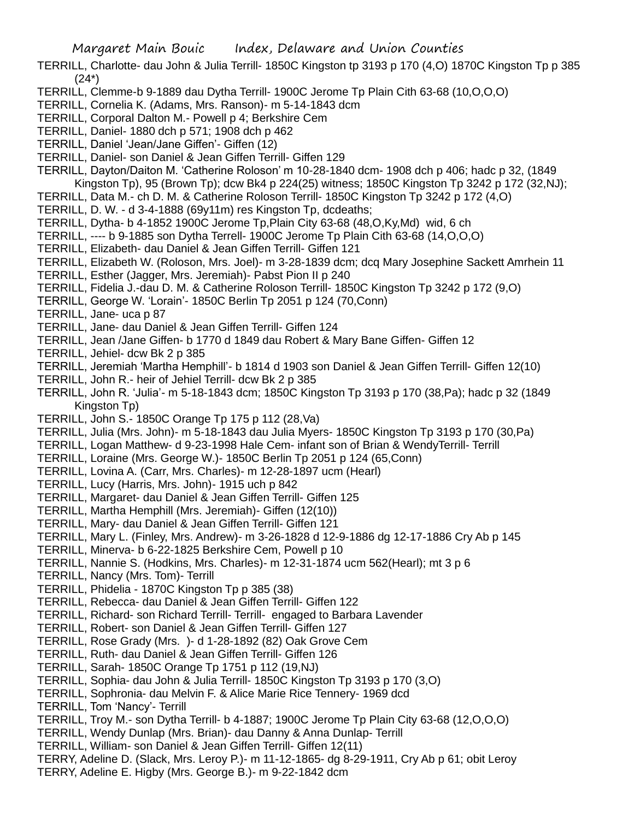- TERRILL, Charlotte- dau John & Julia Terrill- 1850C Kingston tp 3193 p 170 (4,O) 1870C Kingston Tp p 385  $(24^*)$
- TERRILL, Clemme-b 9-1889 dau Dytha Terrill- 1900C Jerome Tp Plain Cith 63-68 (10,O,O,O)
- TERRILL, Cornelia K. (Adams, Mrs. Ranson)- m 5-14-1843 dcm
- TERRILL, Corporal Dalton M.- Powell p 4; Berkshire Cem
- TERRILL, Daniel- 1880 dch p 571; 1908 dch p 462
- TERRILL, Daniel 'Jean/Jane Giffen'- Giffen (12)
- TERRILL, Daniel- son Daniel & Jean Giffen Terrill- Giffen 129
- TERRILL, Dayton/Daiton M. 'Catherine Roloson' m 10-28-1840 dcm- 1908 dch p 406; hadc p 32, (1849 Kingston Tp), 95 (Brown Tp); dcw Bk4 p 224(25) witness; 1850C Kingston Tp 3242 p 172 (32,NJ);
- TERRILL, Data M.- ch D. M. & Catherine Roloson Terrill- 1850C Kingston Tp 3242 p 172 (4,O)
- TERRILL, D. W. d 3-4-1888 (69y11m) res Kingston Tp, dcdeaths;
- TERRILL, Dytha- b 4-1852 1900C Jerome Tp,Plain City 63-68 (48,O,Ky,Md) wid, 6 ch
- TERRILL, ---- b 9-1885 son Dytha Terrell- 1900C Jerome Tp Plain Cith 63-68 (14,O,O,O)
- TERRILL, Elizabeth- dau Daniel & Jean Giffen Terrill- Giffen 121
- TERRILL, Elizabeth W. (Roloson, Mrs. Joel)- m 3-28-1839 dcm; dcq Mary Josephine Sackett Amrhein 11
- TERRILL, Esther (Jagger, Mrs. Jeremiah)- Pabst Pion II p 240
- TERRILL, Fidelia J.-dau D. M. & Catherine Roloson Terrill- 1850C Kingston Tp 3242 p 172 (9,O)
- TERRILL, George W. 'Lorain'- 1850C Berlin Tp 2051 p 124 (70,Conn)
- TERRILL, Jane- uca p 87
- TERRILL, Jane- dau Daniel & Jean Giffen Terrill- Giffen 124
- TERRILL, Jean /Jane Giffen- b 1770 d 1849 dau Robert & Mary Bane Giffen- Giffen 12
- TERRILL, Jehiel- dcw Bk 2 p 385
- TERRILL, Jeremiah 'Martha Hemphill'- b 1814 d 1903 son Daniel & Jean Giffen Terrill- Giffen 12(10)
- TERRILL, John R.- heir of Jehiel Terrill- dcw Bk 2 p 385
- TERRILL, John R. 'Julia'- m 5-18-1843 dcm; 1850C Kingston Tp 3193 p 170 (38,Pa); hadc p 32 (1849 Kingston Tp)
- TERRILL, John S.- 1850C Orange Tp 175 p 112 (28,Va)
- TERRILL, Julia (Mrs. John)- m 5-18-1843 dau Julia Myers- 1850C Kingston Tp 3193 p 170 (30,Pa)
- TERRILL, Logan Matthew- d 9-23-1998 Hale Cem- infant son of Brian & WendyTerrill- Terrill
- TERRILL, Loraine (Mrs. George W.)- 1850C Berlin Tp 2051 p 124 (65,Conn)
- TERRILL, Lovina A. (Carr, Mrs. Charles)- m 12-28-1897 ucm (Hearl)
- TERRILL, Lucy (Harris, Mrs. John)- 1915 uch p 842
- TERRILL, Margaret- dau Daniel & Jean Giffen Terrill- Giffen 125
- TERRILL, Martha Hemphill (Mrs. Jeremiah)- Giffen (12(10))
- TERRILL, Mary- dau Daniel & Jean Giffen Terrill- Giffen 121
- TERRILL, Mary L. (Finley, Mrs. Andrew)- m 3-26-1828 d 12-9-1886 dg 12-17-1886 Cry Ab p 145
- TERRILL, Minerva- b 6-22-1825 Berkshire Cem, Powell p 10
- TERRILL, Nannie S. (Hodkins, Mrs. Charles)- m 12-31-1874 ucm 562(Hearl); mt 3 p 6
- TERRILL, Nancy (Mrs. Tom)- Terrill
- TERRILL, Phidelia 1870C Kingston Tp p 385 (38)
- TERRILL, Rebecca- dau Daniel & Jean Giffen Terrill- Giffen 122
- TERRILL, Richard- son Richard Terrill- Terrill- engaged to Barbara Lavender
- TERRILL, Robert- son Daniel & Jean Giffen Terrill- Giffen 127
- TERRILL, Rose Grady (Mrs. )- d 1-28-1892 (82) Oak Grove Cem
- TERRILL, Ruth- dau Daniel & Jean Giffen Terrill- Giffen 126
- TERRILL, Sarah- 1850C Orange Tp 1751 p 112 (19,NJ)
- TERRILL, Sophia- dau John & Julia Terrill- 1850C Kingston Tp 3193 p 170 (3,O)
- TERRILL, Sophronia- dau Melvin F. & Alice Marie Rice Tennery- 1969 dcd
- TERRILL, Tom 'Nancy'- Terrill
- TERRILL, Troy M.- son Dytha Terrill- b 4-1887; 1900C Jerome Tp Plain City 63-68 (12,O,O,O)
- TERRILL, Wendy Dunlap (Mrs. Brian)- dau Danny & Anna Dunlap- Terrill
- TERRILL, William- son Daniel & Jean Giffen Terrill- Giffen 12(11)
- TERRY, Adeline D. (Slack, Mrs. Leroy P.)- m 11-12-1865- dg 8-29-1911, Cry Ab p 61; obit Leroy
- TERRY, Adeline E. Higby (Mrs. George B.)- m 9-22-1842 dcm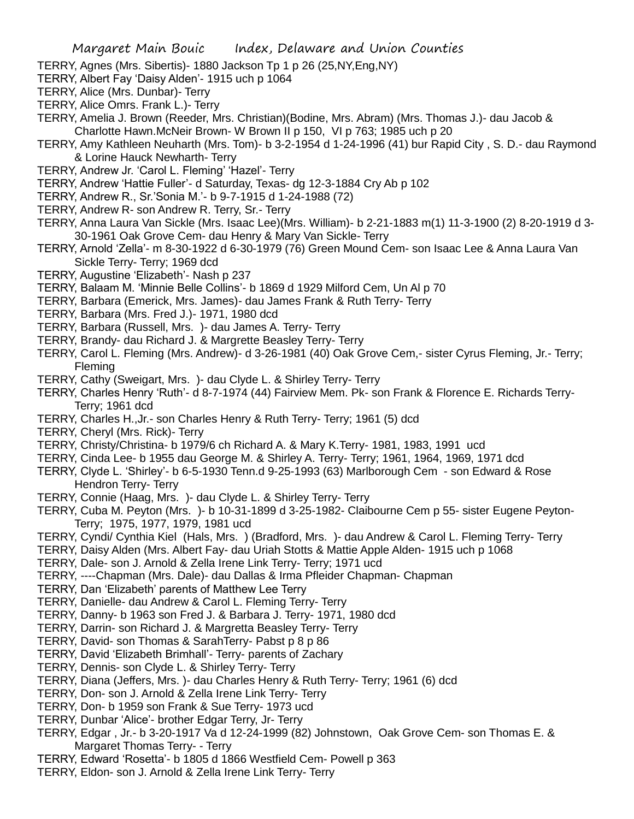- TERRY, Agnes (Mrs. Sibertis)- 1880 Jackson Tp 1 p 26 (25,NY,Eng,NY)
- TERRY, Albert Fay 'Daisy Alden'- 1915 uch p 1064
- TERRY, Alice (Mrs. Dunbar)- Terry
- TERRY, Alice Omrs. Frank L.)- Terry
- TERRY, Amelia J. Brown (Reeder, Mrs. Christian)(Bodine, Mrs. Abram) (Mrs. Thomas J.)- dau Jacob & Charlotte Hawn.McNeir Brown- W Brown II p 150, VI p 763; 1985 uch p 20
- TERRY, Amy Kathleen Neuharth (Mrs. Tom)- b 3-2-1954 d 1-24-1996 (41) bur Rapid City , S. D.- dau Raymond & Lorine Hauck Newharth- Terry
- TERRY, Andrew Jr. 'Carol L. Fleming' 'Hazel'- Terry
- TERRY, Andrew 'Hattie Fuller'- d Saturday, Texas- dg 12-3-1884 Cry Ab p 102
- TERRY, Andrew R., Sr.'Sonia M.'- b 9-7-1915 d 1-24-1988 (72)
- TERRY, Andrew R- son Andrew R. Terry, Sr.- Terry
- TERRY, Anna Laura Van Sickle (Mrs. Isaac Lee)(Mrs. William)- b 2-21-1883 m(1) 11-3-1900 (2) 8-20-1919 d 3- 30-1961 Oak Grove Cem- dau Henry & Mary Van Sickle- Terry
- TERRY, Arnold 'Zella'- m 8-30-1922 d 6-30-1979 (76) Green Mound Cem- son Isaac Lee & Anna Laura Van Sickle Terry- Terry; 1969 dcd
- TERRY, Augustine 'Elizabeth'- Nash p 237
- TERRY, Balaam M. 'Minnie Belle Collins'- b 1869 d 1929 Milford Cem, Un Al p 70
- TERRY, Barbara (Emerick, Mrs. James)- dau James Frank & Ruth Terry- Terry
- TERRY, Barbara (Mrs. Fred J.)- 1971, 1980 dcd
- TERRY, Barbara (Russell, Mrs. )- dau James A. Terry- Terry
- TERRY, Brandy- dau Richard J. & Margrette Beasley Terry- Terry
- TERRY, Carol L. Fleming (Mrs. Andrew)- d 3-26-1981 (40) Oak Grove Cem,- sister Cyrus Fleming, Jr.- Terry; Fleming
- TERRY, Cathy (Sweigart, Mrs. )- dau Clyde L. & Shirley Terry- Terry
- TERRY, Charles Henry 'Ruth'- d 8-7-1974 (44) Fairview Mem. Pk- son Frank & Florence E. Richards Terry-Terry; 1961 dcd
- TERRY, Charles H.,Jr.- son Charles Henry & Ruth Terry- Terry; 1961 (5) dcd
- TERRY, Cheryl (Mrs. Rick)- Terry
- TERRY, Christy/Christina- b 1979/6 ch Richard A. & Mary K.Terry- 1981, 1983, 1991 ucd
- TERRY, Cinda Lee- b 1955 dau George M. & Shirley A. Terry- Terry; 1961, 1964, 1969, 1971 dcd
- TERRY, Clyde L. 'Shirley'- b 6-5-1930 Tenn.d 9-25-1993 (63) Marlborough Cem son Edward & Rose Hendron Terry- Terry
- TERRY, Connie (Haag, Mrs. )- dau Clyde L. & Shirley Terry- Terry
- TERRY, Cuba M. Peyton (Mrs. )- b 10-31-1899 d 3-25-1982- Claibourne Cem p 55- sister Eugene Peyton-Terry; 1975, 1977, 1979, 1981 ucd
- TERRY, Cyndi/ Cynthia Kiel (Hals, Mrs. ) (Bradford, Mrs. )- dau Andrew & Carol L. Fleming Terry- Terry
- TERRY, Daisy Alden (Mrs. Albert Fay- dau Uriah Stotts & Mattie Apple Alden- 1915 uch p 1068
- TERRY, Dale- son J. Arnold & Zella Irene Link Terry- Terry; 1971 ucd
- TERRY, ----Chapman (Mrs. Dale)- dau Dallas & Irma Pfleider Chapman- Chapman
- TERRY, Dan 'Elizabeth' parents of Matthew Lee Terry
- TERRY, Danielle- dau Andrew & Carol L. Fleming Terry- Terry
- TERRY, Danny- b 1963 son Fred J. & Barbara J. Terry- 1971, 1980 dcd
- TERRY, Darrin- son Richard J. & Margretta Beasley Terry- Terry
- TERRY, David- son Thomas & SarahTerry- Pabst p 8 p 86
- TERRY, David 'Elizabeth Brimhall'- Terry- parents of Zachary
- TERRY, Dennis- son Clyde L. & Shirley Terry- Terry
- TERRY, Diana (Jeffers, Mrs. )- dau Charles Henry & Ruth Terry- Terry; 1961 (6) dcd
- TERRY, Don- son J. Arnold & Zella Irene Link Terry- Terry
- TERRY, Don- b 1959 son Frank & Sue Terry- 1973 ucd
- TERRY, Dunbar 'Alice'- brother Edgar Terry, Jr- Terry
- TERRY, Edgar , Jr.- b 3-20-1917 Va d 12-24-1999 (82) Johnstown, Oak Grove Cem- son Thomas E. & Margaret Thomas Terry- - Terry
- TERRY, Edward 'Rosetta'- b 1805 d 1866 Westfield Cem- Powell p 363
- TERRY, Eldon- son J. Arnold & Zella Irene Link Terry- Terry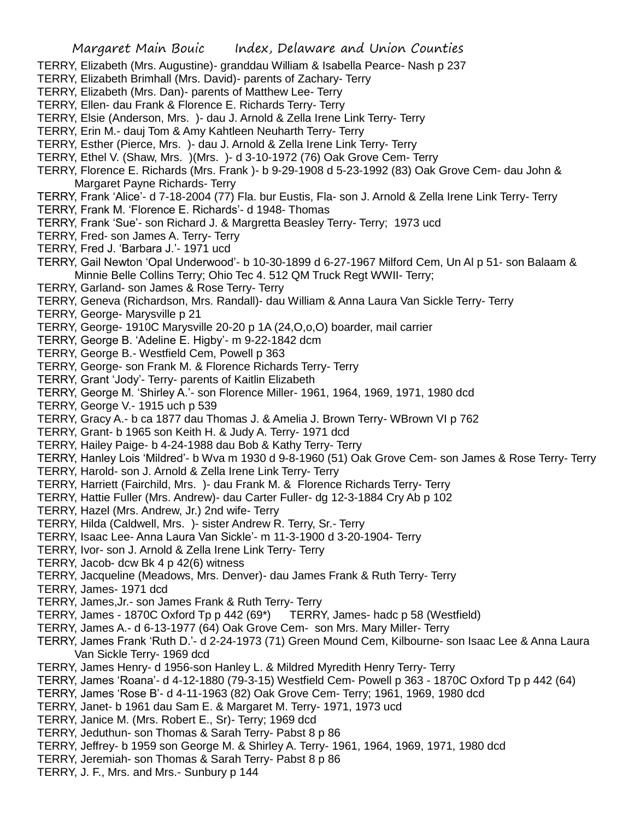- TERRY, Elizabeth (Mrs. Augustine)- granddau William & Isabella Pearce- Nash p 237
- TERRY, Elizabeth Brimhall (Mrs. David)- parents of Zachary- Terry
- TERRY, Elizabeth (Mrs. Dan)- parents of Matthew Lee- Terry
- TERRY, Ellen- dau Frank & Florence E. Richards Terry- Terry
- TERRY, Elsie (Anderson, Mrs. )- dau J. Arnold & Zella Irene Link Terry- Terry
- TERRY, Erin M.- dauj Tom & Amy Kahtleen Neuharth Terry- Terry
- TERRY, Esther (Pierce, Mrs. )- dau J. Arnold & Zella Irene Link Terry- Terry
- TERRY, Ethel V. (Shaw, Mrs. )(Mrs. )- d 3-10-1972 (76) Oak Grove Cem- Terry
- TERRY, Florence E. Richards (Mrs. Frank )- b 9-29-1908 d 5-23-1992 (83) Oak Grove Cem- dau John & Margaret Payne Richards- Terry
- TERRY, Frank 'Alice'- d 7-18-2004 (77) Fla. bur Eustis, Fla- son J. Arnold & Zella Irene Link Terry- Terry
- TERRY, Frank M. 'Florence E. Richards'- d 1948- Thomas
- TERRY, Frank 'Sue'- son Richard J. & Margretta Beasley Terry- Terry; 1973 ucd
- TERRY, Fred- son James A. Terry- Terry
- TERRY, Fred J. 'Barbara J.'- 1971 ucd
- TERRY, Gail Newton 'Opal Underwood'- b 10-30-1899 d 6-27-1967 Milford Cem, Un Al p 51- son Balaam & Minnie Belle Collins Terry; Ohio Tec 4. 512 QM Truck Regt WWII- Terry;
- TERRY, Garland- son James & Rose Terry- Terry
- TERRY, Geneva (Richardson, Mrs. Randall)- dau William & Anna Laura Van Sickle Terry- Terry
- TERRY, George- Marysville p 21
- TERRY, George- 1910C Marysville 20-20 p 1A (24,O,o,O) boarder, mail carrier
- TERRY, George B. 'Adeline E. Higby'- m 9-22-1842 dcm
- TERRY, George B.- Westfield Cem, Powell p 363
- TERRY, George- son Frank M. & Florence Richards Terry- Terry
- TERRY, Grant 'Jody'- Terry- parents of Kaitlin Elizabeth
- TERRY, George M. 'Shirley A.'- son Florence Miller- 1961, 1964, 1969, 1971, 1980 dcd
- TERRY, George V.- 1915 uch p 539
- TERRY, Gracy A.- b ca 1877 dau Thomas J. & Amelia J. Brown Terry- WBrown VI p 762
- TERRY, Grant- b 1965 son Keith H. & Judy A. Terry- 1971 dcd
- TERRY, Hailey Paige- b 4-24-1988 dau Bob & Kathy Terry- Terry
- TERRY, Hanley Lois 'Mildred'- b Wva m 1930 d 9-8-1960 (51) Oak Grove Cem- son James & Rose Terry- Terry
- TERRY, Harold- son J. Arnold & Zella Irene Link Terry- Terry
- TERRY, Harriett (Fairchild, Mrs. )- dau Frank M. & Florence Richards Terry- Terry
- TERRY, Hattie Fuller (Mrs. Andrew)- dau Carter Fuller- dg 12-3-1884 Cry Ab p 102
- TERRY, Hazel (Mrs. Andrew, Jr.) 2nd wife- Terry
- TERRY, Hilda (Caldwell, Mrs. )- sister Andrew R. Terry, Sr.- Terry
- TERRY, Isaac Lee- Anna Laura Van Sickle'- m 11-3-1900 d 3-20-1904- Terry
- TERRY, Ivor- son J. Arnold & Zella Irene Link Terry- Terry
- TERRY, Jacob- dcw Bk 4 p 42(6) witness
- TERRY, Jacqueline (Meadows, Mrs. Denver)- dau James Frank & Ruth Terry- Terry
- TERRY, James- 1971 dcd
- TERRY, James,Jr.- son James Frank & Ruth Terry- Terry
- TERRY, James 1870C Oxford Tp p 442 (69\*) TERRY, James- hadc p 58 (Westfield)
- TERRY, James A.- d 6-13-1977 (64) Oak Grove Cem- son Mrs. Mary Miller- Terry
- TERRY, James Frank 'Ruth D.'- d 2-24-1973 (71) Green Mound Cem, Kilbourne- son Isaac Lee & Anna Laura Van Sickle Terry- 1969 dcd
- TERRY, James Henry- d 1956-son Hanley L. & Mildred Myredith Henry Terry- Terry
- TERRY, James 'Roana'- d 4-12-1880 (79-3-15) Westfield Cem- Powell p 363 1870C Oxford Tp p 442 (64)
- TERRY, James 'Rose B'- d 4-11-1963 (82) Oak Grove Cem- Terry; 1961, 1969, 1980 dcd
- TERRY, Janet- b 1961 dau Sam E. & Margaret M. Terry- 1971, 1973 ucd
- TERRY, Janice M. (Mrs. Robert E., Sr)- Terry; 1969 dcd
- TERRY, Jeduthun- son Thomas & Sarah Terry- Pabst 8 p 86
- TERRY, Jeffrey- b 1959 son George M. & Shirley A. Terry- 1961, 1964, 1969, 1971, 1980 dcd
- TERRY, Jeremiah- son Thomas & Sarah Terry- Pabst 8 p 86
- TERRY, J. F., Mrs. and Mrs.- Sunbury p 144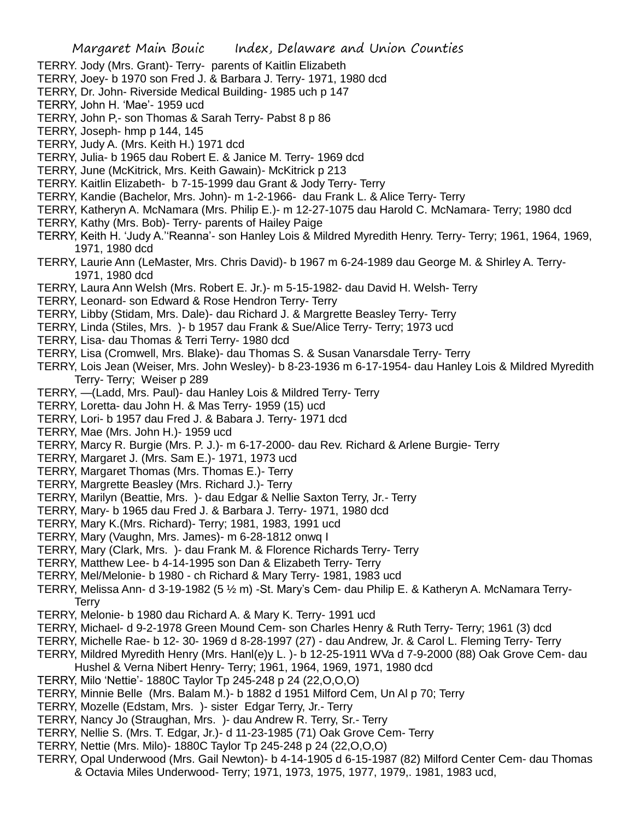- TERRY. Jody (Mrs. Grant)- Terry- parents of Kaitlin Elizabeth
- TERRY, Joey- b 1970 son Fred J. & Barbara J. Terry- 1971, 1980 dcd
- TERRY, Dr. John- Riverside Medical Building- 1985 uch p 147
- TERRY, John H. 'Mae'- 1959 ucd
- TERRY, John P,- son Thomas & Sarah Terry- Pabst 8 p 86
- TERRY, Joseph- hmp p 144, 145
- TERRY, Judy A. (Mrs. Keith H.) 1971 dcd
- TERRY, Julia- b 1965 dau Robert E. & Janice M. Terry- 1969 dcd
- TERRY, June (McKitrick, Mrs. Keith Gawain)- McKitrick p 213
- TERRY. Kaitlin Elizabeth- b 7-15-1999 dau Grant & Jody Terry- Terry
- TERRY, Kandie (Bachelor, Mrs. John)- m 1-2-1966- dau Frank L. & Alice Terry- Terry
- TERRY, Katheryn A. McNamara (Mrs. Philip E.)- m 12-27-1075 dau Harold C. McNamara- Terry; 1980 dcd
- TERRY, Kathy (Mrs. Bob)- Terry- parents of Hailey Paige
- TERRY, Keith H. 'Judy A.''Reanna'- son Hanley Lois & Mildred Myredith Henry. Terry- Terry; 1961, 1964, 1969, 1971, 1980 dcd
- TERRY, Laurie Ann (LeMaster, Mrs. Chris David)- b 1967 m 6-24-1989 dau George M. & Shirley A. Terry-1971, 1980 dcd
- TERRY, Laura Ann Welsh (Mrs. Robert E. Jr.)- m 5-15-1982- dau David H. Welsh- Terry
- TERRY, Leonard- son Edward & Rose Hendron Terry- Terry
- TERRY, Libby (Stidam, Mrs. Dale)- dau Richard J. & Margrette Beasley Terry- Terry
- TERRY, Linda (Stiles, Mrs. )- b 1957 dau Frank & Sue/Alice Terry- Terry; 1973 ucd
- TERRY, Lisa- dau Thomas & Terri Terry- 1980 dcd
- TERRY, Lisa (Cromwell, Mrs. Blake)- dau Thomas S. & Susan Vanarsdale Terry- Terry
- TERRY, Lois Jean (Weiser, Mrs. John Wesley)- b 8-23-1936 m 6-17-1954- dau Hanley Lois & Mildred Myredith Terry- Terry; Weiser p 289
- TERRY, —(Ladd, Mrs. Paul)- dau Hanley Lois & Mildred Terry- Terry
- TERRY, Loretta- dau John H. & Mas Terry- 1959 (15) ucd
- TERRY, Lori- b 1957 dau Fred J. & Babara J. Terry- 1971 dcd
- TERRY, Mae (Mrs. John H.)- 1959 ucd
- TERRY, Marcy R. Burgie (Mrs. P. J.)- m 6-17-2000- dau Rev. Richard & Arlene Burgie- Terry
- TERRY, Margaret J. (Mrs. Sam E.)- 1971, 1973 ucd
- TERRY, Margaret Thomas (Mrs. Thomas E.)- Terry
- TERRY, Margrette Beasley (Mrs. Richard J.)- Terry
- TERRY, Marilyn (Beattie, Mrs. )- dau Edgar & Nellie Saxton Terry, Jr.- Terry
- TERRY, Mary- b 1965 dau Fred J. & Barbara J. Terry- 1971, 1980 dcd
- TERRY, Mary K.(Mrs. Richard)- Terry; 1981, 1983, 1991 ucd
- TERRY, Mary (Vaughn, Mrs. James)- m 6-28-1812 onwq I
- TERRY, Mary (Clark, Mrs. )- dau Frank M. & Florence Richards Terry- Terry
- TERRY, Matthew Lee- b 4-14-1995 son Dan & Elizabeth Terry- Terry
- TERRY, Mel/Melonie- b 1980 ch Richard & Mary Terry- 1981, 1983 ucd
- TERRY, Melissa Ann- d 3-19-1982 (5 ½ m) -St. Mary's Cem- dau Philip E. & Katheryn A. McNamara Terry-**Terry**
- TERRY, Melonie- b 1980 dau Richard A. & Mary K. Terry- 1991 ucd
- TERRY, Michael- d 9-2-1978 Green Mound Cem- son Charles Henry & Ruth Terry- Terry; 1961 (3) dcd
- TERRY, Michelle Rae- b 12- 30- 1969 d 8-28-1997 (27) dau Andrew, Jr. & Carol L. Fleming Terry- Terry
- TERRY, Mildred Myredith Henry (Mrs. Hanl(e)y L. )- b 12-25-1911 WVa d 7-9-2000 (88) Oak Grove Cem- dau Hushel & Verna Nibert Henry- Terry; 1961, 1964, 1969, 1971, 1980 dcd
- TERRY, Milo 'Nettie'- 1880C Taylor Tp 245-248 p 24 (22,O,O,O)
- TERRY, Minnie Belle (Mrs. Balam M.)- b 1882 d 1951 Milford Cem, Un Al p 70; Terry
- TERRY, Mozelle (Edstam, Mrs. )- sister Edgar Terry, Jr.- Terry
- TERRY, Nancy Jo (Straughan, Mrs. )- dau Andrew R. Terry, Sr.- Terry
- TERRY, Nellie S. (Mrs. T. Edgar, Jr.)- d 11-23-1985 (71) Oak Grove Cem- Terry
- TERRY, Nettie (Mrs. Milo)- 1880C Taylor Tp 245-248 p 24 (22,O,O,O)
- TERRY, Opal Underwood (Mrs. Gail Newton)- b 4-14-1905 d 6-15-1987 (82) Milford Center Cem- dau Thomas & Octavia Miles Underwood- Terry; 1971, 1973, 1975, 1977, 1979,. 1981, 1983 ucd,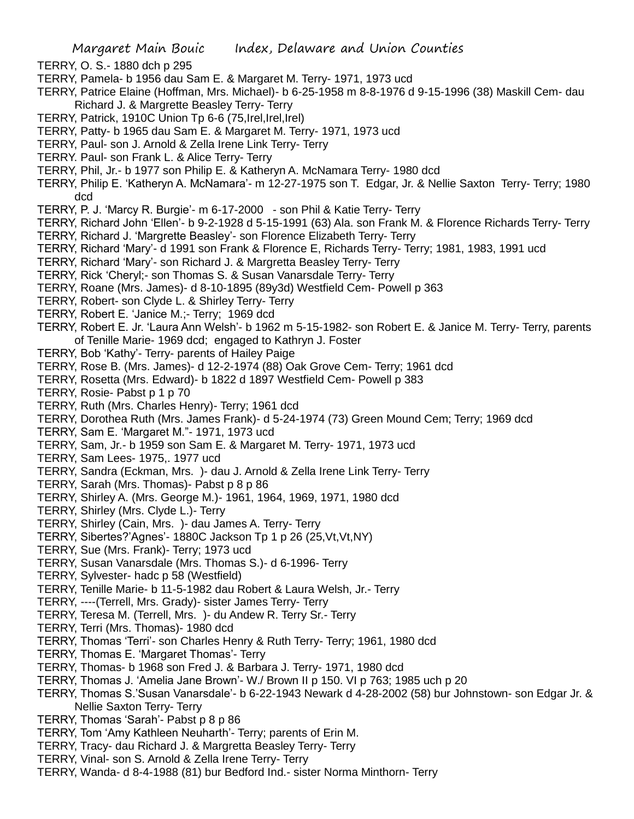TERRY, O. S.- 1880 dch p 295

- TERRY, Pamela- b 1956 dau Sam E. & Margaret M. Terry- 1971, 1973 ucd
- TERRY, Patrice Elaine (Hoffman, Mrs. Michael)- b 6-25-1958 m 8-8-1976 d 9-15-1996 (38) Maskill Cem- dau Richard J. & Margrette Beasley Terry- Terry
- TERRY, Patrick, 1910C Union Tp 6-6 (75,Irel,Irel,Irel)
- TERRY, Patty- b 1965 dau Sam E. & Margaret M. Terry- 1971, 1973 ucd
- TERRY, Paul- son J. Arnold & Zella Irene Link Terry- Terry
- TERRY. Paul- son Frank L. & Alice Terry- Terry
- TERRY, Phil, Jr.- b 1977 son Philip E. & Katheryn A. McNamara Terry- 1980 dcd
- TERRY, Philip E. 'Katheryn A. McNamara'- m 12-27-1975 son T. Edgar, Jr. & Nellie Saxton Terry- Terry; 1980 dcd
- TERRY, P. J. 'Marcy R. Burgie'- m 6-17-2000 son Phil & Katie Terry- Terry
- TERRY, Richard John 'Ellen'- b 9-2-1928 d 5-15-1991 (63) Ala. son Frank M. & Florence Richards Terry- Terry
- TERRY, Richard J. 'Margrette Beasley'- son Florence Elizabeth Terry- Terry
- TERRY, Richard 'Mary'- d 1991 son Frank & Florence E, Richards Terry- Terry; 1981, 1983, 1991 ucd
- TERRY, Richard 'Mary'- son Richard J. & Margretta Beasley Terry- Terry
- TERRY, Rick 'Cheryl;- son Thomas S. & Susan Vanarsdale Terry- Terry
- TERRY, Roane (Mrs. James)- d 8-10-1895 (89y3d) Westfield Cem- Powell p 363
- TERRY, Robert- son Clyde L. & Shirley Terry- Terry
- TERRY, Robert E. 'Janice M.;- Terry; 1969 dcd
- TERRY, Robert E. Jr. 'Laura Ann Welsh'- b 1962 m 5-15-1982- son Robert E. & Janice M. Terry- Terry, parents of Tenille Marie- 1969 dcd; engaged to Kathryn J. Foster
- TERRY, Bob 'Kathy'- Terry- parents of Hailey Paige
- TERRY, Rose B. (Mrs. James)- d 12-2-1974 (88) Oak Grove Cem- Terry; 1961 dcd
- TERRY, Rosetta (Mrs. Edward)- b 1822 d 1897 Westfield Cem- Powell p 383
- TERRY, Rosie- Pabst p 1 p 70
- TERRY, Ruth (Mrs. Charles Henry)- Terry; 1961 dcd
- TERRY, Dorothea Ruth (Mrs. James Frank)- d 5-24-1974 (73) Green Mound Cem; Terry; 1969 dcd
- TERRY, Sam E. 'Margaret M."- 1971, 1973 ucd
- TERRY, Sam, Jr.- b 1959 son Sam E. & Margaret M. Terry- 1971, 1973 ucd
- TERRY, Sam Lees- 1975,. 1977 ucd
- TERRY, Sandra (Eckman, Mrs. )- dau J. Arnold & Zella Irene Link Terry- Terry
- TERRY, Sarah (Mrs. Thomas)- Pabst p 8 p 86
- TERRY, Shirley A. (Mrs. George M.)- 1961, 1964, 1969, 1971, 1980 dcd
- TERRY, Shirley (Mrs. Clyde L.)- Terry
- TERRY, Shirley (Cain, Mrs. )- dau James A. Terry- Terry
- TERRY, Sibertes?'Agnes'- 1880C Jackson Tp 1 p 26 (25,Vt,Vt,NY)
- TERRY, Sue (Mrs. Frank)- Terry; 1973 ucd
- TERRY, Susan Vanarsdale (Mrs. Thomas S.)- d 6-1996- Terry
- TERRY, Sylvester- hadc p 58 (Westfield)
- TERRY, Tenille Marie- b 11-5-1982 dau Robert & Laura Welsh, Jr.- Terry
- TERRY, ----(Terrell, Mrs. Grady)- sister James Terry- Terry
- TERRY, Teresa M. (Terrell, Mrs. )- du Andew R. Terry Sr.- Terry
- TERRY, Terri (Mrs. Thomas)- 1980 dcd
- TERRY, Thomas 'Terri'- son Charles Henry & Ruth Terry- Terry; 1961, 1980 dcd
- TERRY, Thomas E. 'Margaret Thomas'- Terry
- TERRY, Thomas- b 1968 son Fred J. & Barbara J. Terry- 1971, 1980 dcd
- TERRY, Thomas J. 'Amelia Jane Brown'- W./ Brown II p 150. VI p 763; 1985 uch p 20
- TERRY, Thomas S.'Susan Vanarsdale'- b 6-22-1943 Newark d 4-28-2002 (58) bur Johnstown- son Edgar Jr. & Nellie Saxton Terry- Terry
- TERRY, Thomas 'Sarah'- Pabst p 8 p 86
- TERRY, Tom 'Amy Kathleen Neuharth'- Terry; parents of Erin M.
- TERRY, Tracy- dau Richard J. & Margretta Beasley Terry- Terry
- TERRY, Vinal- son S. Arnold & Zella Irene Terry- Terry
- TERRY, Wanda- d 8-4-1988 (81) bur Bedford Ind.- sister Norma Minthorn- Terry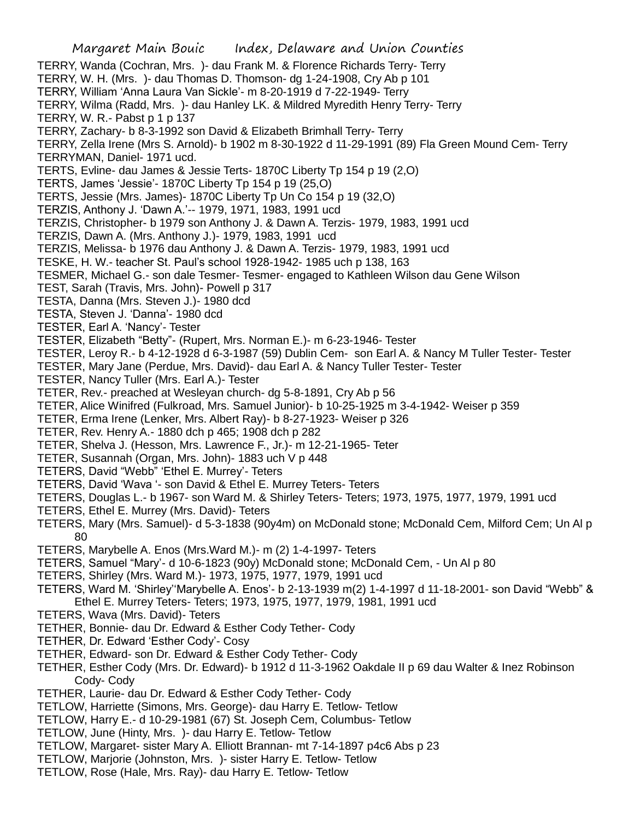Margaret Main Bouic Index, Delaware and Union Counties TERRY, Wanda (Cochran, Mrs. )- dau Frank M. & Florence Richards Terry- Terry TERRY, W. H. (Mrs. )- dau Thomas D. Thomson- dg 1-24-1908, Cry Ab p 101 TERRY, William 'Anna Laura Van Sickle'- m 8-20-1919 d 7-22-1949- Terry TERRY, Wilma (Radd, Mrs. )- dau Hanley LK. & Mildred Myredith Henry Terry- Terry TERRY, W. R.- Pabst p 1 p 137 TERRY, Zachary- b 8-3-1992 son David & Elizabeth Brimhall Terry- Terry TERRY, Zella Irene (Mrs S. Arnold)- b 1902 m 8-30-1922 d 11-29-1991 (89) Fla Green Mound Cem- Terry TERRYMAN, Daniel- 1971 ucd. TERTS, Evline- dau James & Jessie Terts- 1870C Liberty Tp 154 p 19 (2,O) TERTS, James 'Jessie'- 1870C Liberty Tp 154 p 19 (25,O) TERTS, Jessie (Mrs. James)- 1870C Liberty Tp Un Co 154 p 19 (32,O) TERZIS, Anthony J. 'Dawn A.'-- 1979, 1971, 1983, 1991 ucd TERZIS, Christopher- b 1979 son Anthony J. & Dawn A. Terzis- 1979, 1983, 1991 ucd TERZIS, Dawn A. (Mrs. Anthony J.)- 1979, 1983, 1991 ucd TERZIS, Melissa- b 1976 dau Anthony J. & Dawn A. Terzis- 1979, 1983, 1991 ucd TESKE, H. W.- teacher St. Paul's school 1928-1942- 1985 uch p 138, 163 TESMER, Michael G.- son dale Tesmer- Tesmer- engaged to Kathleen Wilson dau Gene Wilson TEST, Sarah (Travis, Mrs. John)- Powell p 317 TESTA, Danna (Mrs. Steven J.)- 1980 dcd TESTA, Steven J. 'Danna'- 1980 dcd TESTER, Earl A. 'Nancy'- Tester TESTER, Elizabeth "Betty"- (Rupert, Mrs. Norman E.)- m 6-23-1946- Tester TESTER, Leroy R.- b 4-12-1928 d 6-3-1987 (59) Dublin Cem- son Earl A. & Nancy M Tuller Tester- Tester TESTER, Mary Jane (Perdue, Mrs. David)- dau Earl A. & Nancy Tuller Tester- Tester TESTER, Nancy Tuller (Mrs. Earl A.)- Tester TETER, Rev.- preached at Wesleyan church- dg 5-8-1891, Cry Ab p 56 TETER, Alice Winifred (Fulkroad, Mrs. Samuel Junior)- b 10-25-1925 m 3-4-1942- Weiser p 359 TETER, Erma Irene (Lenker, Mrs. Albert Ray)- b 8-27-1923- Weiser p 326 TETER, Rev. Henry A.- 1880 dch p 465; 1908 dch p 282 TETER, Shelva J. (Hesson, Mrs. Lawrence F., Jr.)- m 12-21-1965- Teter TETER, Susannah (Organ, Mrs. John)- 1883 uch V p 448 TETERS, David "Webb" 'Ethel E. Murrey'- Teters TETERS, David 'Wava '- son David & Ethel E. Murrey Teters- Teters TETERS, Douglas L.- b 1967- son Ward M. & Shirley Teters- Teters; 1973, 1975, 1977, 1979, 1991 ucd TETERS, Ethel E. Murrey (Mrs. David)- Teters TETERS, Mary (Mrs. Samuel)- d 5-3-1838 (90y4m) on McDonald stone; McDonald Cem, Milford Cem; Un Al p 80 TETERS, Marybelle A. Enos (Mrs.Ward M.)- m (2) 1-4-1997- Teters TETERS, Samuel "Mary'- d 10-6-1823 (90y) McDonald stone; McDonald Cem, - Un Al p 80 TETERS, Shirley (Mrs. Ward M.)- 1973, 1975, 1977, 1979, 1991 ucd TETERS, Ward M. 'Shirley''Marybelle A. Enos'- b 2-13-1939 m(2) 1-4-1997 d 11-18-2001- son David "Webb" & Ethel E. Murrey Teters- Teters; 1973, 1975, 1977, 1979, 1981, 1991 ucd TETERS, Wava (Mrs. David)- Teters TETHER, Bonnie- dau Dr. Edward & Esther Cody Tether- Cody TETHER, Dr. Edward 'Esther Cody'- Cosy TETHER, Edward- son Dr. Edward & Esther Cody Tether- Cody TETHER, Esther Cody (Mrs. Dr. Edward)- b 1912 d 11-3-1962 Oakdale II p 69 dau Walter & Inez Robinson Cody- Cody TETHER, Laurie- dau Dr. Edward & Esther Cody Tether- Cody TETLOW, Harriette (Simons, Mrs. George)- dau Harry E. Tetlow- Tetlow

- TETLOW, Harry E.- d 10-29-1981 (67) St. Joseph Cem, Columbus- Tetlow
- TETLOW, June (Hinty, Mrs. )- dau Harry E. Tetlow- Tetlow
- TETLOW, Margaret- sister Mary A. Elliott Brannan- mt 7-14-1897 p4c6 Abs p 23
- TETLOW, Marjorie (Johnston, Mrs. )- sister Harry E. Tetlow- Tetlow
- TETLOW, Rose (Hale, Mrs. Ray)- dau Harry E. Tetlow- Tetlow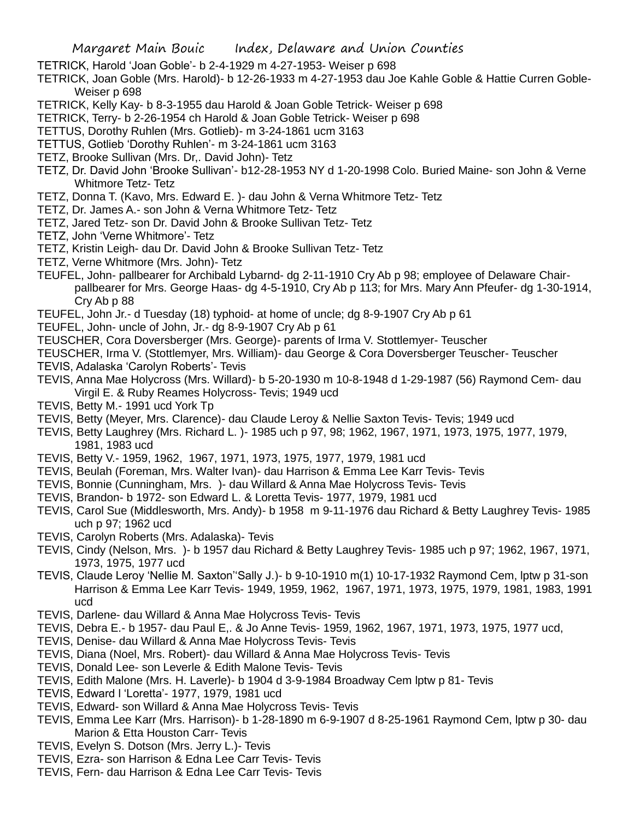- TETRICK, Harold 'Joan Goble'- b 2-4-1929 m 4-27-1953- Weiser p 698
- TETRICK, Joan Goble (Mrs. Harold)- b 12-26-1933 m 4-27-1953 dau Joe Kahle Goble & Hattie Curren Goble-Weiser p 698
- TETRICK, Kelly Kay- b 8-3-1955 dau Harold & Joan Goble Tetrick- Weiser p 698
- TETRICK, Terry- b 2-26-1954 ch Harold & Joan Goble Tetrick- Weiser p 698
- TETTUS, Dorothy Ruhlen (Mrs. Gotlieb)- m 3-24-1861 ucm 3163
- TETTUS, Gotlieb 'Dorothy Ruhlen'- m 3-24-1861 ucm 3163
- TETZ, Brooke Sullivan (Mrs. Dr,. David John)- Tetz
- TETZ, Dr. David John 'Brooke Sullivan'- b12-28-1953 NY d 1-20-1998 Colo. Buried Maine- son John & Verne Whitmore Tetz- Tetz
- TETZ, Donna T. (Kavo, Mrs. Edward E. )- dau John & Verna Whitmore Tetz- Tetz
- TETZ, Dr. James A.- son John & Verna Whitmore Tetz- Tetz
- TETZ, Jared Tetz- son Dr. David John & Brooke Sullivan Tetz- Tetz
- TETZ, John 'Verne Whitmore'- Tetz
- TETZ, Kristin Leigh- dau Dr. David John & Brooke Sullivan Tetz- Tetz
- TETZ, Verne Whitmore (Mrs. John)- Tetz
- TEUFEL, John- pallbearer for Archibald Lybarnd- dg 2-11-1910 Cry Ab p 98; employee of Delaware Chairpallbearer for Mrs. George Haas- dg 4-5-1910, Cry Ab p 113; for Mrs. Mary Ann Pfeufer- dg 1-30-1914, Cry Ab p 88
- TEUFEL, John Jr.- d Tuesday (18) typhoid- at home of uncle; dg 8-9-1907 Cry Ab p 61
- TEUFEL, John- uncle of John, Jr.- dg 8-9-1907 Cry Ab p 61
- TEUSCHER, Cora Doversberger (Mrs. George)- parents of Irma V. Stottlemyer- Teuscher
- TEUSCHER, Irma V. (Stottlemyer, Mrs. William)- dau George & Cora Doversberger Teuscher- Teuscher TEVIS, Adalaska 'Carolyn Roberts'- Tevis
- TEVIS, Anna Mae Holycross (Mrs. Willard)- b 5-20-1930 m 10-8-1948 d 1-29-1987 (56) Raymond Cem- dau Virgil E. & Ruby Reames Holycross- Tevis; 1949 ucd
- TEVIS, Betty M.- 1991 ucd York Tp
- TEVIS, Betty (Meyer, Mrs. Clarence)- dau Claude Leroy & Nellie Saxton Tevis- Tevis; 1949 ucd
- TEVIS, Betty Laughrey (Mrs. Richard L. )- 1985 uch p 97, 98; 1962, 1967, 1971, 1973, 1975, 1977, 1979, 1981, 1983 ucd
- TEVIS, Betty V.- 1959, 1962, 1967, 1971, 1973, 1975, 1977, 1979, 1981 ucd
- TEVIS, Beulah (Foreman, Mrs. Walter Ivan)- dau Harrison & Emma Lee Karr Tevis- Tevis
- TEVIS, Bonnie (Cunningham, Mrs. )- dau Willard & Anna Mae Holycross Tevis- Tevis
- TEVIS, Brandon- b 1972- son Edward L. & Loretta Tevis- 1977, 1979, 1981 ucd
- TEVIS, Carol Sue (Middlesworth, Mrs. Andy)- b 1958 m 9-11-1976 dau Richard & Betty Laughrey Tevis- 1985 uch p 97; 1962 ucd
- TEVIS, Carolyn Roberts (Mrs. Adalaska)- Tevis
- TEVIS, Cindy (Nelson, Mrs. )- b 1957 dau Richard & Betty Laughrey Tevis- 1985 uch p 97; 1962, 1967, 1971, 1973, 1975, 1977 ucd
- TEVIS, Claude Leroy 'Nellie M. Saxton''Sally J.)- b 9-10-1910 m(1) 10-17-1932 Raymond Cem, lptw p 31-son Harrison & Emma Lee Karr Tevis- 1949, 1959, 1962, 1967, 1971, 1973, 1975, 1979, 1981, 1983, 1991 ucd
- TEVIS, Darlene- dau Willard & Anna Mae Holycross Tevis- Tevis
- TEVIS, Debra E.- b 1957- dau Paul E,. & Jo Anne Tevis- 1959, 1962, 1967, 1971, 1973, 1975, 1977 ucd,
- TEVIS, Denise- dau Willard & Anna Mae Holycross Tevis- Tevis
- TEVIS, Diana (Noel, Mrs. Robert)- dau Willard & Anna Mae Holycross Tevis- Tevis
- TEVIS, Donald Lee- son Leverle & Edith Malone Tevis- Tevis
- TEVIS, Edith Malone (Mrs. H. Laverle)- b 1904 d 3-9-1984 Broadway Cem lptw p 81- Tevis
- TEVIS, Edward l 'Loretta'- 1977, 1979, 1981 ucd
- TEVIS, Edward- son Willard & Anna Mae Holycross Tevis- Tevis
- TEVIS, Emma Lee Karr (Mrs. Harrison)- b 1-28-1890 m 6-9-1907 d 8-25-1961 Raymond Cem, lptw p 30- dau Marion & Etta Houston Carr- Tevis
- TEVIS, Evelyn S. Dotson (Mrs. Jerry L.)- Tevis
- TEVIS, Ezra- son Harrison & Edna Lee Carr Tevis- Tevis
- TEVIS, Fern- dau Harrison & Edna Lee Carr Tevis- Tevis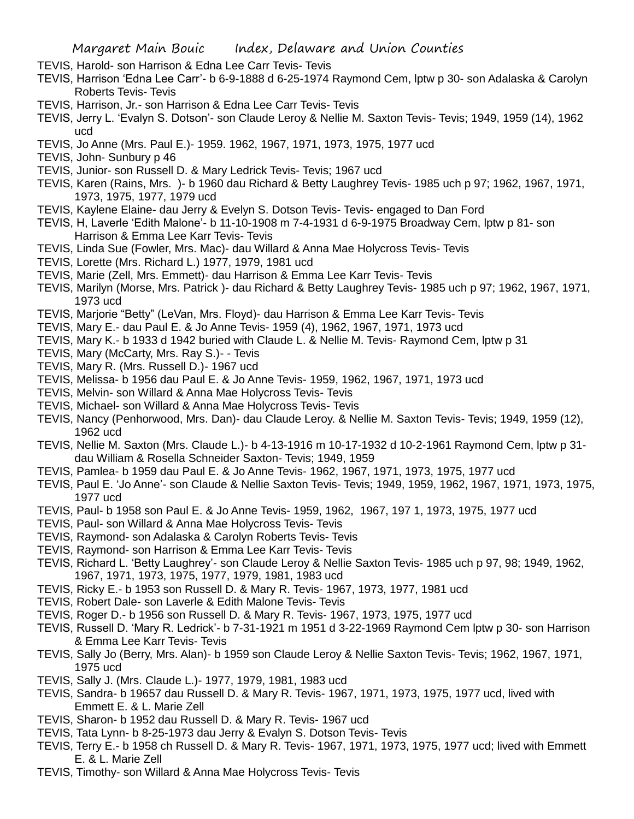- TEVIS, Harold- son Harrison & Edna Lee Carr Tevis- Tevis
- TEVIS, Harrison 'Edna Lee Carr'- b 6-9-1888 d 6-25-1974 Raymond Cem, lptw p 30- son Adalaska & Carolyn Roberts Tevis- Tevis
- TEVIS, Harrison, Jr.- son Harrison & Edna Lee Carr Tevis- Tevis
- TEVIS, Jerry L. 'Evalyn S. Dotson'- son Claude Leroy & Nellie M. Saxton Tevis- Tevis; 1949, 1959 (14), 1962 ucd
- TEVIS, Jo Anne (Mrs. Paul E.)- 1959. 1962, 1967, 1971, 1973, 1975, 1977 ucd
- TEVIS, John- Sunbury p 46
- TEVIS, Junior- son Russell D. & Mary Ledrick Tevis- Tevis; 1967 ucd
- TEVIS, Karen (Rains, Mrs. )- b 1960 dau Richard & Betty Laughrey Tevis- 1985 uch p 97; 1962, 1967, 1971, 1973, 1975, 1977, 1979 ucd
- TEVIS, Kaylene Elaine- dau Jerry & Evelyn S. Dotson Tevis- Tevis- engaged to Dan Ford
- TEVIS, H, Laverle 'Edith Malone'- b 11-10-1908 m 7-4-1931 d 6-9-1975 Broadway Cem, lptw p 81- son Harrison & Emma Lee Karr Tevis- Tevis
- TEVIS, Linda Sue (Fowler, Mrs. Mac)- dau Willard & Anna Mae Holycross Tevis- Tevis
- TEVIS, Lorette (Mrs. Richard L.) 1977, 1979, 1981 ucd
- TEVIS, Marie (Zell, Mrs. Emmett)- dau Harrison & Emma Lee Karr Tevis- Tevis
- TEVIS, Marilyn (Morse, Mrs. Patrick )- dau Richard & Betty Laughrey Tevis- 1985 uch p 97; 1962, 1967, 1971, 1973 ucd
- TEVIS, Marjorie "Betty" (LeVan, Mrs. Floyd)- dau Harrison & Emma Lee Karr Tevis- Tevis
- TEVIS, Mary E.- dau Paul E. & Jo Anne Tevis- 1959 (4), 1962, 1967, 1971, 1973 ucd
- TEVIS, Mary K.- b 1933 d 1942 buried with Claude L. & Nellie M. Tevis- Raymond Cem, lptw p 31
- TEVIS, Mary (McCarty, Mrs. Ray S.)- Tevis
- TEVIS, Mary R. (Mrs. Russell D.)- 1967 ucd
- TEVIS, Melissa- b 1956 dau Paul E. & Jo Anne Tevis- 1959, 1962, 1967, 1971, 1973 ucd
- TEVIS, Melvin- son Willard & Anna Mae Holycross Tevis- Tevis
- TEVIS, Michael- son Willard & Anna Mae Holycross Tevis- Tevis
- TEVIS, Nancy (Penhorwood, Mrs. Dan)- dau Claude Leroy. & Nellie M. Saxton Tevis- Tevis; 1949, 1959 (12), 1962 ucd
- TEVIS, Nellie M. Saxton (Mrs. Claude L.)- b 4-13-1916 m 10-17-1932 d 10-2-1961 Raymond Cem, lptw p 31 dau William & Rosella Schneider Saxton- Tevis; 1949, 1959
- TEVIS, Pamlea- b 1959 dau Paul E. & Jo Anne Tevis- 1962, 1967, 1971, 1973, 1975, 1977 ucd
- TEVIS, Paul E. 'Jo Anne'- son Claude & Nellie Saxton Tevis- Tevis; 1949, 1959, 1962, 1967, 1971, 1973, 1975, 1977 ucd
- TEVIS, Paul- b 1958 son Paul E. & Jo Anne Tevis- 1959, 1962, 1967, 197 1, 1973, 1975, 1977 ucd
- TEVIS, Paul- son Willard & Anna Mae Holycross Tevis- Tevis
- TEVIS, Raymond- son Adalaska & Carolyn Roberts Tevis- Tevis
- TEVIS, Raymond- son Harrison & Emma Lee Karr Tevis- Tevis
- TEVIS, Richard L. 'Betty Laughrey'- son Claude Leroy & Nellie Saxton Tevis- 1985 uch p 97, 98; 1949, 1962, 1967, 1971, 1973, 1975, 1977, 1979, 1981, 1983 ucd
- TEVIS, Ricky E.- b 1953 son Russell D. & Mary R. Tevis- 1967, 1973, 1977, 1981 ucd
- TEVIS, Robert Dale- son Laverle & Edith Malone Tevis- Tevis
- TEVIS, Roger D.- b 1956 son Russell D. & Mary R. Tevis- 1967, 1973, 1975, 1977 ucd
- TEVIS, Russell D. 'Mary R. Ledrick'- b 7-31-1921 m 1951 d 3-22-1969 Raymond Cem lptw p 30- son Harrison & Emma Lee Karr Tevis- Tevis
- TEVIS, Sally Jo (Berry, Mrs. Alan)- b 1959 son Claude Leroy & Nellie Saxton Tevis- Tevis; 1962, 1967, 1971, 1975 ucd
- TEVIS, Sally J. (Mrs. Claude L.)- 1977, 1979, 1981, 1983 ucd
- TEVIS, Sandra- b 19657 dau Russell D. & Mary R. Tevis- 1967, 1971, 1973, 1975, 1977 ucd, lived with Emmett E. & L. Marie Zell
- TEVIS, Sharon- b 1952 dau Russell D. & Mary R. Tevis- 1967 ucd
- TEVIS, Tata Lynn- b 8-25-1973 dau Jerry & Evalyn S. Dotson Tevis- Tevis
- TEVIS, Terry E.- b 1958 ch Russell D. & Mary R. Tevis- 1967, 1971, 1973, 1975, 1977 ucd; lived with Emmett E. & L. Marie Zell
- TEVIS, Timothy- son Willard & Anna Mae Holycross Tevis- Tevis